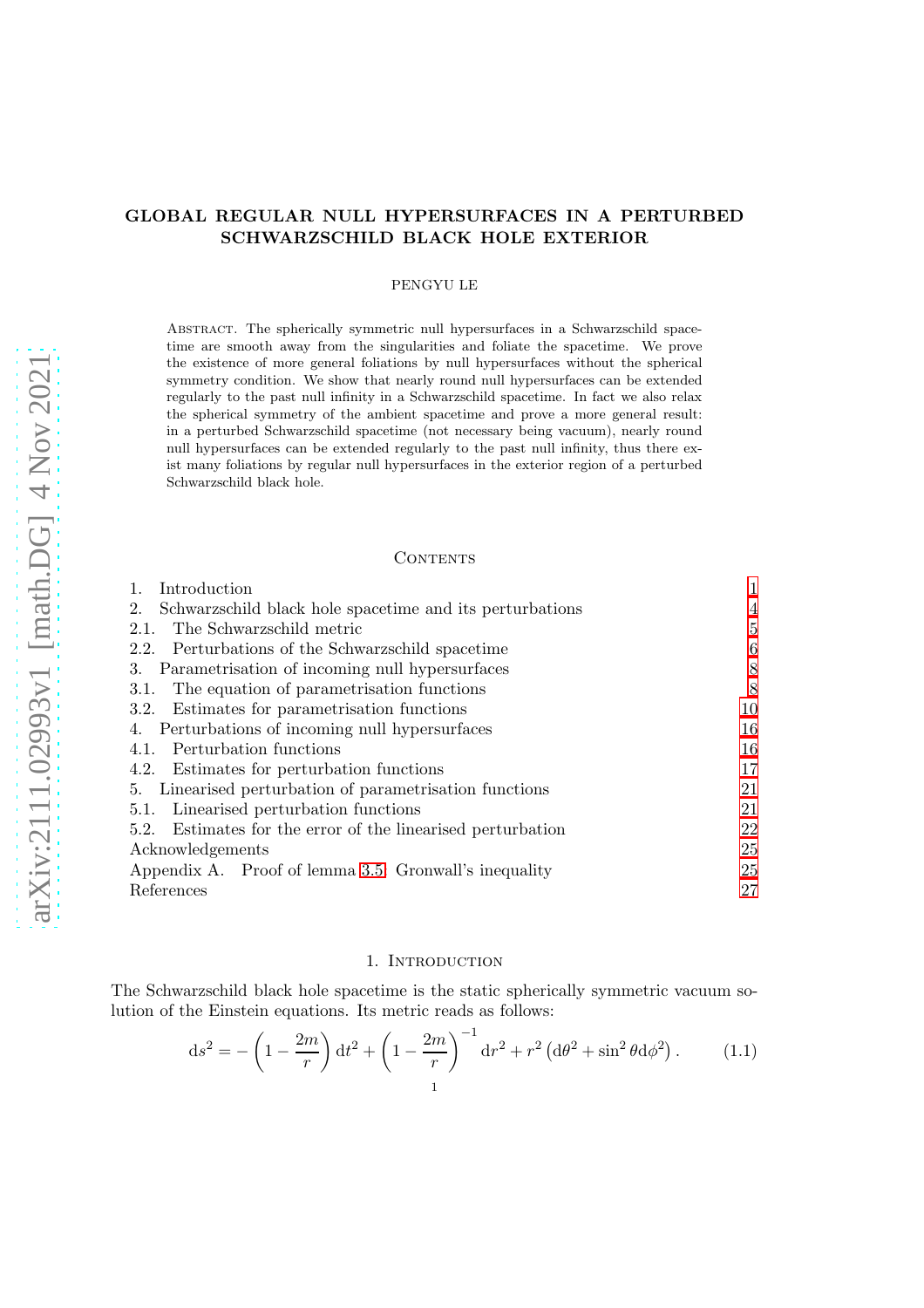# GLOBAL REGULAR NULL HYPERSURFACES IN A PERTURBED SCHWARZSCHILD BLACK HOLE EXTERIOR

## PENGYU LE

Abstract. The spherically symmetric null hypersurfaces in a Schwarzschild spacetime are smooth away from the singularities and foliate the spacetime. We prove the existence of more general foliations by null hypersurfaces without the spherical symmetry condition. We show that nearly round null hypersurfaces can be extended regularly to the past null infinity in a Schwarzschild spacetime. In fact we also relax the spherical symmetry of the ambient spacetime and prove a more general result: in a perturbed Schwarzschild spacetime (not necessary being vacuum), nearly round null hypersurfaces can be extended regularly to the past null infinity, thus there exist many foliations by regular null hypersurfaces in the exterior region of a perturbed Schwarzschild black hole.

#### CONTENTS

| Introduction                                                   |    |
|----------------------------------------------------------------|----|
| Schwarzschild black hole spacetime and its perturbations<br>2. | 4  |
| The Schwarzschild metric<br>2.1.                               | 5  |
| 2.2. Perturbations of the Schwarzschild spacetime              | 6  |
| Parametrisation of incoming null hypersurfaces<br>3.           | 8  |
| The equation of parametrisation functions<br>3.1.              | 8  |
| 3.2. Estimates for parametrisation functions                   | 10 |
| 4. Perturbations of incoming null hypersurfaces                | 16 |
| 4.1. Perturbation functions                                    | 16 |
| 4.2. Estimates for perturbation functions                      | 17 |
| 5. Linearised perturbation of parametrisation functions        | 21 |
| 5.1. Linearised perturbation functions                         | 21 |
| 5.2. Estimates for the error of the linearised perturbation    | 22 |
| Acknowledgements                                               | 25 |
| Appendix A. Proof of lemma 3.5: Gronwall's inequality          | 25 |
| References                                                     | 27 |

## 1. INTRODUCTION

<span id="page-0-0"></span>The Schwarzschild black hole spacetime is the static spherically symmetric vacuum solution of the Einstein equations. Its metric reads as follows:

$$
ds^{2} = -\left(1 - \frac{2m}{r}\right)dt^{2} + \left(1 - \frac{2m}{r}\right)^{-1}dr^{2} + r^{2}\left(d\theta^{2} + \sin^{2}\theta d\phi^{2}\right).
$$
 (1.1)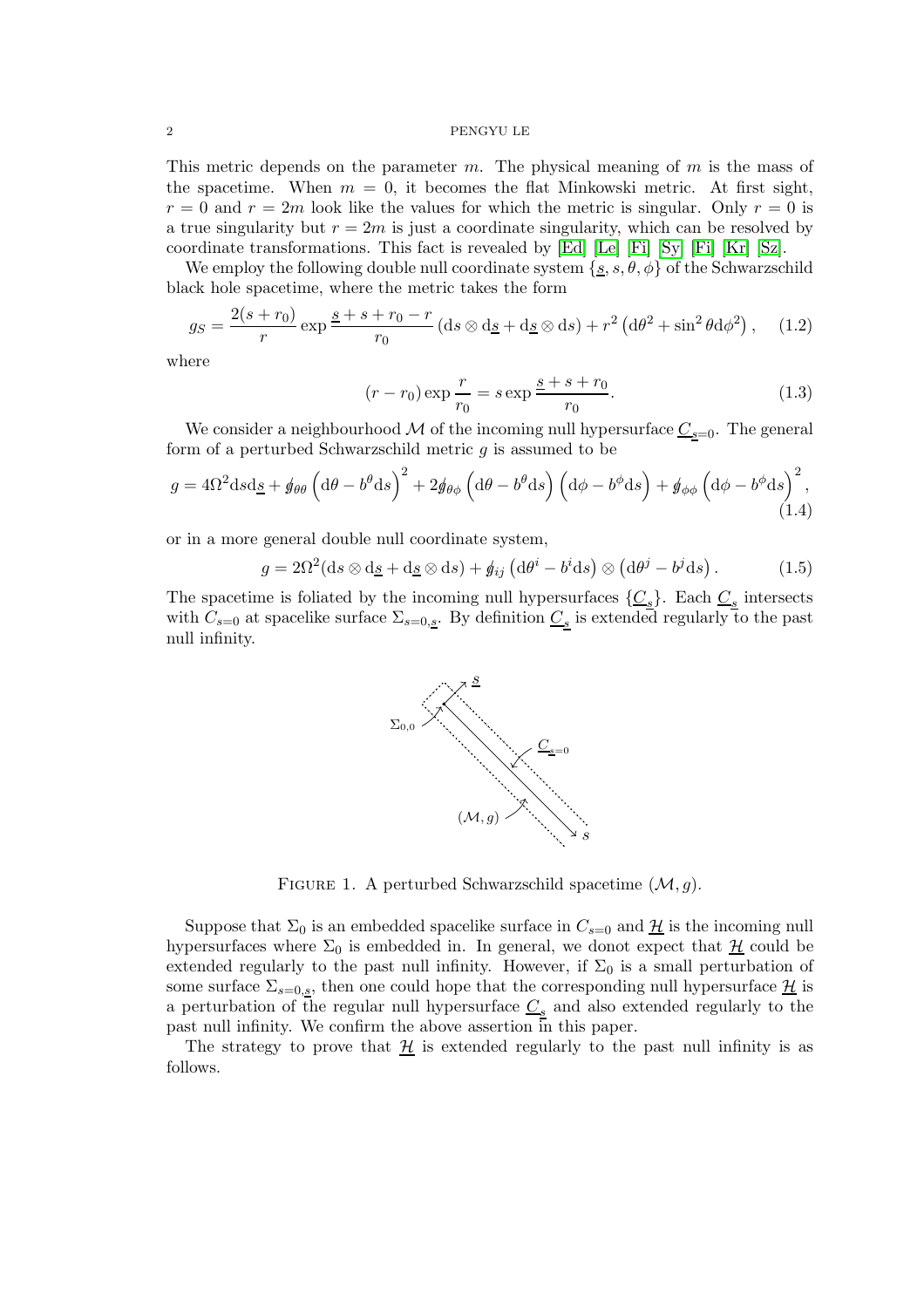This metric depends on the parameter  $m$ . The physical meaning of  $m$  is the mass of the spacetime. When  $m = 0$ , it becomes the flat Minkowski metric. At first sight,  $r = 0$  and  $r = 2m$  look like the values for which the metric is singular. Only  $r = 0$  is a true singularity but  $r = 2m$  is just a coordinate singularity, which can be resolved by coordinate transformations. This fact is revealed by  $|Ed|$  [\[Le\]](#page-26-2)  $|F_i|$  [\[Sy\]](#page-26-4)  $|F_i|$  [\[Kr\]](#page-26-5)  $|Sz|$ .

We employ the following double null coordinate system  $\{g, s, \theta, \phi\}$  of the Schwarzschild black hole spacetime, where the metric takes the form

$$
g_S = \frac{2(s+r_0)}{r} \exp \frac{s+s+r_0-r}{r_0} \left( ds \otimes d_s + d_s \otimes ds \right) + r^2 \left( d\theta^2 + \sin^2 \theta d\phi^2 \right), \quad (1.2)
$$

where

$$
(r - r_0) \exp \frac{r}{r_0} = s \exp \frac{s + s + r_0}{r_0}.
$$
 (1.3)

We consider a neighbourhood M of the incoming null hypersurface  $\underline{C}_{s=0}$ . The general form of a perturbed Schwarzschild metric  $g$  is assumed to be

$$
g = 4\Omega^2 \mathrm{d}s \mathrm{d}\underline{s} + \phi_{\theta\theta} \left(\mathrm{d}\theta - b^{\theta} \mathrm{d}s\right)^2 + 2\phi_{\theta\phi} \left(\mathrm{d}\theta - b^{\theta} \mathrm{d}s\right) \left(\mathrm{d}\phi - b^{\phi} \mathrm{d}s\right) + \phi_{\phi\phi} \left(\mathrm{d}\phi - b^{\phi} \mathrm{d}s\right)^2,\tag{1.4}
$$

or in a more general double null coordinate system,

$$
g = 2\Omega^2(\mathrm{d}s \otimes \mathrm{d}\underline{s} + \mathrm{d}\underline{s} \otimes \mathrm{d}s) + \oint_{ij} \left( \mathrm{d}\theta^i - b^i \mathrm{d}s \right) \otimes \left( \mathrm{d}\theta^j - b^j \mathrm{d}s \right). \tag{1.5}
$$

The spacetime is foliated by the incoming null hypersurfaces  $\{\underline{C_s}\}$ . Each  $\underline{C_s}$  intersects with  $C_{s=0}$  at spacelike surface  $\Sigma_{s=0,s}$ . By definition  $\underline{C_s}$  is extended regularly to the past null infinity.



FIGURE 1. A perturbed Schwarzschild spacetime  $(\mathcal{M}, g)$ .

Suppose that  $\Sigma_0$  is an embedded spacelike surface in  $C_{s=0}$  and  $\mathcal{H}$  is the incoming null hypersurfaces where  $\Sigma_0$  is embedded in. In general, we donot expect that  $\mathcal{H}$  could be extended regularly to the past null infinity. However, if  $\Sigma_0$  is a small perturbation of some surface  $\Sigma_{s=0,s}$ , then one could hope that the corresponding null hypersurface  $\mathcal{H}$  is a perturbation of the regular null hypersurface  $\underline{C_s}$  and also extended regularly to the past null infinity. We confirm the above assertion in this paper.

The strategy to prove that  $\mathcal{H}$  is extended regularly to the past null infinity is as follows.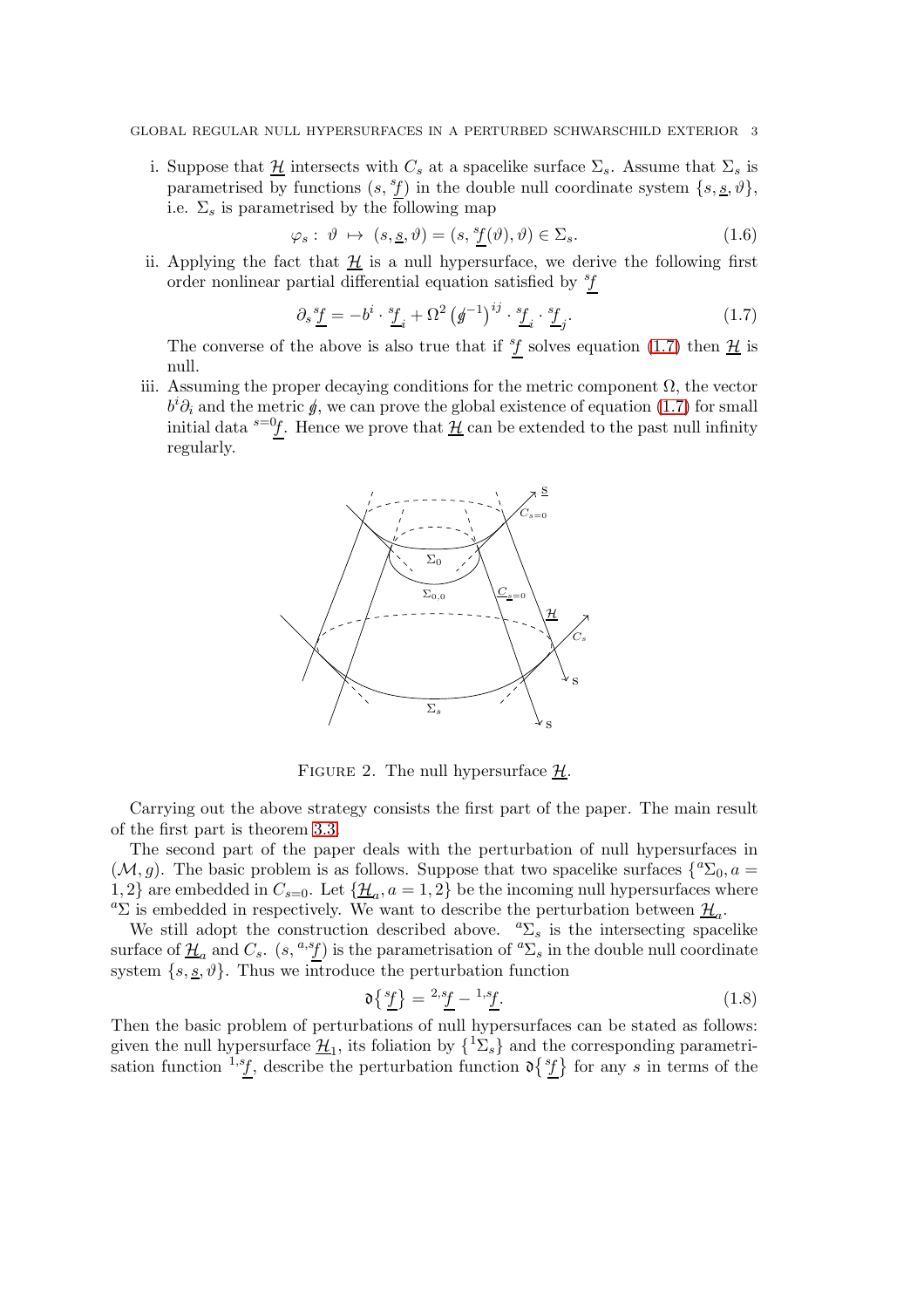i. Suppose that  $\mathcal{H}$  intersects with  $C_s$  at a spacelike surface  $\Sigma_s$ . Assume that  $\Sigma_s$  is parametrised by functions  $(s, {}^s f)$  in the double null coordinate system  $\{s, \underline{s}, \vartheta\},$ i.e.  $\Sigma_s$  is parametrised by the following map

$$
\varphi_s: \vartheta \mapsto (s, \underline{s}, \vartheta) = (s, {}^s f(\vartheta), \vartheta) \in \Sigma_s. \tag{1.6}
$$

ii. Applying the fact that  $\mathcal{H}$  is a null hypersurface, we derive the following first order nonlinear partial differential equation satisfied by  ${}^{s}\!f$ 

<span id="page-2-0"></span>
$$
\partial_s \underline{\underline{\mathcal{F}}} = -b^i \cdot \underline{\mathcal{F}}_i + \Omega^2 \left( \underline{\mathcal{F}}^{-1} \right)^{ij} \cdot \underline{\mathcal{F}}_i \cdot \underline{\mathcal{F}}_j. \tag{1.7}
$$

The converse of the above is also true that if  ${}^s f$  solves equation [\(1.7\)](#page-2-0) then  $\underline{\mathcal{H}}$  is null.

iii. Assuming the proper decaying conditions for the metric component  $\Omega$ , the vector  $b^i \partial_i$  and the metric  $\oint$ , we can prove the global existence of equation [\(1.7\)](#page-2-0) for small initial data  $s=0$ . Hence we prove that  $\mathcal{H}$  can be extended to the past null infinity regularly.



FIGURE 2. The null hypersurface  $\mathcal{H}$ .

Carrying out the above strategy consists the first part of the paper. The main result of the first part is theorem [3.3.](#page-9-1)

The second part of the paper deals with the perturbation of null hypersurfaces in  $(M, g)$ . The basic problem is as follows. Suppose that two spacelike surfaces  $\{^a \Sigma_0, a =$ 1, 2} are embedded in  $C_{s=0}$ . Let  $\{\underline{\mathcal{H}}_a, a=1, 2\}$  be the incoming null hypersurfaces where <sup>a</sup> $\Sigma$  is embedded in respectively. We want to describe the perturbation between  $\mathcal{H}_a$ .

We still adopt the construction described above.  ${}^a\Sigma_s$  is the intersecting spacelike surface of  $\underline{\mathcal{H}}_a$  and  $C_s$ .  $(s, {}^{a,s}f)$  is the parametrisation of  ${}^a\Sigma_s$  in the double null coordinate system  $\{s, \underline{s}, \vartheta\}$ . Thus we introduce the perturbation function

$$
\mathfrak{d}\left\{{s_f}\atop{f}\right\} = {}^{2,s}\underline{f} - {}^{1,s}\underline{f}.\tag{1.8}
$$

Then the basic problem of perturbations of null hypersurfaces can be stated as follows: given the null hypersurface  $\underline{\mathcal{H}}_1$ , its foliation by  $\{^1\Sigma_s\}$  and the corresponding parametrisation function  $x^3$ , describe the perturbation function  $\mathfrak{d}\{f\}$  for any s in terms of the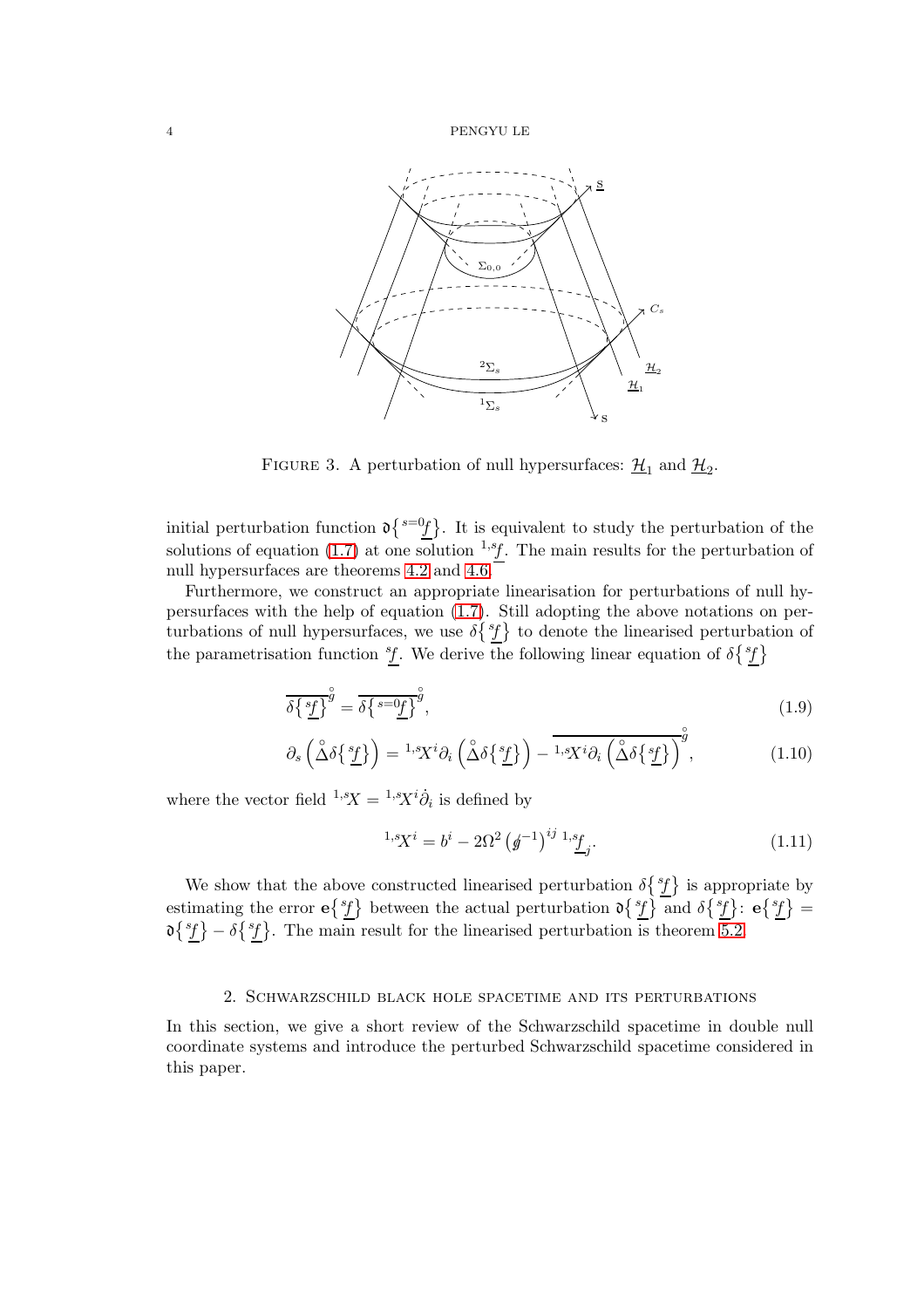

FIGURE 3. A perturbation of null hypersurfaces:  $\underline{\mathcal{H}}_1$  and  $\underline{\mathcal{H}}_2$ .

initial perturbation function  $\mathfrak{d} \{s = 0 \}$ . It is equivalent to study the perturbation of the solutions of equation [\(1.7\)](#page-2-0) at one solution  $^{1,s}f$ . The main results for the perturbation of null hypersurfaces are theorems [4.2](#page-16-1) and [4.6.](#page-20-2)

Furthermore, we construct an appropriate linearisation for perturbations of null hypersurfaces with the help of equation [\(1.7\)](#page-2-0). Still adopting the above notations on perturbations of null hypersurfaces, we use  $\delta\{^s\}$  to denote the linearised perturbation of the parametrisation function  ${}^s f$ . We derive the following linear equation of  $\delta \{ {}^s f \}$ 

$$
\overline{\delta \{s f\}}^{\overset{\circ}{g}} = \overline{\delta \{s = 0f\}}^{\overset{\circ}{g}},\tag{1.9}
$$

$$
\partial_s \left( \overset{\circ}{\Delta} \delta \left\{ \frac{s_f}{L} \right\} \right) = {}^{1,s}X^i \partial_i \left( \overset{\circ}{\Delta} \delta \left\{ \frac{s_f}{L} \right\} \right) - \overline{{}^{1,s}X^i \partial_i \left( \overset{\circ}{\Delta} \delta \left\{ \frac{s_f}{L} \right\} \right)^g}, \tag{1.10}
$$

where the vector field  ${}^{1,s}X = {}^{1,s}X^i\dot{\partial}_i$  is defined by

$$
{}^{1,s}X^i = b^i - 2\Omega^2 \left(g^{-1}\right)^{ij} {}^{1,s}f_j. \tag{1.11}
$$

We show that the above constructed linearised perturbation  $\delta\{\hat{f}\}$  is appropriate by estimating the error  $e{st}$  between the actual perturbation  $\partial {st}$  and  $\partial {st}$ :  $e{st} =$  $\delta\{\hat{\mathcal{E}}\}-\delta\{\hat{\mathcal{E}}\}.$  The main result for the linearised perturbation is theorem [5.2.](#page-22-0)

## 2. Schwarzschild black hole spacetime and its perturbations

<span id="page-3-0"></span>In this section, we give a short review of the Schwarzschild spacetime in double null coordinate systems and introduce the perturbed Schwarzschild spacetime considered in this paper.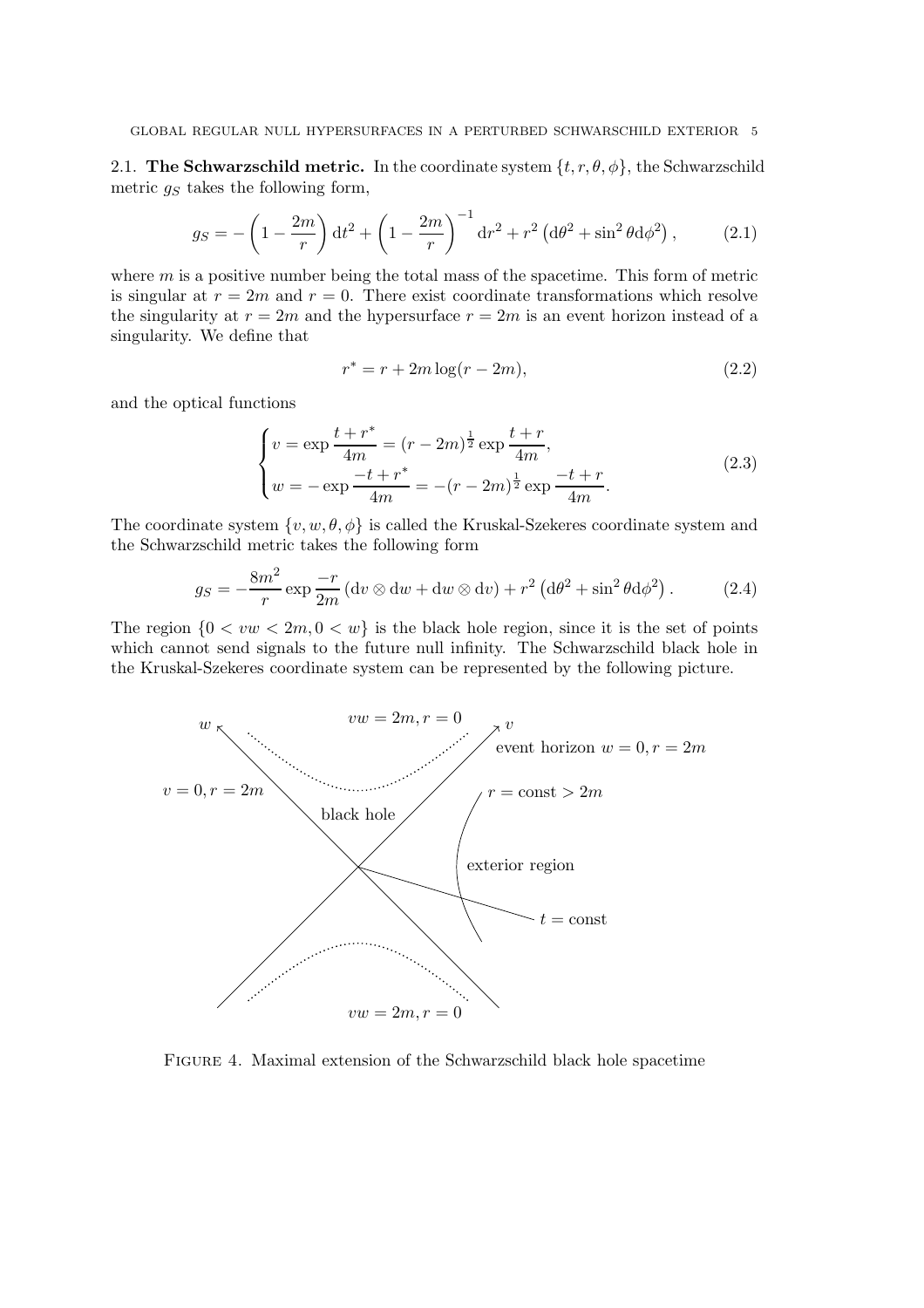<span id="page-4-0"></span>2.1. The Schwarzschild metric. In the coordinate system  $\{t, r, \theta, \phi\}$ , the Schwarzschild metric  $g_S$  takes the following form,

$$
g_S = -\left(1 - \frac{2m}{r}\right)dt^2 + \left(1 - \frac{2m}{r}\right)^{-1}dr^2 + r^2\left(d\theta^2 + \sin^2\theta d\phi^2\right),\tag{2.1}
$$

where  $m$  is a positive number being the total mass of the spacetime. This form of metric is singular at  $r = 2m$  and  $r = 0$ . There exist coordinate transformations which resolve the singularity at  $r = 2m$  and the hypersurface  $r = 2m$  is an event horizon instead of a singularity. We define that

$$
r^* = r + 2m \log(r - 2m),
$$
\n(2.2)

and the optical functions

$$
\begin{cases}\nv = \exp \frac{t + r^*}{4m} = (r - 2m)^{\frac{1}{2}} \exp \frac{t + r}{4m},\\
w = -\exp \frac{-t + r^*}{4m} = -(r - 2m)^{\frac{1}{2}} \exp \frac{-t + r}{4m}.\n\end{cases}
$$
\n(2.3)

The coordinate system  $\{v, w, \theta, \phi\}$  is called the Kruskal-Szekeres coordinate system and the Schwarzschild metric takes the following form

$$
g_S = -\frac{8m^2}{r} \exp\frac{-r}{2m} \left( \mathrm{d}v \otimes \mathrm{d}w + \mathrm{d}w \otimes \mathrm{d}v \right) + r^2 \left( \mathrm{d}\theta^2 + \sin^2\theta \mathrm{d}\phi^2 \right). \tag{2.4}
$$

The region  $\{0 < vw < 2m, 0 < w\}$  is the black hole region, since it is the set of points which cannot send signals to the future null infinity. The Schwarzschild black hole in the Kruskal-Szekeres coordinate system can be represented by the following picture.



Figure 4. Maximal extension of the Schwarzschild black hole spacetime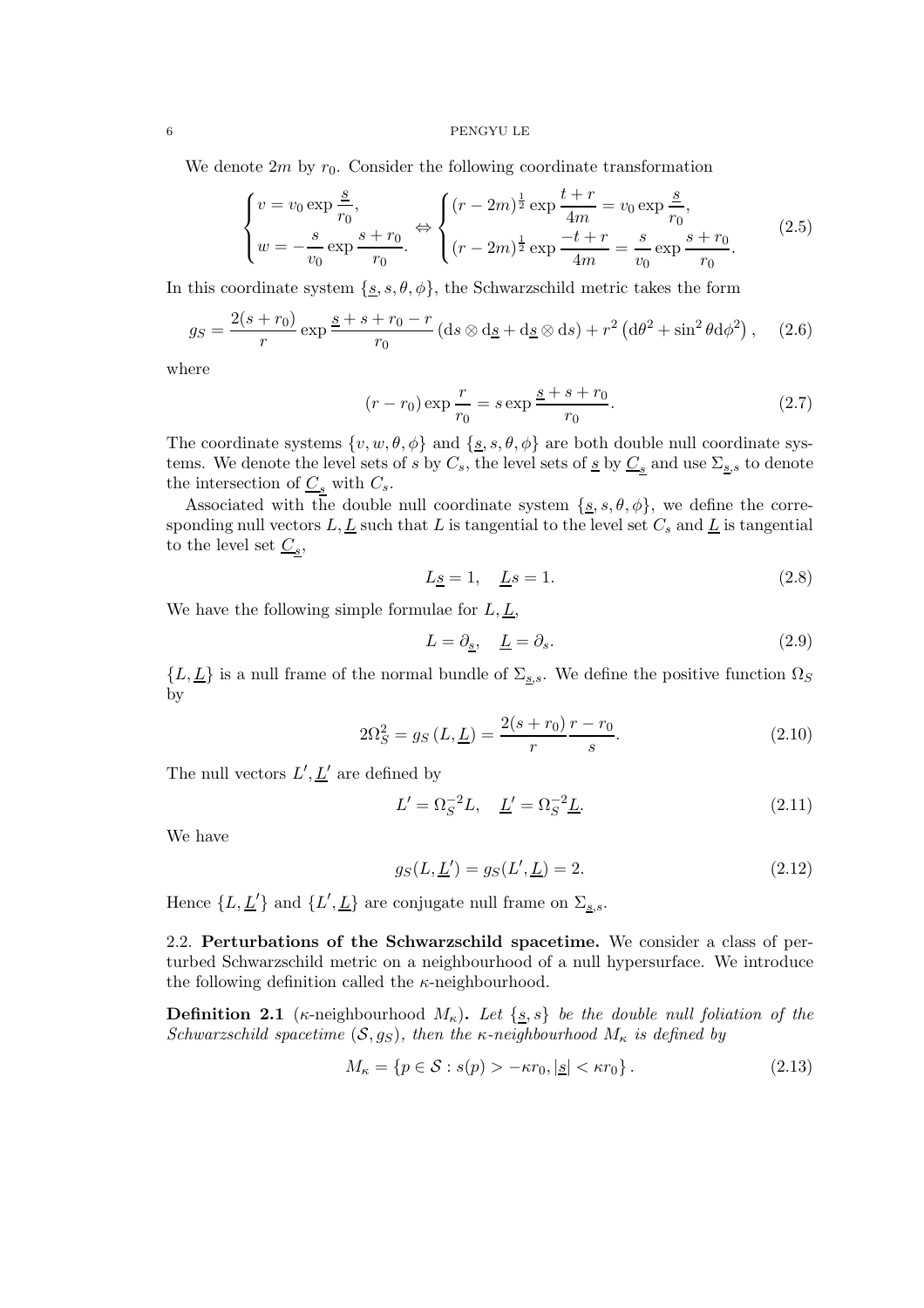We denote  $2m$  by  $r_0$ . Consider the following coordinate transformation

$$
\begin{cases}\nv = v_0 \exp{\frac{s}{r_0}},\\
w = -\frac{s}{v_0} \exp{\frac{s+r_0}{r_0}}.\n\end{cases}\n\Leftrightarrow\n\begin{cases}\n(r - 2m)^{\frac{1}{2}} \exp{\frac{t+r}{4m}} = v_0 \exp{\frac{s}{r_0}},\\
(r - 2m)^{\frac{1}{2}} \exp{\frac{-t+r}{4m}} = \frac{s}{v_0} \exp{\frac{s+r_0}{r_0}}.\n\end{cases}\n\tag{2.5}
$$

In this coordinate system  $\{s, s, \theta, \phi\}$ , the Schwarzschild metric takes the form

$$
g_S = \frac{2(s+r_0)}{r} \exp\frac{s+s+r_0-r}{r_0} \left(\mathrm{d}s\otimes\mathrm{d}\underline{s} + \mathrm{d}\underline{s}\otimes\mathrm{d}s\right) + r^2 \left(\mathrm{d}\theta^2 + \sin^2\theta\mathrm{d}\phi^2\right),\tag{2.6}
$$

where

$$
(r - r_0) \exp \frac{r}{r_0} = s \exp \frac{s + s + r_0}{r_0}.
$$
 (2.7)

The coordinate systems  $\{v, w, \theta, \phi\}$  and  $\{\underline{s}, s, \theta, \phi\}$  are both double null coordinate systems. We denote the level sets of s by  $C_s$ , the level sets of  $\underline{s}$  by  $\underline{C_s}$  and use  $\Sigma_{\underline{s},s}$  to denote the intersection of  $C_s$  with  $C_s$ .

Associated with the double null coordinate system  $\{s, s, \theta, \phi\}$ , we define the corresponding null vectors  $L, L$  such that L is tangential to the level set  $C_s$  and  $L$  is tangential to the level set  $\underline{C_s}$ ,

$$
L\underline{s} = 1, \quad \underline{L}s = 1. \tag{2.8}
$$

We have the following simple formulae for  $L, L$ ,

$$
L = \partial_{\underline{s}}, \quad \underline{L} = \partial_{s}.\tag{2.9}
$$

 $\{L, \underline{L}\}\$ is a null frame of the normal bundle of  $\Sigma_{\underline{s},s}$ . We define the positive function  $\Omega_S$ by

$$
2\Omega_S^2 = g_S(L, \underline{L}) = \frac{2(s+r_0)}{r} \frac{r-r_0}{s}.
$$
\n(2.10)

The null vectors  $L', \underline{L}'$  are defined by

$$
L' = \Omega_S^{-2}L, \quad \underline{L}' = \Omega_S^{-2}\underline{L}.\tag{2.11}
$$

We have

$$
g_S(L, \underline{L}') = g_S(L', \underline{L}) = 2. \tag{2.12}
$$

Hence  $\{L, \underline{L}'\}$  and  $\{L', \underline{L}\}$  are conjugate null frame on  $\Sigma_{\underline{s},s}$ .

<span id="page-5-0"></span>2.2. Perturbations of the Schwarzschild spacetime. We consider a class of perturbed Schwarzschild metric on a neighbourhood of a null hypersurface. We introduce the following definition called the  $\kappa$ -neighbourhood.

**Definition 2.1** (κ-neighbourhood  $M_{\kappa}$ ). Let  $\{s, s\}$  be the double null foliation of the Schwarzschild spacetime  $(S, g_S)$ , then the κ-neighbourhood  $M_{\kappa}$  is defined by

$$
M_{\kappa} = \{ p \in \mathcal{S} : s(p) > -\kappa r_0, |\mathbf{s}| < \kappa r_0 \}. \tag{2.13}
$$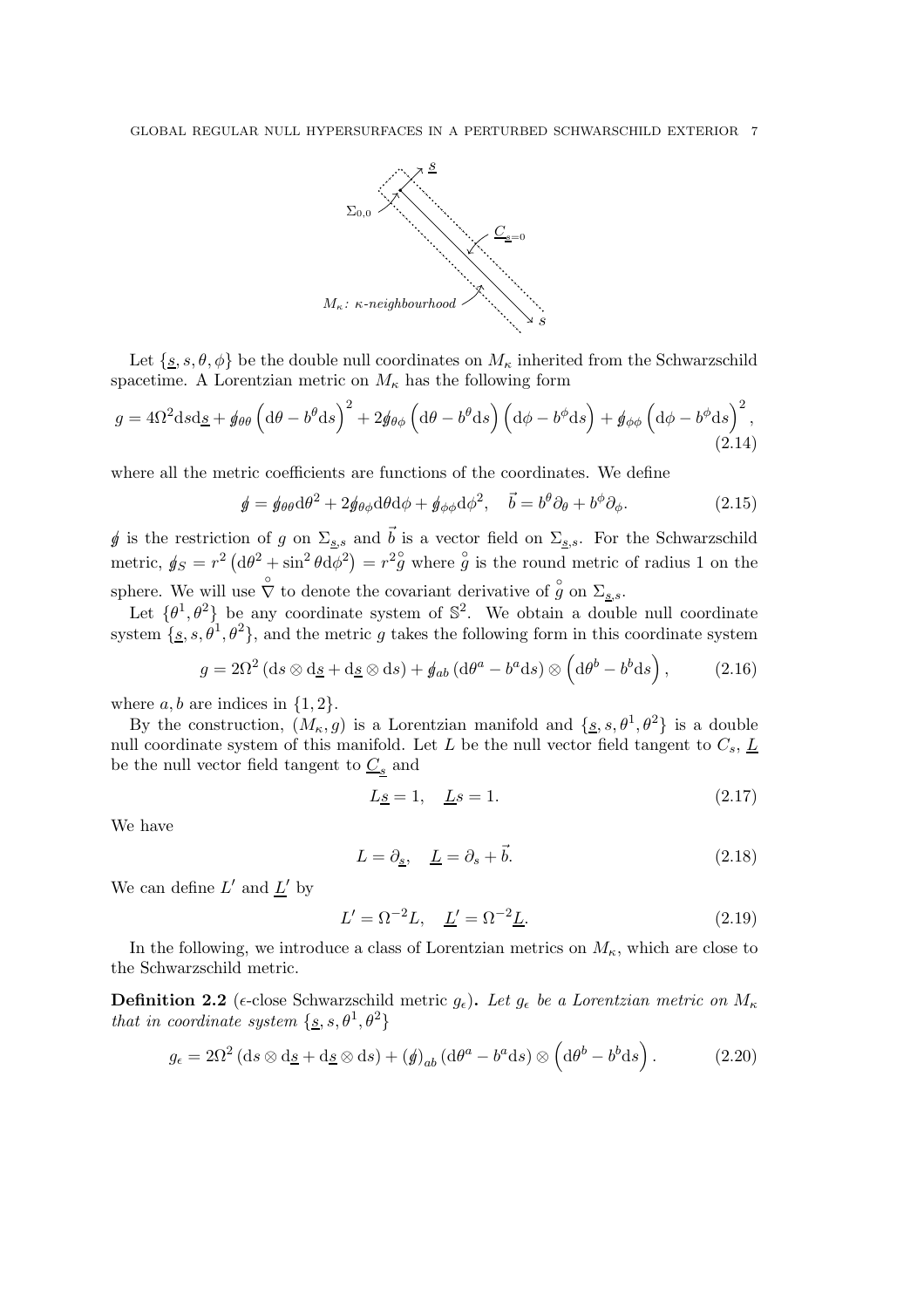

Let  $\{s, s, \theta, \phi\}$  be the double null coordinates on  $M_{\kappa}$  inherited from the Schwarzschild spacetime. A Lorentzian metric on  $M_{\kappa}$  has the following form

$$
g = 4\Omega^2 \mathrm{d}s \mathrm{d}\underline{s} + \phi_{\theta\theta} \left(\mathrm{d}\theta - b^{\theta} \mathrm{d}s\right)^2 + 2\phi_{\theta\phi} \left(\mathrm{d}\theta - b^{\theta} \mathrm{d}s\right) \left(\mathrm{d}\phi - b^{\phi} \mathrm{d}s\right) + \phi_{\phi\phi} \left(\mathrm{d}\phi - b^{\phi} \mathrm{d}s\right)^2,\tag{2.14}
$$

where all the metric coefficients are functions of the coordinates. We define

$$
\oint = \oint \theta \theta d\theta^2 + 2 \oint \theta \phi d\theta d\phi + \oint \phi \phi d\phi^2, \quad \vec{b} = b^{\theta} \partial_{\theta} + b^{\phi} \partial_{\phi}.
$$
 (2.15)

g is the restriction of g on  $\Sigma_{s,s}$  and  $\vec{b}$  is a vector field on  $\Sigma_{s,s}$ . For the Schwarzschild metric,  $g_S = r^2 (d\theta^2 + \sin^2 \theta d\phi^2) = r^2 g$  where  $\overset{\circ}{g}$  is the round metric of radius 1 on the sphere. We will use  $\hat{\nabla}$  to denote the covariant derivative of  $\hat{g}$  on  $\Sigma_{\underline{s},s}$ .

Let  $\{\theta^1, \theta^2\}$  be any coordinate system of  $\mathbb{S}^2$ . We obtain a double null coordinate system  $\{s, s, \theta^1, \theta^2\}$ , and the metric g takes the following form in this coordinate system

$$
g = 2\Omega^2 \left( ds \otimes d\underline{s} + d\underline{s} \otimes ds \right) + \phi_{ab} \left( d\theta^a - b^a ds \right) \otimes \left( d\theta^b - b^b ds \right), \tag{2.16}
$$

where  $a, b$  are indices in  $\{1, 2\}.$ 

By the construction,  $(M_{\kappa}, g)$  is a Lorentzian manifold and  $\{s, s, \theta^1, \theta^2\}$  is a double null coordinate system of this manifold. Let L be the null vector field tangent to  $C_s$ ,  $\underline{L}$ be the null vector field tangent to  $\underline{C_s}$  and

$$
L\underline{s} = 1, \quad \underline{L}s = 1. \tag{2.17}
$$

We have

$$
L = \partial_{\underline{s}}, \quad \underline{L} = \partial_s + \vec{b}.\tag{2.18}
$$

We can define  $L'$  and  $L'$  by

$$
L' = \Omega^{-2}L, \quad \underline{L}' = \Omega^{-2}\underline{L}.
$$
\n(2.19)

In the following, we introduce a class of Lorentzian metrics on  $M_{\kappa}$ , which are close to the Schwarzschild metric.

<span id="page-6-0"></span>**Definition 2.2** ( $\epsilon$ -close Schwarzschild metric  $g_{\epsilon}$ ). Let  $g_{\epsilon}$  be a Lorentzian metric on  $M_{\kappa}$ that in coordinate system  $\{\underline{s}, s, \theta^1, \theta^2\}$ 

$$
g_{\epsilon} = 2\Omega^2 \left( \mathrm{d}s \otimes \mathrm{d}\underline{s} + \mathrm{d}\underline{s} \otimes \mathrm{d}s \right) + \left( \oint_{ab} \left( \mathrm{d}\theta^a - b^a \mathrm{d}s \right) \otimes \left( \mathrm{d}\theta^b - b^b \mathrm{d}s \right). \tag{2.20}
$$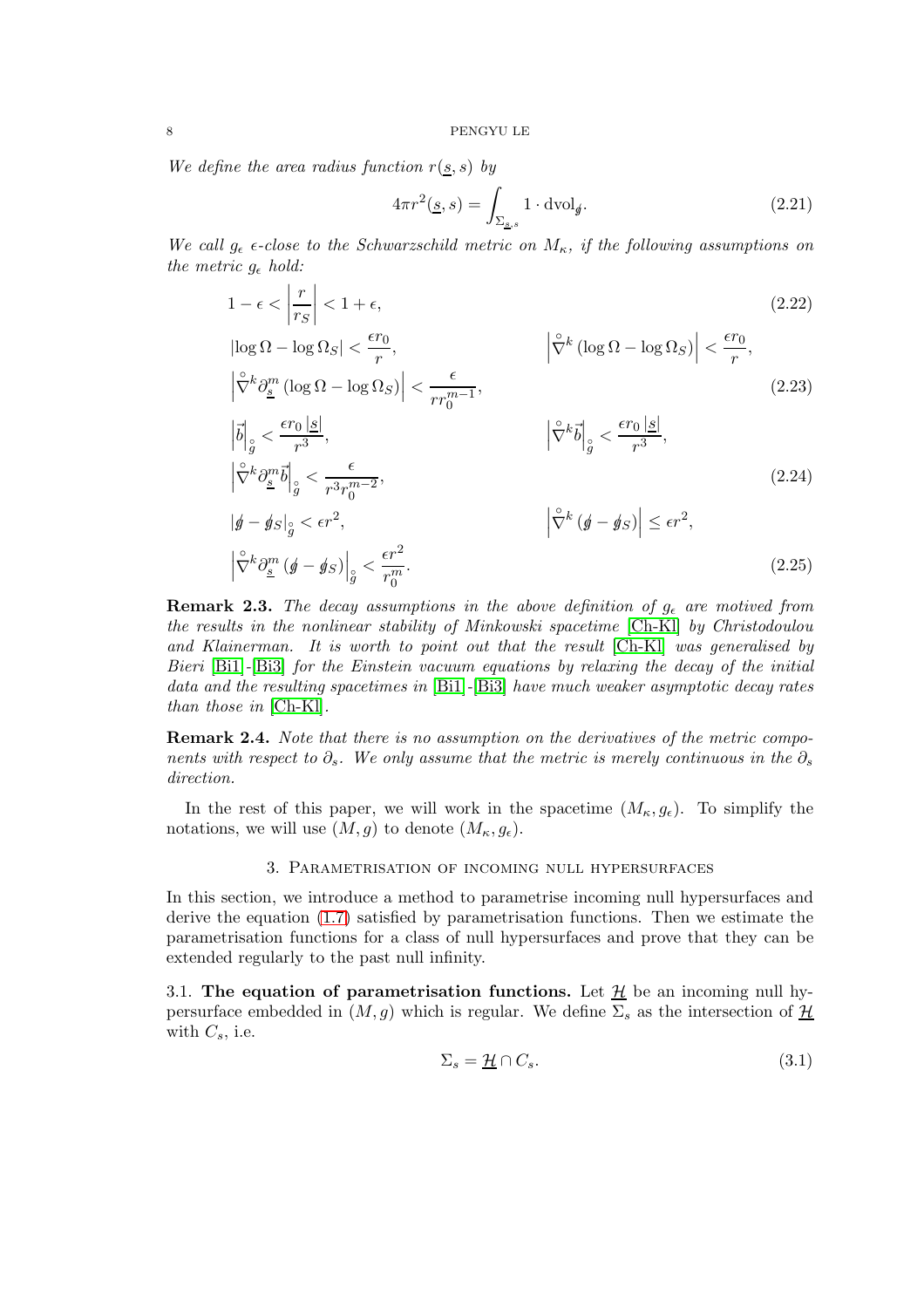We define the area radius function  $r(s, s)$  by

$$
4\pi r^2(\underline{s}, s) = \int_{\Sigma_{\underline{s}, s}} 1 \cdot \mathrm{dvol}_{\underline{\theta}}.\tag{2.21}
$$

We call  $g_{\epsilon}$   $\epsilon$ -close to the Schwarzschild metric on  $M_{\kappa}$ , if the following assumptions on the metric  $q_{\epsilon}$  hold:

$$
1 - \epsilon < \left| \frac{r}{r_S} \right| < 1 + \epsilon,\tag{2.22}
$$
\n
$$
|\log \Omega - \log \Omega_S| < \frac{\epsilon r_0}{r},\tag{2.23}
$$

$$
\left| \log \Omega - \log \Omega_S \right| < \frac{\epsilon r_0}{r}, \qquad \left| \hat{\nabla}^k \left( \log \Omega - \log \Omega_S \right) \right| < \frac{\epsilon r_0}{r}, \qquad \left| \hat{\nabla}^k \partial^m \left( \log \Omega - \log \Omega_S \right) \right| < \frac{\epsilon r_0}{r}, \qquad (2.23)
$$

$$
\left| \vec{b} \right|_{\mathcal{G}} < \frac{\epsilon r_0 \left| \underline{s} \right|}{r^3}, \qquad \left| \hat{\nabla}^k \vec{b} \right|_{\mathcal{G}} < \frac{\epsilon r_0 \left| \underline{s} \right|}{r^3},
$$
\n
$$
\left| \hat{\nabla}^k \partial_{\underline{s}}^m \vec{b} \right|_{\mathcal{G}} < \frac{\epsilon}{r^3 r_0^{m-2}},
$$
\n
$$
\left| \mathcal{G} \right|_{\mathcal{G}} \leq \epsilon r^2, \qquad \left| \hat{\nabla}^k \left( \mathcal{G} - \mathcal{G} \right) \right| \leq \epsilon r^2,
$$
\n
$$
\left| \hat{\nabla}^k \partial_{\underline{s}}^m \left( \mathcal{G} - \mathcal{G} \right) \right|_{\mathcal{G}} < \frac{\epsilon r^2}{r_0^m}.
$$
\n
$$
(2.25)
$$

**Remark 2.3.** The decay assumptions in the above definition of  $g_{\epsilon}$  are motived from the results in the nonlinear stability of Minkowski spacetime [\[Ch-Kl\]](#page-26-7) by Christodoulou and Klainerman. It is worth to point out that the result [\[Ch-Kl\]](#page-26-7) was generalised by Bieri [\[Bi1\]](#page-26-8)-[\[Bi3\]](#page-26-9) for the Einstein vacuum equations by relaxing the decay of the initial data and the resulting spacetimes in [\[Bi1\]](#page-26-8)-[\[Bi3\]](#page-26-9) have much weaker asymptotic decay rates than those in [\[Ch-Kl\]](#page-26-7).

**Remark 2.4.** Note that there is no assumption on the derivatives of the metric components with respect to  $\partial_s$ . We only assume that the metric is merely continuous in the  $\partial_s$ direction.

<span id="page-7-0"></span>In the rest of this paper, we will work in the spacetime  $(M_{\kappa}, g_{\epsilon})$ . To simplify the notations, we will use  $(M, g)$  to denote  $(M_{\kappa}, g_{\epsilon})$ .

#### 3. Parametrisation of incoming null hypersurfaces

In this section, we introduce a method to parametrise incoming null hypersurfaces and derive the equation [\(1.7\)](#page-2-0) satisfied by parametrisation functions. Then we estimate the parametrisation functions for a class of null hypersurfaces and prove that they can be extended regularly to the past null infinity.

<span id="page-7-1"></span>3.1. The equation of parametrisation functions. Let  $\mathcal{H}$  be an incoming null hypersurface embedded in  $(M, g)$  which is regular. We define  $\Sigma_s$  as the intersection of  $\underline{\mathcal{H}}$ with  $C_s$ , i.e.

$$
\Sigma_s = \underline{\mathcal{H}} \cap C_s. \tag{3.1}
$$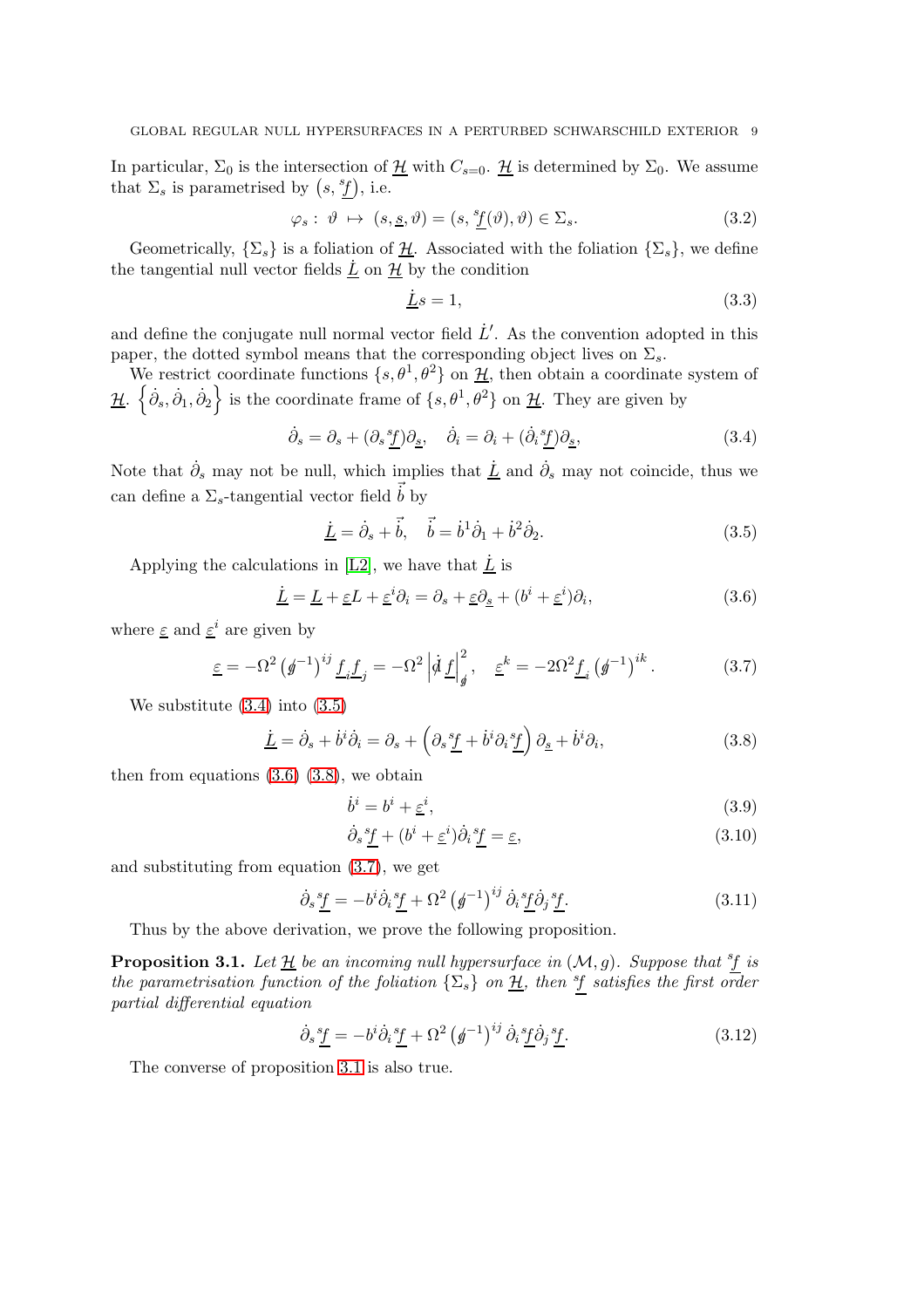In particular,  $\Sigma_0$  is the intersection of  $\underline{\mathcal{H}}$  with  $C_{s=0}$ .  $\underline{\mathcal{H}}$  is determined by  $\Sigma_0$ . We assume that  $\Sigma_s$  is parametrised by  $(s, \frac{sf}{s})$ , i.e.

$$
\varphi_s: \vartheta \mapsto (s, \underline{s}, \vartheta) = (s, \underline{{}^s \underline{f}}(\vartheta), \vartheta) \in \Sigma_s. \tag{3.2}
$$

Geometrically,  $\{\Sigma_s\}$  is a foliation of  $\underline{\mathcal{H}}$ . Associated with the foliation  $\{\Sigma_s\}$ , we define the tangential null vector fields  $\underline{\dot{L}}$  on  $\underline{\mathcal{H}}$  by the condition

<span id="page-8-1"></span><span id="page-8-0"></span>
$$
\underline{\dot{L}}s = 1,\tag{3.3}
$$

and define the conjugate null normal vector field  $\dot{L}'$ . As the convention adopted in this paper, the dotted symbol means that the corresponding object lives on  $\Sigma_s$ .

We restrict coordinate functions  $\{s, \theta^1, \theta^2\}$  on  $\underline{\mathcal{H}}$ , then obtain a coordinate system of  $\frac{\mathcal{H}}{\mathcal{H}}$ .  $\left\{\dot{\partial}_{s}, \dot{\partial}_{1}, \dot{\partial}_{2}\right\}$  is the coordinate frame of  $\{s, \theta^{1}, \theta^{2}\}$  on  $\underline{\mathcal{H}}$ . They are given by

$$
\dot{\partial}_s = \partial_s + (\partial_s \underline{f}) \partial_{\underline{s}}, \quad \dot{\partial}_i = \partial_i + (\dot{\partial}_i \underline{f}) \partial_{\underline{s}}, \tag{3.4}
$$

Note that  $\dot{\partial}_s$  may not be null, which implies that  $\underline{\dot{L}}$  and  $\dot{\partial}_s$  may not coincide, thus we can define a  $\Sigma_s$ -tangential vector field  $\dot{b}$  by

<span id="page-8-2"></span>
$$
\underline{\dot{L}} = \dot{\partial}_s + \vec{b}, \quad \vec{b} = \dot{b}^1 \dot{\partial}_1 + \dot{b}^2 \dot{\partial}_2. \tag{3.5}
$$

Applying the calculations in [\[L2\]](#page-26-10), we have that  $\underline{\dot{L}}$  is

$$
\underline{\dot{L}} = \underline{L} + \underline{\varepsilon}L + \underline{\varepsilon}^i \partial_i = \partial_s + \underline{\varepsilon} \partial_{\underline{s}} + (b^i + \underline{\varepsilon}^i) \partial_i,\tag{3.6}
$$

where  $\underline{\varepsilon}$  and  $\underline{\varepsilon}^i$  are given by

$$
\underline{\varepsilon} = -\Omega^2 \left( \not g^{-1} \right)^{ij} \underline{f}_i \underline{f}_j = -\Omega^2 \left| \not q \underline{f} \right|_g^2, \quad \underline{\varepsilon}^k = -2\Omega^2 \underline{f}_i \left( \not g^{-1} \right)^{ik}.
$$
 (3.7)

We substitute [\(3.4\)](#page-8-0) into [\(3.5\)](#page-8-1)

$$
\underline{\dot{L}} = \dot{\partial}_s + \dot{b}^i \dot{\partial}_i = \partial_s + \left(\partial_s \underline{f} + \dot{b}^i \partial_i \underline{f}\right) \partial_{\underline{s}} + \dot{b}^i \partial_i, \tag{3.8}
$$

then from equations  $(3.6)$   $(3.8)$ , we obtain

<span id="page-8-4"></span><span id="page-8-3"></span>
$$
\dot{b}^i = b^i + \underline{\varepsilon}^i,\tag{3.9}
$$

<span id="page-8-6"></span>
$$
\dot{\partial}_s \underline{f} + (b^i + \underline{\varepsilon}^i) \dot{\partial}_i \underline{f} = \underline{\varepsilon},\tag{3.10}
$$

and substituting from equation [\(3.7\)](#page-8-4), we get

$$
\dot{\partial}_s \underline{f} = -b^i \dot{\partial}_i \underline{f} + \Omega^2 \left( \underline{\phi}^{-1} \right)^{ij} \dot{\partial}_i \underline{f} \dot{\partial}_j \underline{f}. \tag{3.11}
$$

Thus by the above derivation, we prove the following proposition.

<span id="page-8-5"></span>**Proposition 3.1.** Let  $\underline{\mathcal{H}}$  be an incoming null hypersurface in  $(\mathcal{M}, g)$ . Suppose that <sup>s</sup>f is the parametrisation function of the foliation  $\{\Sigma_s\}$  on  $\underline{\mathcal{H}}$ , then  $\overline{\mathcal{H}}$  satisfies the first order partial differential equation

$$
\dot{\partial}_s \underline{f} = -b^i \dot{\partial}_i \underline{f} + \Omega^2 \left( \underline{f}^{-1} \right)^{ij} \dot{\partial}_i \underline{f} \dot{\partial}_j \underline{f}. \tag{3.12}
$$

The converse of proposition [3.1](#page-8-5) is also true.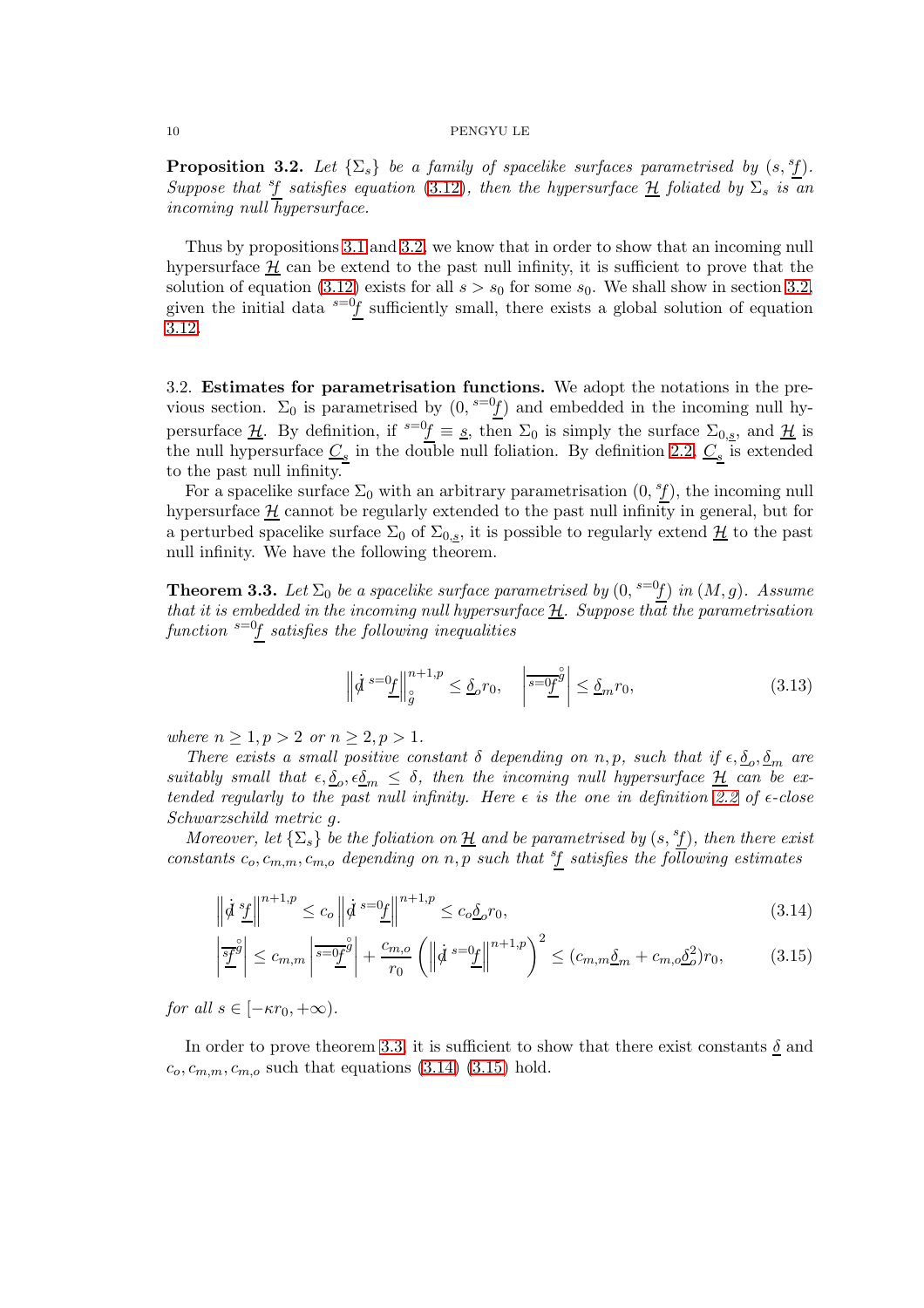<span id="page-9-2"></span>**Proposition 3.2.** Let  $\{\Sigma_s\}$  be a family of spacelike surfaces parametrised by  $(s, \frac{s}{L})$ . Suppose that  $\frac{s}{f}$  satisfies equation [\(3.12\)](#page-8-6), then the hypersurface  $\underline{H}$  foliated by  $\Sigma_s$  is an incoming null hypersurface.

Thus by propositions [3.1](#page-8-5) and [3.2,](#page-9-2) we know that in order to show that an incoming null hypersurface  $H$  can be extend to the past null infinity, it is sufficient to prove that the solution of equation [\(3.12\)](#page-8-6) exists for all  $s > s_0$  for some  $s_0$ . We shall show in section [3.2,](#page-9-0) given the initial data  $s=0$ f sufficiently small, there exists a global solution of equation [3.12.](#page-8-6)

<span id="page-9-0"></span>3.2. Estimates for parametrisation functions. We adopt the notations in the previous section.  $\Sigma_0$  is parametrised by  $(0, \binom{s=0}{1}$  and embedded in the incoming null hypersurface  $\underline{\mathcal{H}}$ . By definition, if  $s=0$  = s, then  $\Sigma_0$  is simply the surface  $\Sigma_{0,s}$ , and  $\underline{\mathcal{H}}$  is the null hypersurface  $\underline{C_s}$  in the double null foliation. By definition [2.2,](#page-6-0)  $\underline{C_s}$  is extended to the past null infinity.

For a spacelike surface  $\Sigma_0$  with an arbitrary parametrisation  $(0, \frac{s_f}{f})$ , the incoming null hypersurface  $\underline{\mathcal{H}}$  cannot be regularly extended to the past null infinity in general, but for a perturbed spacelike surface  $\Sigma_0$  of  $\Sigma_{0,s}$ , it is possible to regularly extend  $\underline{\mathcal{H}}$  to the past null infinity. We have the following theorem.

<span id="page-9-1"></span>**Theorem 3.3.** Let  $\Sigma_0$  be a spacelike surface parametrised by  $(0, \frac{s=0f}{f})$  in  $(M, g)$ . Assume that it is embedded in the incoming null hypersurface  $\underline{\mathcal{H}}$ . Suppose that the parametrisation function  $s=0$  satisfies the following inequalities

<span id="page-9-4"></span><span id="page-9-3"></span>
$$
\left\| \dot{d}^{s=0} \underline{f} \right\|_{\mathcal{G}}^{n+1,p} \leq \underline{\delta}_{o} r_{0}, \quad \left| \overline{s=0} \underline{f}^{\mathcal{G}} \right| \leq \underline{\delta}_{m} r_{0}, \tag{3.13}
$$

where  $n \geq 1, p > 2$  or  $n \geq 2, p > 1$ .

There exists a small positive constant  $\delta$  depending on n, p, such that if  $\epsilon, \underline{\delta}_o, \underline{\delta}_m$  are suitably small that  $\epsilon, \underline{\delta}_o, \epsilon \underline{\delta}_m \leq \delta$ , then the incoming null hypersurface  $\underline{\mathcal{H}}$  can be extended regularly to the past null infinity. Here  $\epsilon$  is the one in definition [2.2](#page-6-0) of  $\epsilon$ -close Schwarzschild metric g.

Moreover, let  $\{\Sigma_s\}$  be the foliation on  $\underline{\mathcal{H}}$  and be parametrised by  $(s, {}^s\!f)$ , then there exist constants  $c_o, c_{m,m}, c_{m,o}$  depending on n, p such that  $\frac{sf}{s}$  satisfies the following estimates

$$
\left\|\dot{\mathcal{d}}\frac{s_f}{\perp}\right\|^{n+1,p} \le c_o \left\|\dot{\mathcal{d}}\frac{s-0_f}{\perp}\right\|^{n+1,p} \le c_o \underline{\delta}_o r_0,\tag{3.14}
$$

$$
\left|\frac{\overline{s}\overline{f}}{2}\right| \leq c_{m,m} \left|\frac{\overline{s}}{2}\right| + \frac{c_{m,o}}{r_0} \left(\left\|\dot{d}\right\|^{s} \right)\left\|\frac{d}{d}\right\|^{n+1,p} \right)^2 \leq (c_{m,m}\underline{\delta}_m + c_{m,o}\underline{\delta}_o^2)r_0,\tag{3.15}
$$

for all  $s \in [-\kappa r_0, +\infty)$ .

In order to prove theorem [3.3,](#page-9-1) it is sufficient to show that there exist constants  $\delta$  and  $c_0, c_{m,m}, c_{m,o}$  such that equations [\(3.14\)](#page-9-3) [\(3.15\)](#page-9-4) hold.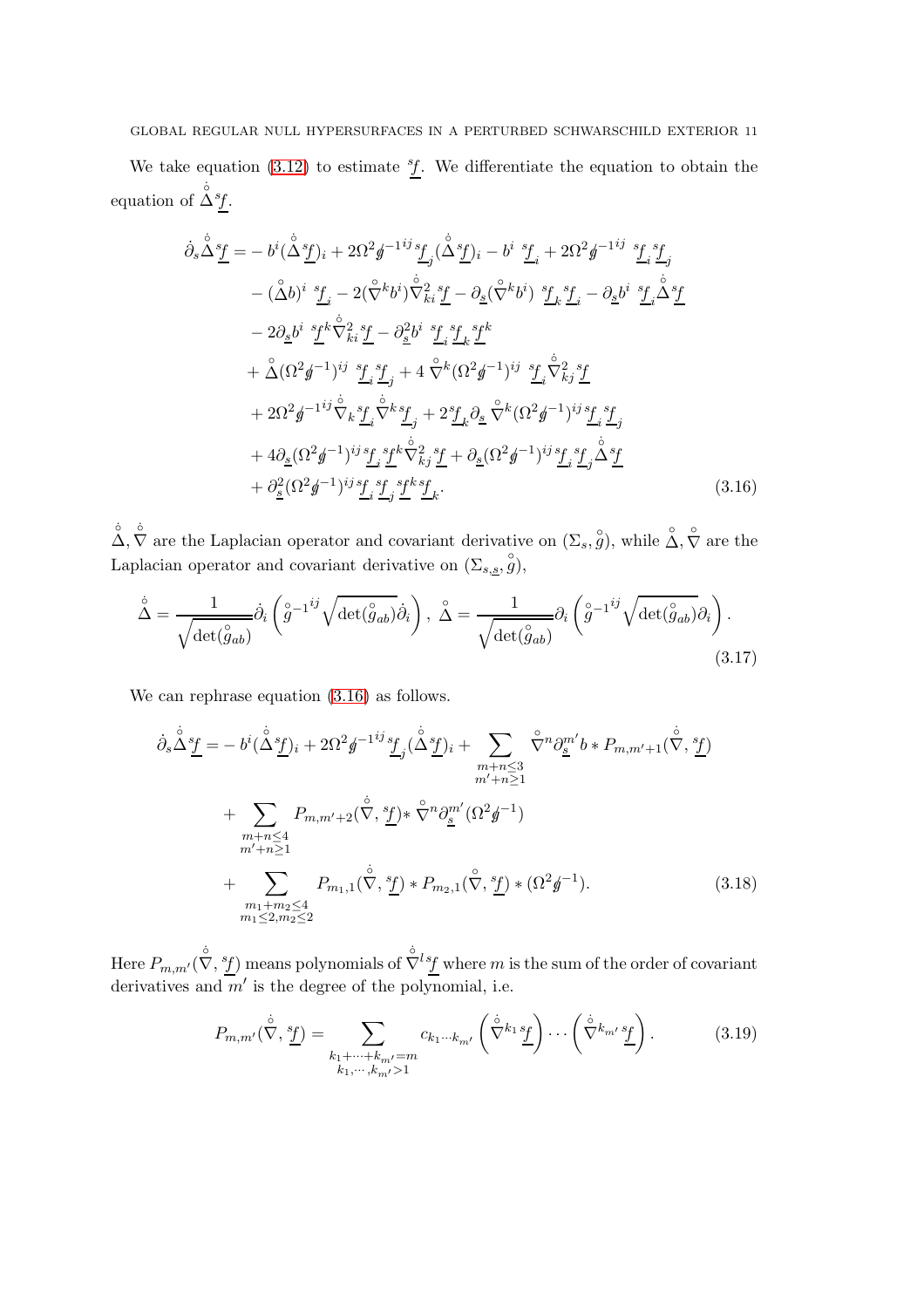We take equation  $(3.12)$  to estimate  ${}^s f$ . We differentiate the equation to obtain the equation of  $\overset{\circ}{\Delta}^{s}f$ .

<span id="page-10-0"></span>
$$
\dot{\partial}_{s} \Delta^{s} \underline{f} = -b^{i} (\Delta^{s} \underline{f})_{i} + 2\Omega^{2} \underline{\phi}^{-1}{}^{ij} \underline{f}_{j} (\Delta^{s} \underline{f})_{i} - b^{i} \underline{f}_{i} + 2\Omega^{2} \underline{\phi}^{-1}{}^{ij} \underline{f}_{i}{}^{i} \underline{f}_{j} \n- (\Delta b)^{i} \underline{f}_{i} - 2(\hat{\nabla}^{k} b^{i}) \hat{\nabla}^{2}_{ki}{}^{i} \underline{f} - \partial_{s} (\hat{\nabla}^{k} b^{i}) \underline{f}_{k}{}^{i} \underline{f}_{i} - \partial_{s} b^{i} \underline{f}_{i} \Delta^{s} \underline{f} \n- 2\partial_{s} b^{i} \underline{f}^{k} \hat{\nabla}^{2}_{ki}{}^{i} \underline{f} - \partial_{s}^{2} b^{i} \underline{f}_{i}{}^{i} \underline{f}_{k}{}^{s} \underline{f}^{k} \n+ \Delta(\Omega^{2} \underline{f}^{-1})^{ij} \underline{f}_{i}{}^{i} \underline{f}_{j} + 4 \hat{\nabla}^{k} (\Omega^{2} \underline{f}^{-1})^{ij} \underline{f}_{i} \hat{\nabla}^{2}_{kj}{}^{i} \underline{f} \n+ 2\Omega^{2} \underline{f}^{-1}{}^{ij} \hat{\nabla}_{k}{}^{i} \underline{f}_{j} \hat{\nabla}^{k}{}^{k} \underline{f}_{j} + 2 \underline{f}_{k} \partial_{s} \Delta^{s} \underline{f}^{k} (\Omega^{2} \underline{f}^{-1})^{ij} \underline{f}_{i}{}^{i} \underline{f}_{j} \n+ 4\partial_{s} (\Omega^{2} \underline{f}^{-1})^{ij} \underline{f}_{i}{}^{i} \underline{f}^{k} \hat{\nabla}^{2}_{kj}{}^{i} \underline{f} + \partial_{s} (\Omega^{2} \underline{f}^{-1})^{ij} \underline{f}_{i}{}^{i} \underline{f}_{j} \Delta^{s} \underline{f} \n+ \partial_{s}^{2} (\Omega^{2} \underline{f}^{-1})^{ij} \underline{f}_{i}{}^{i} \underline{f}_{j}{}^{k} \underline{f}_{k}{}^{k} \underline{f}_{k}
$$
\n(3.16)

 $\hat{\Delta}, \hat{\nabla}$  are the Laplacian operator and covariant derivative on  $(\Sigma_s, \hat{g})$ , while  $\hat{\Delta}, \hat{\nabla}$  are the Laplacian operator and covariant derivative on  $(\Sigma_{s,s}, \overset{\circ}{g})$ ,

$$
\dot{\tilde{\Delta}} = \frac{1}{\sqrt{\det(\overset{\circ}{g}_{ab})}} \dot{\partial}_i \left( \overset{\circ}{g}^{-1^{ij}} \sqrt{\det(\overset{\circ}{g}_{ab})} \dot{\partial}_i \right), \ \ \tilde{\Delta} = \frac{1}{\sqrt{\det(\overset{\circ}{g}_{ab})}} \partial_i \left( \overset{\circ}{g}^{-1^{ij}} \sqrt{\det(\overset{\circ}{g}_{ab})} \partial_i \right). \tag{3.17}
$$

We can rephrase equation  $(3.16)$  as follows.

$$
\dot{\partial}_{s} \Delta \underline{f} = -b^{i} (\Delta^{s} \underline{f})_{i} + 2\Omega^{2} \underline{f}^{-1^{ij}} \underline{f}_{j} (\Delta^{s} \underline{f})_{i} + \sum_{\substack{m+n \leq 3 \\ m'+n \geq 1}} \sqrt[n]{n} \partial_{\underline{g}}^{m} b * P_{m,m'+1} (\vec{\nabla}, \underline{f})
$$
\n
$$
+ \sum_{\substack{m+n \leq 4 \\ m'+n \geq 1}} P_{m,m'+2} (\vec{\nabla}, \underline{f}) * \sqrt[n]{n} \partial_{\underline{g}}^{m'} (\Omega^{2} \underline{f}^{-1})
$$
\n
$$
+ \sum_{\substack{m_{1}+m_{2} \leq 4 \\ m_{1} \leq 2, m_{2} \leq 2}} P_{m_{1},1} (\vec{\nabla}, \underline{f}) * P_{m_{2},1} (\vec{\nabla}, \underline{f}) * (\Omega^{2} \underline{f}^{-1}). \tag{3.18}
$$

Here  $P_{m,m'}(\dot{\bar{\nabla}},\frac{sf}{})$  means polynomials of  $\dot{\bar{\nabla}}^{ls}$  where  $m$  is the sum of the order of covariant derivatives and  $\overline{m}'$  is the degree of the polynomial, i.e.

<span id="page-10-1"></span>
$$
P_{m,m'}(\dot{\nabla}, \underline{\underline{\mathbf{f}}}) = \sum_{\substack{k_1 + \dots + k_{m'} = m\\k_1, \dots, k_{m'} > 1}} c_{k_1 \dots k_{m'}} \left( \dot{\nabla}^{k_1} \underline{\mathbf{f}} \right) \dots \left( \dot{\nabla}^{k_{m'}} \underline{\mathbf{f}} \right). \tag{3.19}
$$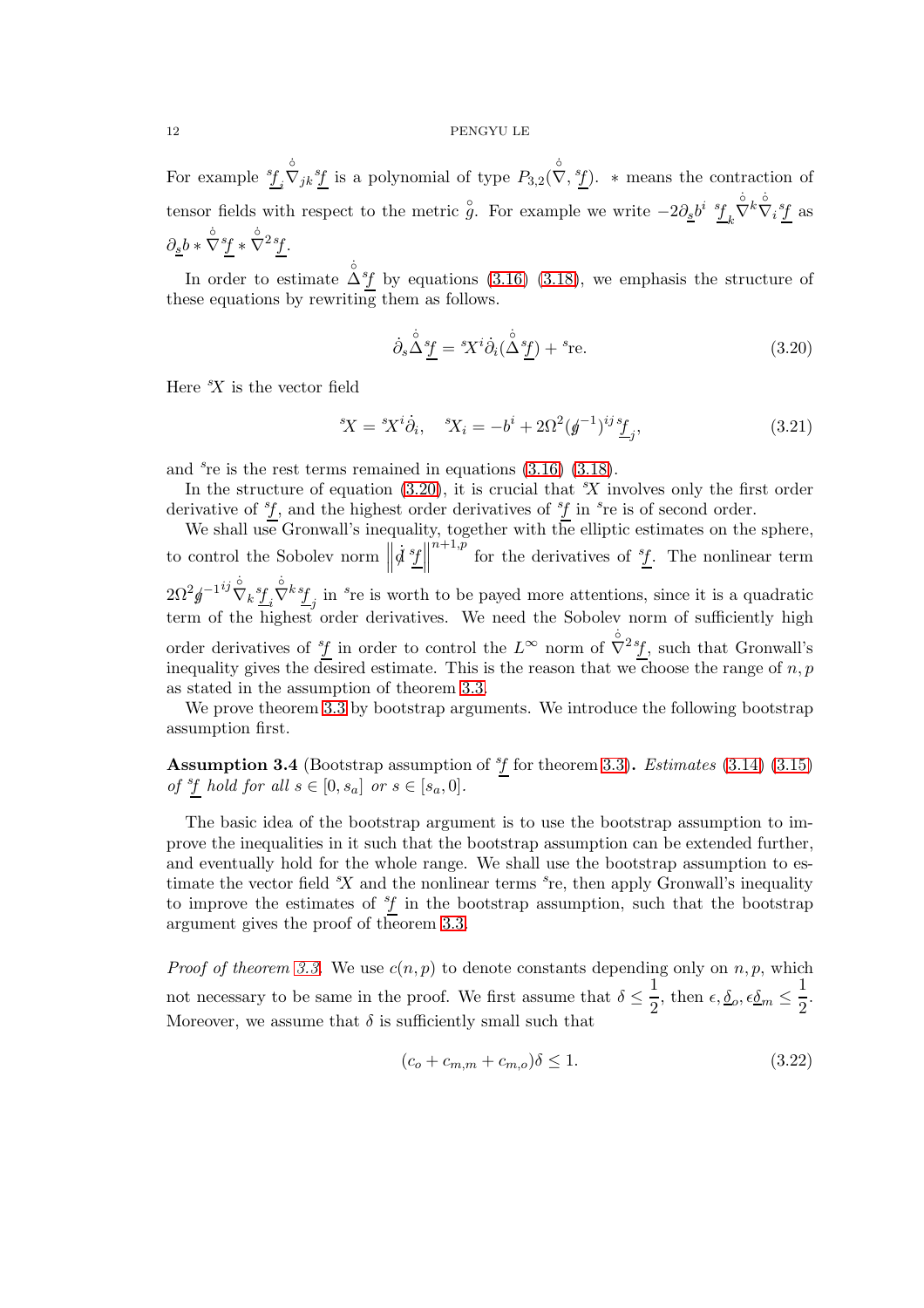For example  $\frac{s_f}{s_i}$  $\overleftrightarrow{V}_{jk}^s$  is a polynomial of type  $P_{3,2}(\overleftrightarrow{V}, \overleftrightarrow{f})$ . \* means the contraction of tensor fields with respect to the metric  $\hat{g}$ . For example we write  $-2\partial_{\underline{s}}b^i \frac{s_f}{k}$  $\overset{\circ}{\nabla}^k \overset{\circ}{\nabla}_i {}^s \underline{f}$  as  $\partial_{\underline{s}}b\ast\overset{\circ}{\nabla}^{s}f\ast\overset{\circ}{\nabla}^{2s}f.$ 

In order to estimate  $\mathring{\Delta}^s f$  by equations [\(3.16\)](#page-10-0) [\(3.18\)](#page-10-1), we emphasis the structure of these equations by rewriting them as follows.

<span id="page-11-0"></span>
$$
\dot{\partial}_s \Delta^{\dot{\circ}} \underline{f} = {}^s \! X^i \dot{\partial}_i (\Delta^{\dot{\circ}} \underline{f}) + {}^s \! \text{re.} \tag{3.20}
$$

Here  $X$  is the vector field

$$
{}^{s}\!X = {}^{s}\!X^i\dot{\partial}_i, \quad {}^{s}\!X_i = -b^i + 2\Omega^2(\phi^{-1})^{ij}\frac{f}{j}, \tag{3.21}
$$

and  $s$ re is the rest terms remained in equations  $(3.16)$   $(3.18)$ .

In the structure of equation  $(3.20)$ , it is crucial that  $X$  involves only the first order derivative of  $f$ , and the highest order derivatives of  $f$  in  $s$ re is of second order.

We shall use Gronwall's inequality, together with the elliptic estimates on the sphere, to control the Sobolev norm  $\parallel$  $\dot{d}$   $\frac{sf}{\perp}$  $n+1,p$  for the derivatives of  $f$ . The nonlinear term  $2\Omega ^{2}\mathit{g}^{-1}}^{ij}\mathring{\nabla }_{k}\underline{^{s}\mathit{f}}_{i}$  $\dot{\nabla}^k \underline{f}_j$  in  $s$ re is worth to be payed more attentions, since it is a quadratic term of the highest order derivatives. We need the Sobolev norm of sufficiently high order derivatives of  ${}^s\!f$  in order to control the  $L^{\infty}$  norm of  $\dot{\nabla}^2{}^s\!f$ , such that Gronwall's inequality gives the desired estimate. This is the reason that we choose the range of  $n, p$ as stated in the assumption of theorem [3.3.](#page-9-1)

We prove theorem [3.3](#page-9-1) by bootstrap arguments. We introduce the following bootstrap assumption first.

<span id="page-11-1"></span>**Assumption 3.4** (Bootstrap assumption of  ${}^s f$  for theorem [3.3\)](#page-9-1). *Estimates* [\(3.14\)](#page-9-3) [\(3.15\)](#page-9-4) of  $\frac{s_f}{s}$  hold for all  $s \in [0, s_a]$  or  $s \in [s_a, 0]$ .

The basic idea of the bootstrap argument is to use the bootstrap assumption to improve the inequalities in it such that the bootstrap assumption can be extended further, and eventually hold for the whole range. We shall use the bootstrap assumption to estimate the vector field  $X$  and the nonlinear terms  $s$ re, then apply Gronwall's inequality to improve the estimates of  ${}^s\!f$  in the bootstrap assumption, such that the bootstrap argument gives the proof of theorem [3.3.](#page-9-1)

*Proof of theorem [3.3.](#page-9-1)* We use  $c(n, p)$  to denote constants depending only on n, p, which not necessary to be same in the proof. We first assume that  $\delta \leq \frac{1}{2}$  $\frac{1}{2}$ , then  $\epsilon, \underline{\delta}_o, \epsilon \underline{\delta}_m \leq \frac{1}{2}$  $\frac{1}{2}$ . Moreover, we assume that  $\delta$  is sufficiently small such that

$$
(c_o + c_{m,m} + c_{m,o})\delta \le 1. \tag{3.22}
$$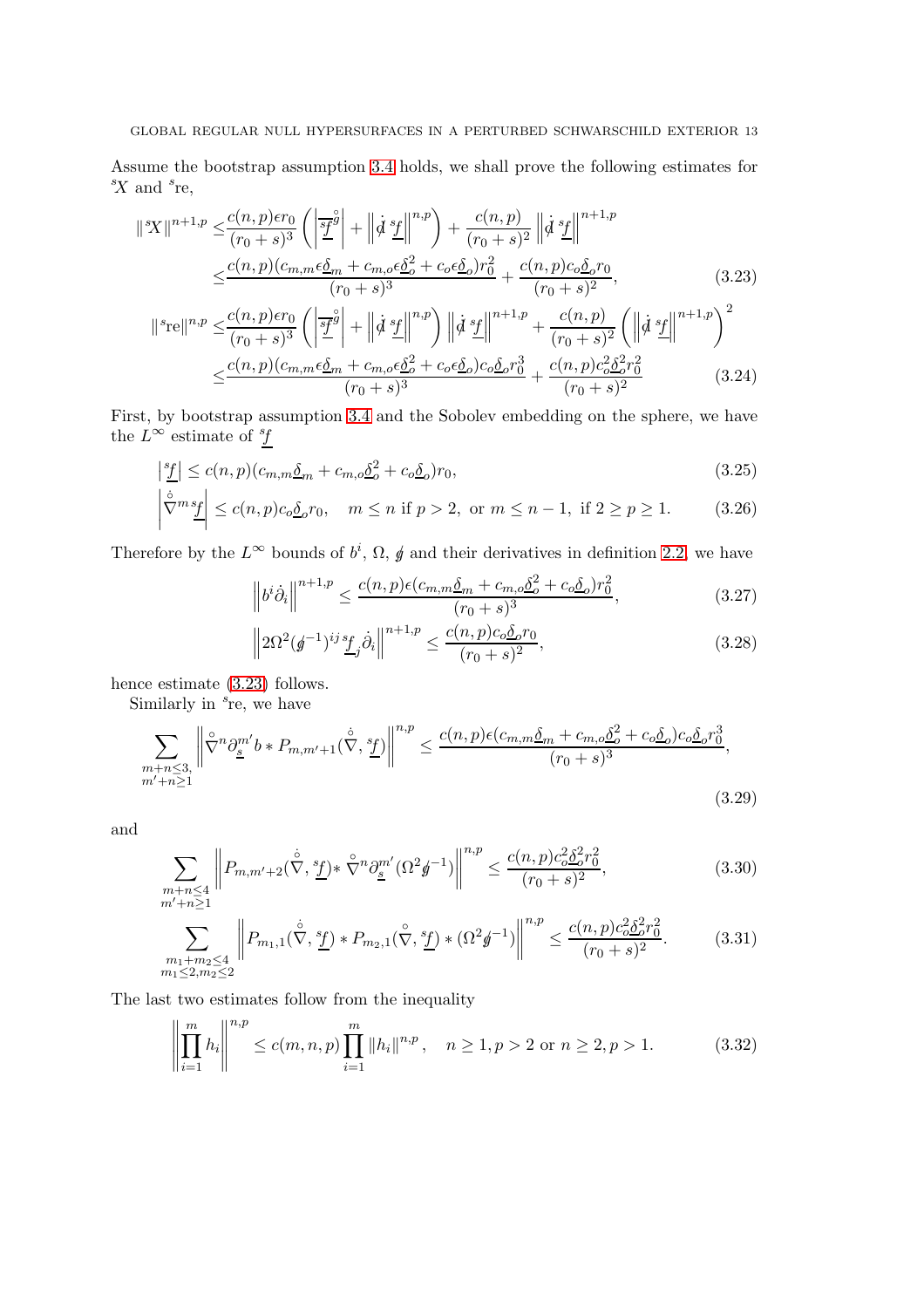Assume the bootstrap assumption [3.4](#page-11-1) holds, we shall prove the following estimates for  $X$  and  $s$ re,

$$
\|{}^{s}\!X\|^{n+1,p} \leq \frac{c(n,p)\epsilon r_0}{(r_0+s)^3} \left( \left| \frac{s\bar{f}}{2} \right|^{\hat{g}} + \left| \dot{\phi} \frac{s\bar{f}}{2} \right| \right|^{n,p} \right) + \frac{c(n,p)}{(r_0+s)^2} \left| \dot{\phi} \frac{s\bar{f}}{2} \right|^{n+1,p} \n\leq \frac{c(n,p)(c_{m,m}\epsilon\underline{\delta}_{m} + c_{m,o}\epsilon\underline{\delta}_{o}^{2} + c_{o}\epsilon\underline{\delta}_{o})r_0^{2}}{(r_0+s)^3} + \frac{c(n,p)c_{o}\underline{\delta}_{o}r_0}{(r_0+s)^2},
$$
\n
$$
\|{}^{s}\!{\rm re}\|^{n,p} \leq \frac{c(n,p)\epsilon r_0}{(r_0+s)^3} \left( \left| \frac{s\bar{f}}{2} \right|^{\hat{g}} + \left| \dot{\phi} \frac{s\bar{f}}{2} \right|^{n,p} \right) \left| \dot{\phi} \frac{s\bar{f}}{2} \right|^{n+1,p} + \frac{c(n,p)}{(r_0+s)^2} \left( \left| \dot{\phi} \frac{s\bar{f}}{2} \right|^{n+1,p} \right)^2 \n\leq \frac{c(n,p)(c_{m,m}\epsilon\underline{\delta}_{m} + c_{m,o}\epsilon\underline{\delta}_{o}^{2} + c_{o}\epsilon\underline{\delta}_{o})c_{o}\underline{\delta}_{o}r_0^{3}}{(r_0+s)^3} + \frac{c(n,p)c_{o}\epsilon\underline{\delta}_{o}^{2}r_0^{2}}{(r_0+s)^2}
$$
\n(3.24)

First, by bootstrap assumption [3.4](#page-11-1) and the Sobolev embedding on the sphere, we have the  $L^{\infty}$  estimate of  ${}^{s}\!f$ 

$$
\left|\frac{s_f}{f}\right| \le c(n, p)(c_{m,m}\underline{\delta}_m + c_{m,o}\underline{\delta}_o^2 + c_o\underline{\delta}_o)r_0,
$$
\n(3.25)

$$
\left|\n\stackrel{\circ}{\nabla}^m \stackrel{s_f}{\leq} \right| \leq c(n, p)c_o \underline{\delta}_o r_0, \quad m \leq n \text{ if } p > 2, \text{ or } m \leq n - 1, \text{ if } 2 \geq p \geq 1. \tag{3.26}
$$

Therefore by the  $L^{\infty}$  bounds of  $b^{i}$ ,  $\Omega$ ,  $\oint$  and their derivatives in definition [2.2,](#page-6-0) we have

<span id="page-12-2"></span><span id="page-12-0"></span>
$$
\left\|b^{i}\dot{\partial}_{i}\right\|^{n+1,p} \le \frac{c(n,p)\epsilon(c_{m,m}\underline{\delta}_{m} + c_{m,o}\underline{\delta}_{o}^{2} + c_{o}\underline{\delta}_{o})r_{0}^{2}}{(r_{0} + s)^{3}},\tag{3.27}
$$

$$
\left\| 2\Omega^2 (\mathbf{g}^{-1})^{ij} \underline{^s f}_j \dot{\partial}_i \right\|^{n+1,p} \le \frac{c(n,p)c_o \underline{\delta}_o r_0}{(r_0+s)^2},\tag{3.28}
$$

hence estimate [\(3.23\)](#page-12-0) follows.

Similarly in  $s$ re, we have

$$
\sum_{\substack{m+n\leq 3,\\m'+n\geq 1}} \left\| \tilde{\nabla}^n \partial_{\underline{s}}^{m'} b * P_{m,m'+1}(\dot{\tilde{\nabla}}, \underline{s}^{\prime}) \right\|^{n,p} \leq \frac{c(n,p)\epsilon(c_{m,m}\underline{\delta}_m + c_{m,o}\underline{\delta}_o^2 + c_o\underline{\delta}_o)c_o\underline{\delta}_o r_0^3}{(r_0+s)^3},\tag{3.29}
$$

and

$$
\sum_{\substack{m+n\leq 4\\m'+n\geq 1}} \left\| P_{m,m'+2}(\dot{\nabla}, \frac{s_f}{L}) \ast \hat{\nabla}^n \partial_{\underline{s}}^{m'} (\Omega^2 \mathbf{g}^{-1}) \right\|^{n,p} \leq \frac{c(n,p)c_o^2 \delta_o^2 r_0^2}{(r_0+s)^2},\tag{3.30}
$$

$$
\sum_{\substack{m_1+m_2\le 4\\m_1\le 2,m_2\le 2}} \left\| P_{m_1,1}(\dot{\nabla}, \frac{s_f}{L}) \ast P_{m_2,1}(\dot{\nabla}, \frac{s_f}{L}) \ast (\Omega^2 \mathbf{g}^{-1}) \right\|^{n,p} \le \frac{c(n,p)c_o^2 \delta_o^2 r_0^2}{(r_0+s)^2}.
$$
 (3.31)

The last two estimates follow from the inequality

<span id="page-12-1"></span>
$$
\left\| \prod_{i=1}^{m} h_i \right\|^{n,p} \le c(m, n, p) \prod_{i=1}^{m} \|h_i\|^{n,p}, \quad n \ge 1, p > 2 \text{ or } n \ge 2, p > 1. \tag{3.32}
$$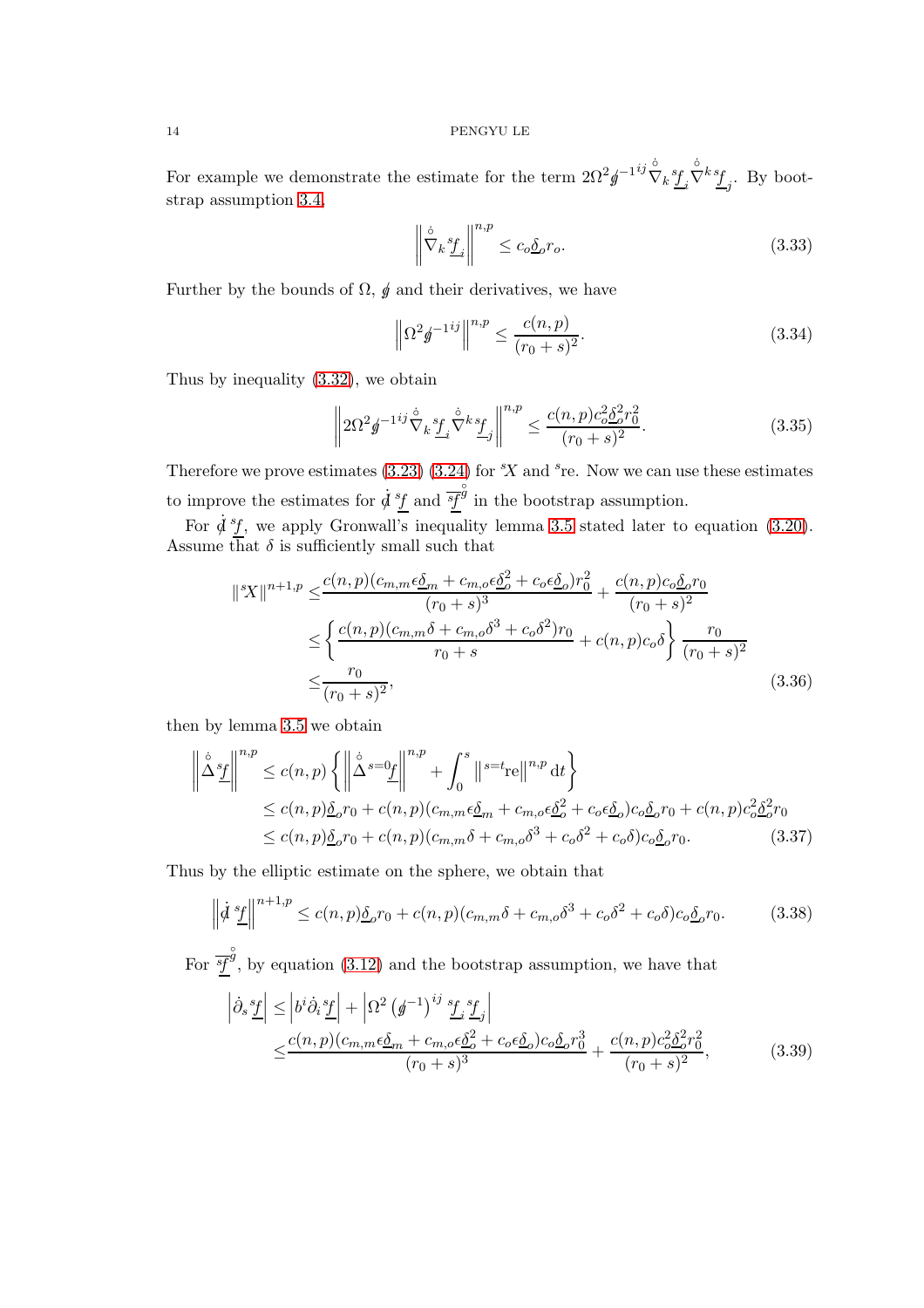For example we demonstrate the estimate for the term  $2\Omega^2\rlap{\hspace{0.2mm}}g^{-1}^{ij}\mathring{\nabla}_k\underline{sf}_i$  $\dot{\nabla}^k \underline{f}_j$ . By bootstrap assumption [3.4,](#page-11-1)

$$
\left\| \nabla_k \underline{f}_i \right\|^{n,p} \le c_o \underline{\delta}_o r_o. \tag{3.33}
$$

Further by the bounds of  $\Omega$ ,  $\oint$  and their derivatives, we have

$$
\left\| \Omega^2 \mathbf{g}^{-1ij} \right\|^{n,p} \le \frac{c(n,p)}{(r_0 + s)^2}.
$$
\n(3.34)

Thus by inequality [\(3.32\)](#page-12-1), we obtain

$$
\left\| 2\Omega^2 \mathbf{g}^{-1ij} \mathring{\nabla}_k \underline{\mathbf{f}}_i \mathring{\nabla}^k \underline{\mathbf{f}}_j \right\|^{n,p} \le \frac{c(n,p)c_o^2 \underline{\delta}_o^2 r_0^2}{(r_0+s)^2}.
$$
 (3.35)

Therefore we prove estimates  $(3.23)$   $(3.24)$  for  $X$  and  $^s$ re. Now we can use these estimates to improve the estimates for  $\dot{d}^{s}f$  and  $\overline{s}f$  $\check{\check{g}}$  in the bootstrap assumption.

For  $\dot{d}^s f$ , we apply Gronwall's inequality lemma [3.5](#page-14-0) stated later to equation [\(3.20\)](#page-11-0). Assume that  $\delta$  is sufficiently small such that

$$
\|{}^{s}\!X\|^{n+1,p} \leq \frac{c(n,p)(c_{m,m}\epsilon\underline{\delta}_{m} + c_{m,o}\epsilon\underline{\delta}_{o}^{2} + c_{o}\epsilon\underline{\delta}_{o})r_{0}^{2}}{(r_{0} + s)^{3}} + \frac{c(n,p)c_{o}\underline{\delta}_{o}r_{0}}{(r_{0} + s)^{2}} \leq \left\{ \frac{c(n,p)(c_{m,m}\delta + c_{m,o}\delta^{3} + c_{o}\delta^{2})r_{0}}{r_{0} + s} + c(n,p)c_{o}\delta \right\} \frac{r_{0}}{(r_{0} + s)^{2}} \leq \frac{r_{0}}{(r_{0} + s)^{2}},
$$
\n(3.36)

then by lemma [3.5](#page-14-0) we obtain

$$
\left\|\dot{\Delta}^s \underline{f}\right\|^{n,p} \le c(n,p) \left\{ \left\|\dot{\Delta}^{s} = 0\underline{f}\right\|^{n,p} + \int_0^s \left\|s = t_{\text{rel}}\right\|^{n,p} \mathrm{d}t \right\}
$$
  
\n
$$
\le c(n,p) \underline{\delta}_o r_0 + c(n,p) (c_{m,m} \epsilon \underline{\delta}_m + c_{m,o} \epsilon \underline{\delta}_o^2 + c_o \epsilon \underline{\delta}_o) c_o \underline{\delta}_o r_0 + c(n,p) c_o^2 \underline{\delta}_o^2 r_0
$$
  
\n
$$
\le c(n,p) \underline{\delta}_o r_0 + c(n,p) (c_{m,m} \delta + c_{m,o} \delta^3 + c_o \delta^2 + c_o \delta) c_o \underline{\delta}_o r_0. \tag{3.37}
$$

Thus by the elliptic estimate on the sphere, we obtain that

$$
\left\|\dot{\mathcal{d}}\frac{s_f}{\mathcal{L}}\right\|^{n+1,p} \le c(n,p)\underline{\delta}_o r_0 + c(n,p)(c_{m,m}\delta + c_{m,o}\delta^3 + c_o\delta^2 + c_o\delta)c_o\underline{\delta}_o r_0.
$$
 (3.38)

For  $\overline{sf}$  $\hat{\mathcal{G}}$ , by equation [\(3.12\)](#page-8-6) and the bootstrap assumption, we have that

<span id="page-13-1"></span><span id="page-13-0"></span>
$$
\left| \dot{\partial}_s \frac{sf}{\perp} \right| \le \left| b^i \dot{\partial}_i \frac{sf}{\perp} \right| + \left| \Omega^2 \left( \cancel{\phi}^{-1} \right)^{ij} \frac{sf}{\perp} \frac{sf}{\perp} \right|
$$
\n
$$
\le \frac{c(n, p)(c_{m, m} \epsilon \underline{\delta}_m + c_{m, o} \epsilon \underline{\delta}^2 + c_o \epsilon \underline{\delta}_o) c_o \underline{\delta}_o r_0^3}{(r_0 + s)^3} + \frac{c(n, p) c_o^2 \underline{\delta}_o^2 r_0^2}{(r_0 + s)^2},
$$
\n(3.39)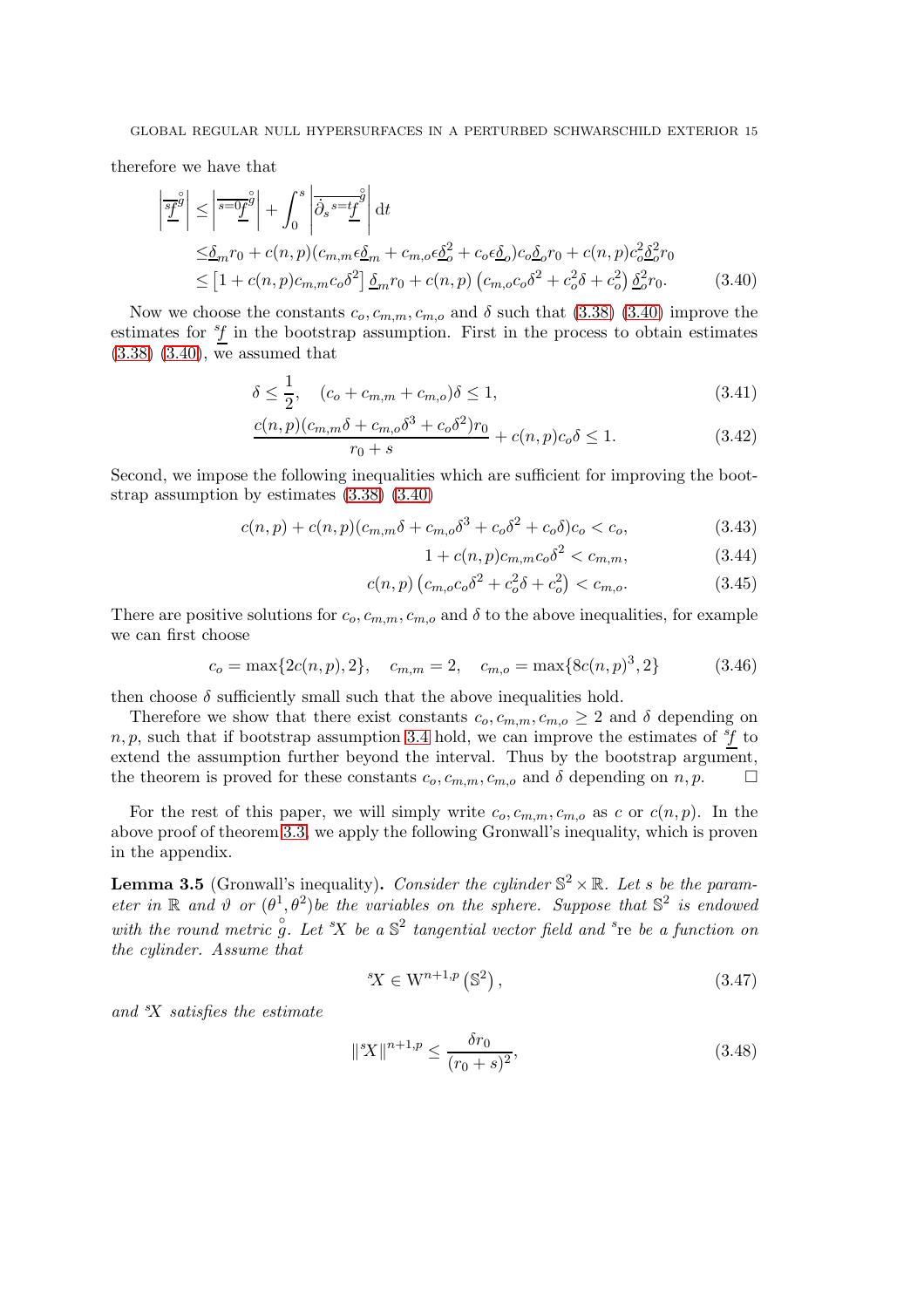therefore we have that

$$
\left| \frac{\overline{s}^{\beta}}{2} \right| \leq \left| \overline{s} = 0 \underline{f}^{\beta} \right| + \int_{0}^{s} \left| \overline{\partial}_{s} s = t\underline{f}^{\beta} \right| dt
$$
  
\n
$$
\leq \underline{\delta}_{m} r_{0} + c(n, p) (c_{m, m} \epsilon \underline{\delta}_{m} + c_{m, o} \epsilon \underline{\delta}^{2} + c_{o} \epsilon \underline{\delta}_{o}) c_{o} \underline{\delta}_{o} r_{0} + c(n, p) c_{o}^{2} \underline{\delta}^{2} r_{0}
$$
  
\n
$$
\leq [1 + c(n, p) c_{m, m} c_{o} \delta^{2}] \underline{\delta}_{m} r_{0} + c(n, p) (c_{m, o} c_{o} \delta^{2} + c_{o}^{2} \delta + c_{o}^{2}) \underline{\delta}^{2} r_{0}.
$$
 (3.40)

Now we choose the constants  $c_o, c_{m,m}, c_{m,o}$  and  $\delta$  such that [\(3.38\)](#page-13-0) [\(3.40\)](#page-14-1) improve the estimates for  ${}^{s}f$  in the bootstrap assumption. First in the process to obtain estimates [\(3.38\)](#page-13-0) [\(3.40\)](#page-14-1), we assumed that

$$
\delta \le \frac{1}{2}, \quad (c_o + c_{m,m} + c_{m,o})\delta \le 1,\tag{3.41}
$$

$$
\frac{c(n,p)(c_{m,m}\delta + c_{m,o}\delta^3 + c_o\delta^2)r_0}{r_0 + s} + c(n,p)c_o\delta \le 1.
$$
 (3.42)

Second, we impose the following inequalities which are sufficient for improving the bootstrap assumption by estimates [\(3.38\)](#page-13-0) [\(3.40\)](#page-14-1)

$$
c(n,p) + c(n,p)(c_{m,m}\delta + c_{m,o}\delta^3 + c_o\delta^2 + c_o\delta)c_o < c_o,
$$
\n(3.43)

<span id="page-14-1"></span>
$$
1 + c(n, p)c_{m,m}c_0\delta^2 < c_{m,m},\tag{3.44}
$$

$$
c(n,p) (c_{m,o}c_o \delta^2 + c_o^2 \delta + c_o^2) < c_{m,o}.\tag{3.45}
$$

There are positive solutions for  $c_0$ ,  $c_{m,m}$ ,  $c_{m,o}$  and  $\delta$  to the above inequalities, for example we can first choose

$$
c_o = \max\{2c(n, p), 2\}, \quad c_{m, m} = 2, \quad c_{m, o} = \max\{8c(n, p)^3, 2\}
$$
(3.46)

then choose  $\delta$  sufficiently small such that the above inequalities hold.

Therefore we show that there exist constants  $c_0, c_{m,m}, c_{m,0} \geq 2$  and  $\delta$  depending on  $n, p$ , such that if bootstrap assumption [3.4](#page-11-1) hold, we can improve the estimates of  ${}^{s}f$  to extend the assumption further beyond the interval. Thus by the bootstrap argument, the theorem is proved for these constants  $c_o, c_{m,m}, c_{m,o}$  and  $\delta$  depending on  $n, p$ .

For the rest of this paper, we will simply write  $c_o, c_{m,m}, c_{m,o}$  as c or  $c(n, p)$ . In the above proof of theorem [3.3,](#page-9-1) we apply the following Gronwall's inequality, which is proven in the appendix.

<span id="page-14-0"></span>**Lemma 3.5** (Gronwall's inequality). Consider the cylinder  $\mathbb{S}^2 \times \mathbb{R}$ . Let s be the parameter in R and  $\vartheta$  or  $(\theta^1, \theta^2)$  be the variables on the sphere. Suppose that  $\mathbb{S}^2$  is endowed with the round metric  $\hat{g}$ . Let  $X$  be a  $\mathbb{S}^2$  tangential vector field and  ${}^s$ re be a function on the cylinder. Assume that

$$
{}^{s}X \in \mathcal{W}^{n+1,p} \left( \mathbb{S}^{2} \right), \tag{3.47}
$$

and  $X$  satisfies the estimate

$$
\|{}^{s}X\|^{n+1,p} \le \frac{\delta r_0}{(r_0+s)^2},\tag{3.48}
$$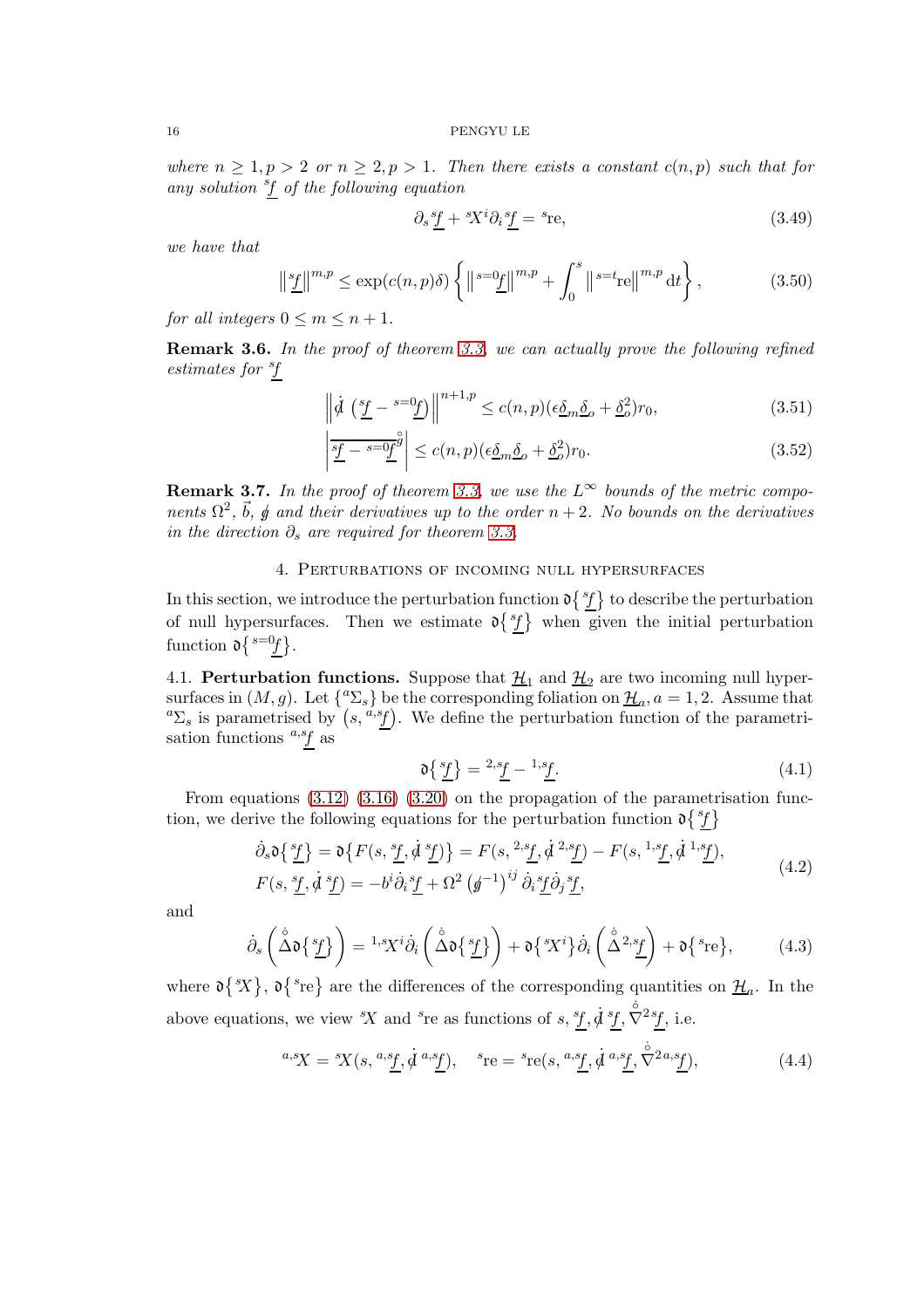where  $n \geq 1, p > 2$  or  $n \geq 2, p > 1$ . Then there exists a constant  $c(n, p)$  such that for any solution <sup>s</sup>f of the following equation

$$
\partial_s \underline{f} + {}^s \! X^i \partial_i \underline{f} = {}^s \! \text{re},\tag{3.49}
$$

we have that

$$
\left\| \frac{s_f}{L} \right\|^{m,p} \le \exp(c(n,p)\delta) \left\{ \left\| \frac{s_g}{L} \right\|^{m,p} + \int_0^s \left\| \frac{s_g}{L} \right\|^{m,p} \mathrm{d}t \right\},\tag{3.50}
$$

for all integers  $0 \leq m \leq n+1$ .

**Remark 3.6.** In the proof of theorem [3.3,](#page-9-1) we can actually prove the following refined estimates for  ${}^{s}\!f$ 

$$
\left\| \dot{d} \left( \frac{s_f}{\underline{f}} - \frac{s = 0}{\underline{f}} \right) \right\|^{n+1,p} \le c(n,p) (\epsilon \underline{\delta}_m \underline{\delta}_o + \underline{\delta}_o^2) r_0,
$$
\n(3.51)

$$
\left| \frac{s_f - s}{\underline{\theta}} \right|^{\hat{g}} \le c(n, p) (\epsilon \underline{\delta}_m \underline{\delta}_o + \underline{\delta}_o^2) r_0.
$$
 (3.52)

**Remark 3.7.** In the proof of theorem [3.3,](#page-9-1) we use the  $L^{\infty}$  bounds of the metric components  $\Omega^2$ ,  $\vec{b}$ ,  $\vec{g}$  and their derivatives up to the order  $n+2$ . No bounds on the derivatives in the direction  $\partial_s$  are required for theorem [3.3.](#page-9-1)

## 4. Perturbations of incoming null hypersurfaces

<span id="page-15-0"></span>In this section, we introduce the perturbation function  $\mathfrak{d} \{ {}^s f \}$  to describe the perturbation of null hypersurfaces. Then we estimate  $\mathfrak{d}\left\{ {}^{s}f \right\}$  when given the initial perturbation function  $\mathfrak{d} \{{}^{s=0}f\}.$ 

<span id="page-15-1"></span>4.1. **Perturbation functions.** Suppose that  $\underline{\mathcal{H}}_1$  and  $\underline{\mathcal{H}}_2$  are two incoming null hypersurfaces in  $(M, g)$ . Let  $\{^a\Sigma_s\}$  be the corresponding foliation on  $\underline{\mathcal{H}}_a$ ,  $a = 1, 2$ . Assume that <sup>a</sup> $\Sigma_s$  is parametrised by  $(s, \frac{a,s_f}{c})$ . We define the perturbation function of the parametrisation functions  $a, s$  as

<span id="page-15-4"></span><span id="page-15-3"></span><span id="page-15-2"></span>
$$
\mathfrak{d}\left\{\frac{s_f}{\underline{f}}\right\} = \frac{2s_f}{\underline{f}} - \frac{1}{\underline{s}}.
$$
\n(4.1)

From equations [\(3.12\)](#page-8-6) [\(3.16\)](#page-10-0) [\(3.20\)](#page-11-0) on the propagation of the parametrisation function, we derive the following equations for the perturbation function  $\mathfrak{d}\lbrace f \rbrace$ 

$$
\dot{\partial}_s \mathfrak{d}\left\{\frac{s_f}{f}\right\} = \mathfrak{d}\left\{F(s, \frac{s_f}{f}, \dot{\mathfrak{d}}^s \underline{f})\right\} = F(s, \frac{2s_f}{f}, \dot{\mathfrak{d}}^s \underline{f}) - F(s, \frac{1,s_f}{f}, \dot{\mathfrak{d}}^{1,s} \underline{f}),
$$
\n
$$
F(s, \frac{s_f}{f}, \dot{\mathfrak{d}}^s \underline{f}) = -b^i \dot{\partial}_i \frac{s_f}{f} + \Omega^2 \left(\underline{\mathfrak{d}}^{-1}\right)^{ij} \dot{\partial}_i \frac{s_f}{f} \dot{\partial}_j \frac{s_f}{f},
$$
\n
$$
(4.2)
$$

and

$$
\dot{\partial}_s \left( \overset{\circ}{\Delta} \mathfrak{d} \left\{ \frac{s_f}{L} \right\} \right) = {}^{1,s}X^i \dot{\partial}_i \left( \overset{\circ}{\Delta} \mathfrak{d} \left\{ \frac{s_f}{L} \right\} \right) + \mathfrak{d} \left\{ {}^{s}X^i \right\} \dot{\partial}_i \left( \overset{\circ}{\Delta} {}^{2,s} \underset{f}{L} \right) + \mathfrak{d} \left\{ {}^{s} \text{re} \right\}, \tag{4.3}
$$

where  $\mathfrak{d} \{ {}^s \! X \}$ ,  $\mathfrak{d} \{ {}^s \! \}$  are the differences of the corresponding quantities on  $\mathcal{H}_a$ . In the above equations, we view  $X$  and <sup>s</sup>re as functions of s,  $f, \dot{d} f, \dot{\nabla}^2 f$ , i.e.

$$
{}^{a,s}X = {}^{s}X(s, {}^{a,s}\underline{f}, \dot{d}^{a,s}\underline{f}), \quad {}^{s}re = {}^{s}re(s, {}^{a,s}\underline{f}, \dot{d}^{a,s}\underline{f}, \dot{\nabla}^{2a,s}\underline{f}), \tag{4.4}
$$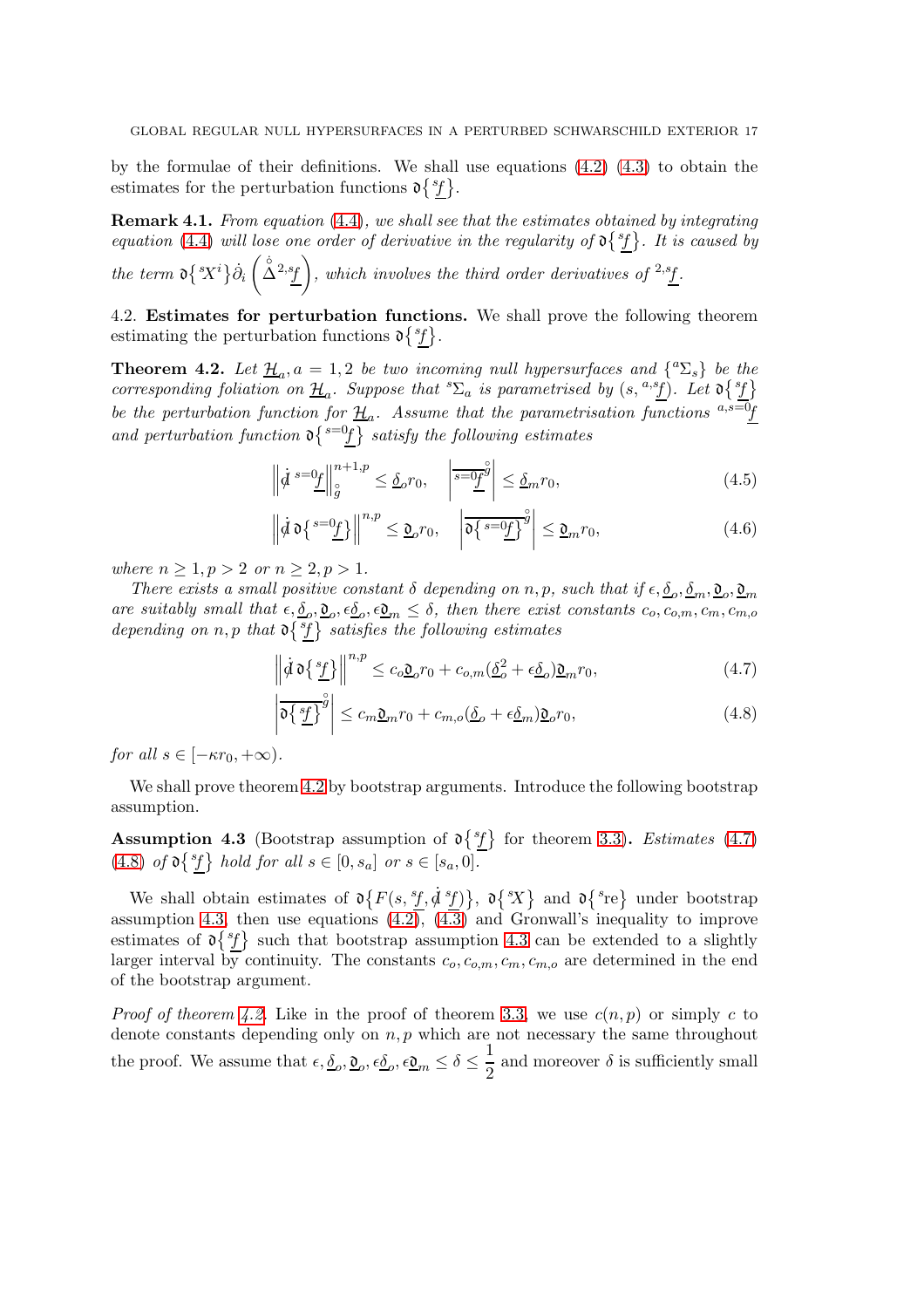by the formulae of their definitions. We shall use equations [\(4.2\)](#page-15-2) [\(4.3\)](#page-15-3) to obtain the estimates for the perturbation functions  $\mathfrak{d} \{ {}^{sf}\}.$ 

<span id="page-16-5"></span>Remark 4.1. From equation [\(4.4\)](#page-15-4), we shall see that the estimates obtained by integrating equation [\(4.4\)](#page-15-4) will lose one order of derivative in the regularity of  $\delta^{s}$ . It is caused by the term  $\mathfrak{d}\left\{X^i\right\}\dot{\partial}_i$  $(\Delta^{2,s}f)$ , which involves the third order derivatives of <sup>2,s</sup>f.

<span id="page-16-0"></span>4.2. Estimates for perturbation functions. We shall prove the following theorem estimating the perturbation functions  $\mathfrak{d}\lbrace ^{sf} \rbrace$ .

<span id="page-16-1"></span>**Theorem 4.2.** Let  $\underline{\mathcal{H}}_a$ ,  $a = 1, 2$  be two incoming null hypersurfaces and  $\{^a \Sigma_s \}$  be the corresponding foliation on  $\underline{\mathcal{H}}_a$ . Suppose that  ${}^s\Sigma_a$  is parametrised by  $(s, {}^{a,s}\underline{f})$ . Let  $\mathfrak{d}\left\{{}^s\underline{f}\right\}$ be the perturbation function for  $\underline{\mathcal{H}}_a$ . Assume that the parametrisation functions  $a,s=0$ and perturbation function  $\mathfrak{d} \{ \text{ }^{s=0}f \}$  satisfy the following estimates

$$
\left\| \dot{d}^{s=0} \underline{f} \right\|_{\mathcal{G}}^{n+1,p} \leq \underline{\delta}_{o} r_{0}, \quad \left| \overline{s=0} \underline{f}^{\mathcal{G}} \right| \leq \underline{\delta}_{m} r_{0}, \tag{4.5}
$$

$$
\left\| \dot{\mathcal{d}} \, \mathfrak{d} \left\{ \frac{s = 0_f}{\underline{f}} \right\} \right\|^{n,p} \leq \underline{\mathfrak{d}}_o r_0, \quad \left| \overline{\mathfrak{d} \left\{ \frac{s = 0_f}{\underline{f}} \right\}}^{\circ} \right| \leq \underline{\mathfrak{d}}_m r_0,
$$
\n(4.6)

where  $n \geq 1, p > 2$  or  $n \geq 2, p > 1$ .

There exists a small positive constant  $\delta$  depending on n, p, such that if  $\epsilon, \underline{\delta}_o, \underline{\delta}_m, \underline{\mathfrak{d}}_o, \underline{\mathfrak{d}}_m$ are suitably small that  $\epsilon, \underline{\delta}_o, \underline{\mathfrak{d}}_o, \epsilon \underline{\delta}_o, \epsilon \underline{\mathfrak{d}}_m \leq \delta$ , then there exist constants  $c_o, c_{o,m}, c_m, c_{m,o}$ depending on n, p that  $\mathfrak{d} \{ {}^s f \}$  satisfies the following estimates

<span id="page-16-2"></span>
$$
\left\| \dot{\mathcal{d}} \, \mathfrak{d} \left\{ \frac{s_f}{L} \right\} \right\|^{n, p} \le c_o \underline{\mathfrak{d}}_o r_0 + c_{o, m} (\underline{\delta}_o^2 + \epsilon \underline{\delta}_o) \underline{\mathfrak{d}}_m r_0, \tag{4.7}
$$

<span id="page-16-3"></span>
$$
\left| \overline{\mathfrak{d}\left\{ \frac{sf}{\underline{f}}\right\}^{\overset{\circ}{g}}} \right| \leq c_m \underline{\mathfrak{d}}_m r_0 + c_{m,o}(\underline{\delta}_o + \epsilon \underline{\delta}_m) \underline{\mathfrak{d}}_o r_0,\tag{4.8}
$$

for all  $s \in [-\kappa r_0, +\infty)$ .

We shall prove theorem [4.2](#page-16-1) by bootstrap arguments. Introduce the following bootstrap assumption.

<span id="page-16-4"></span>**Assumption 4.3** (Bootstrap assumption of  $\partial \{^s f\}$  for theorem [3.3\)](#page-9-1). Estimates [\(4.7\)](#page-16-2) [\(4.8\)](#page-16-3) of  $\mathfrak{d}\lbrace^{sf}\rbrace$  hold for all  $s \in [0, s_a]$  or  $s \in [s_a, 0]$ .

We shall obtain estimates of  $\mathfrak{d}\{F(s, ^{s}f, \dot{d}^{s}f)\}, \mathfrak{d}\{sX\}$  and  $\mathfrak{d}\{s^{\text{re}}\}$  under bootstrap assumption [4.3,](#page-16-4) then use equations  $(4.2)$ ,  $(4.3)$  and Gronwall's inequality to improve estimates of  $\mathfrak{d} \{ {}^s f \}$  such that bootstrap assumption [4.3](#page-16-4) can be extended to a slightly larger interval by continuity. The constants  $c_0, c_{0,m}, c_m, c_{m,o}$  are determined in the end of the bootstrap argument.

*Proof of theorem [4.2.](#page-16-1)* Like in the proof of theorem [3.3,](#page-9-1) we use  $c(n, p)$  or simply c to denote constants depending only on  $n, p$  which are not necessary the same throughout the proof. We assume that  $\epsilon, \underline{\delta}_o, \underline{\mathfrak{d}}_o, \epsilon \underline{\delta}_o, \epsilon \underline{\mathfrak{d}}_m \leq \delta \leq \frac{1}{2}$  $\frac{1}{2}$  and moreover  $\delta$  is sufficiently small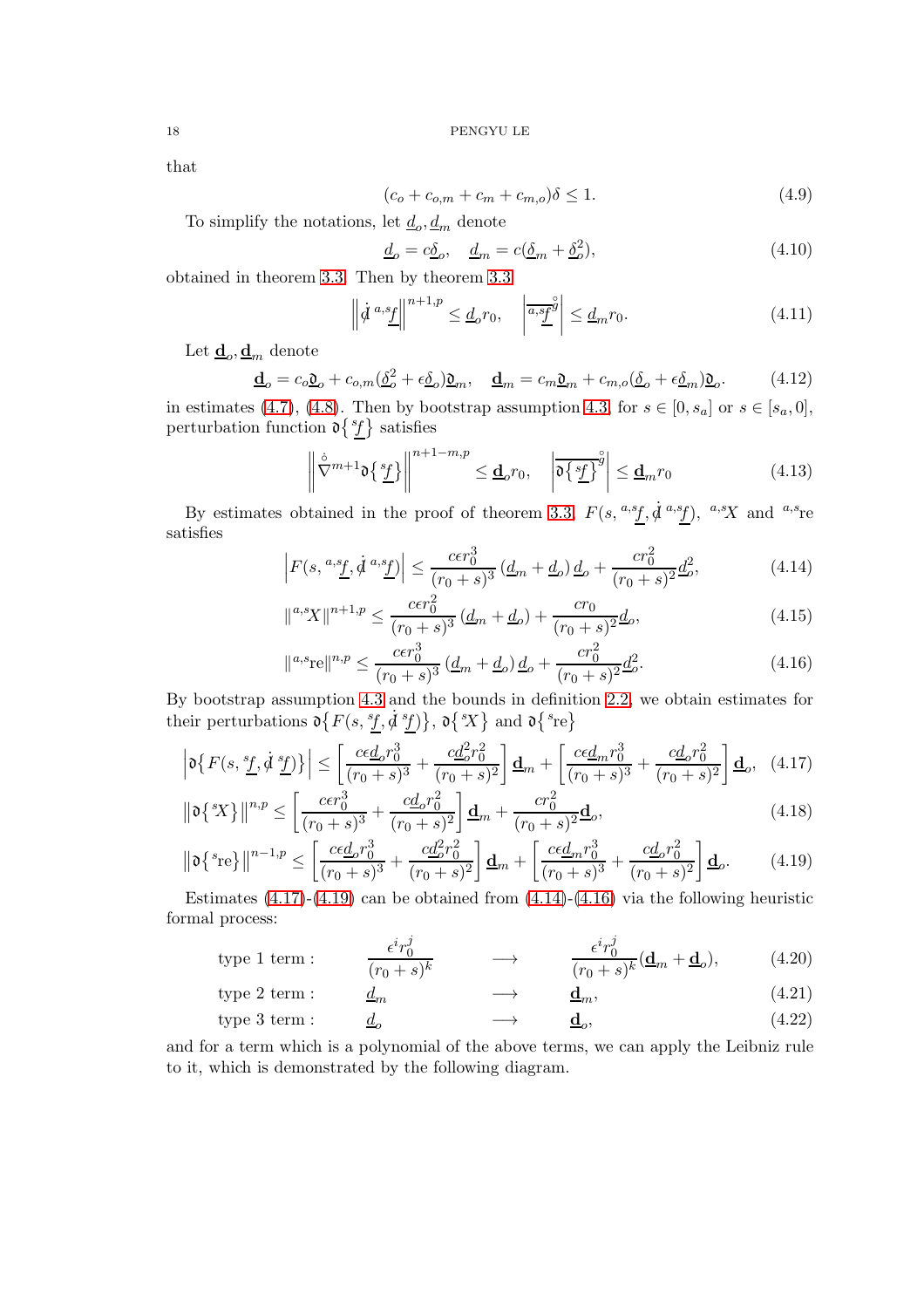that

$$
(c_o + c_{o,m} + c_m + c_{m,o})\delta \le 1.
$$
\n(4.9)

To simplify the notations, let  $\underline{d}_{o}$ ,  $\underline{d}_{m}$  denote

$$
\underline{d}_o = c\underline{\delta}_o, \quad \underline{d}_m = c(\underline{\delta}_m + \underline{\delta}_o^2),\tag{4.10}
$$

obtained in theorem [3.3.](#page-9-1) Then by theorem [3.3](#page-9-1)

$$
\left\| \dot{d}^{a,s} \underline{f} \right\|^{n+1,p} \leq \underline{d}_o r_0, \quad \left| \overline{a,s} \underline{f}^{\hat{g}} \right| \leq \underline{d}_m r_0. \tag{4.11}
$$

Let  $\underline{\mathbf{d}}_o, \underline{\mathbf{d}}_m$  denote

$$
\underline{\mathbf{d}}_o = c_o \underline{\mathbf{0}}_o + c_{o,m} (\underline{\delta}_o^2 + \epsilon \underline{\delta}_o) \underline{\mathbf{0}}_m, \quad \underline{\mathbf{d}}_m = c_m \underline{\mathbf{0}}_m + c_{m,o} (\underline{\delta}_o + \epsilon \underline{\delta}_m) \underline{\mathbf{0}}_o. \tag{4.12}
$$

in estimates [\(4.7\)](#page-16-2), [\(4.8\)](#page-16-3). Then by bootstrap assumption [4.3,](#page-16-4) for  $s \in [0, s_a]$  or  $s \in [s_a, 0]$ , perturbation function  $\mathfrak{d}\lbrace ^{sf}\rbrace$  satisfies

<span id="page-17-2"></span>
$$
\left\| \nabla^{m+1} \mathfrak{d} \left\{ \frac{s_f}{L} \right\} \right\|^{n+1-m,p} \leq \underline{\mathbf{d}}_o r_0, \quad \left| \overline{\mathfrak{d} \left\{ \frac{s_f}{L} \right\}}^{\hat{g}} \right| \leq \underline{\mathbf{d}}_m r_0 \tag{4.13}
$$

By estimates obtained in the proof of theorem [3.3,](#page-9-1)  $F(s, \,^{a,s}\!f, \dot{d} \,^{a,s}\!f), \,^{a,s}\!X$  and  $^{a,s}\!$ re satisfies

$$
\left| F(s, \, \stackrel{a,s_f}{\longrightarrow} \, \dot{\mathcal{A}} \, \stackrel{a,s_f}{\longrightarrow} ) \right| \le \frac{c \epsilon r_0^3}{(r_0 + s)^3} \left( \underline{d}_m + \underline{d}_o \right) \underline{d}_o + \frac{c r_0^2}{(r_0 + s)^2} \underline{d}_o^2,\tag{4.14}
$$

<span id="page-17-4"></span>
$$
\|^{a,s}X\|^{n+1,p} \le \frac{c\epsilon r_0^2}{(r_0+s)^3} \left(\underline{d}_m + \underline{d}_o\right) + \frac{cr_0}{(r_0+s)^2} \underline{d}_o,\tag{4.15}
$$

<span id="page-17-5"></span><span id="page-17-3"></span><span id="page-17-1"></span><span id="page-17-0"></span>
$$
\|^{a,s}\mathrm{re}\|^{n,p} \le \frac{c\epsilon r_0^3}{(r_0+s)^3} \left(\underline{d}_m + \underline{d}_o\right) \underline{d}_o + \frac{c r_0^2}{(r_0+s)^2} \underline{d}_o^2. \tag{4.16}
$$

By bootstrap assumption [4.3](#page-16-4) and the bounds in definition [2.2,](#page-6-0) we obtain estimates for their perturbations  $\mathfrak{d}\lbrace F(s, {}^s f, \dot{d}^s f) \rbrace$ ,  $\mathfrak{d}\lbrace {}^s X \rbrace$  and  $\mathfrak{d}\lbrace {}^s \text{re} \rbrace$ 

$$
\left| \mathfrak{d}\left\{ F(s, \frac{s_f}{L}, \dot{\mathcal{d}} \frac{s_f}{L}) \right\} \right| \le \left[ \frac{c\epsilon \underline{d}_o r_0^3}{(r_0 + s)^3} + \frac{c\underline{d}_o^2 r_0^2}{(r_0 + s)^2} \right] \underline{\mathbf{d}}_m + \left[ \frac{c\epsilon \underline{d}_m r_0^3}{(r_0 + s)^3} + \frac{c\underline{d}_o r_0^2}{(r_0 + s)^2} \right] \underline{\mathbf{d}}_o, \tag{4.17}
$$

$$
\|\mathfrak{d}\{sX\}\|^{n,p} \le \left[\frac{c\epsilon r_0^3}{(r_0+s)^3} + \frac{c\underline{d}_o r_0^2}{(r_0+s)^2}\right] \underline{\mathbf{d}}_m + \frac{c r_0^2}{(r_0+s)^2} \underline{\mathbf{d}}_o,\tag{4.18}
$$

$$
\|\mathfrak{d}\left\{ {}^{s}{}_{\mathbf{r}{}_{\mathbf{c}}}\right\}\|^{n-1,p} \leq \left[\frac{c\epsilon\underline{d}_{o}r_{0}^{3}}{(r_{0}+s)^{3}} + \frac{c\underline{d}_{o}^{2}r_{0}^{2}}{(r_{0}+s)^{2}}\right] \underline{\mathbf{d}}_{m} + \left[\frac{c\epsilon\underline{d}_{m}r_{0}^{3}}{(r_{0}+s)^{3}} + \frac{c\underline{d}_{o}r_{0}^{2}}{(r_{0}+s)^{2}}\right] \underline{\mathbf{d}}_{o}.
$$
\n(4.19)

Estimates  $(4.17)-(4.19)$  $(4.17)-(4.19)$  can be obtained from  $(4.14)-(4.16)$  $(4.14)-(4.16)$  via the following heuristic formal process:

type 1 term : 
$$
\frac{\epsilon^i r_0^j}{(r_0 + s)^k} \longrightarrow \frac{\epsilon^i r_0^j}{(r_0 + s)^k} (\mathbf{d}_m + \mathbf{d}_o),
$$
 (4.20)

$$
\text{type 2 term}: \qquad \underline{d}_m \qquad \longrightarrow \qquad \underline{\mathbf{d}}_m,\tag{4.21}
$$

$$
type 3 term: \underline{d}_o \longrightarrow \underline{d}_o, \tag{4.22}
$$

and for a term which is a polynomial of the above terms, we can apply the Leibniz rule to it, which is demonstrated by the following diagram.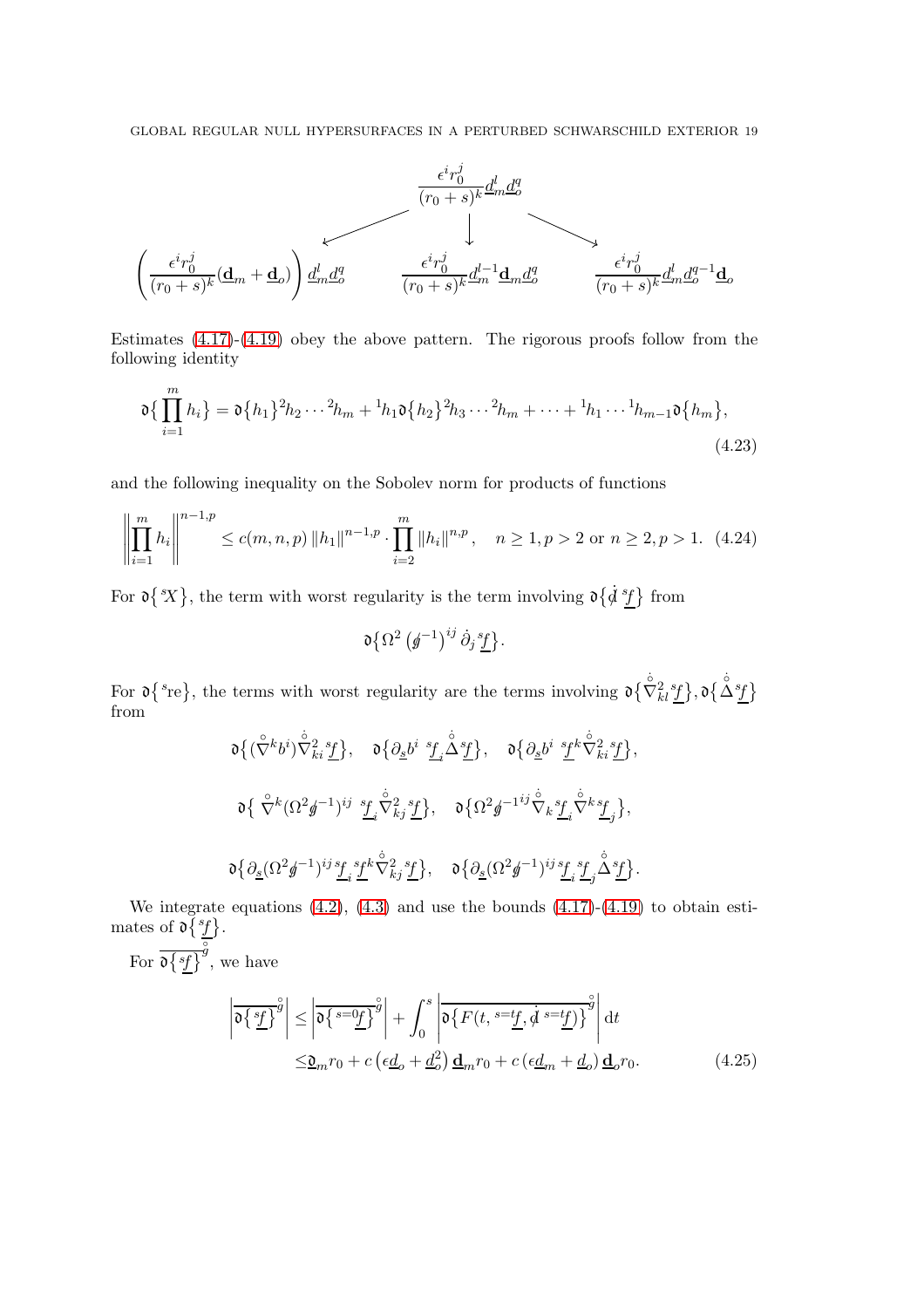

Estimates [\(4.17\)](#page-17-0)-[\(4.19\)](#page-17-1) obey the above pattern. The rigorous proofs follow from the following identity

$$
\mathfrak{d}\left\{\prod_{i=1}^{m} h_i\right\} = \mathfrak{d}\left\{h_1\right\}^2 h_2 \cdots^2 h_m + {}^{1}h_1 \mathfrak{d}\left\{h_2\right\}^2 h_3 \cdots^2 h_m + \cdots + {}^{1}h_1 \cdots {}^{1}h_{m-1} \mathfrak{d}\left\{h_m\right\},\tag{4.23}
$$

and the following inequality on the Sobolev norm for products of functions

$$
\left\| \prod_{i=1}^{m} h_i \right\|^{n-1,p} \le c(m, n, p) \left\| h_1 \right\|^{n-1,p} \cdot \prod_{i=2}^{m} \left\| h_i \right\|^{n,p}, \quad n \ge 1, p > 2 \text{ or } n \ge 2, p > 1. \tag{4.24}
$$

For  $\mathfrak{d} \{ \dot{x} \}$ , the term with worst regularity is the term involving  $\mathfrak{d} \{ \dot{y} \}$  from

$$
\mathfrak{d}\big\{\Omega^2\left(\cancel{g}^{-1}\right)^{ij}\dot\partial_j\frac{s_f}{\underline{f}}\big\}.
$$

For  $\mathfrak{d} \{ {}^s {\rm re} \}$ , the terms with worst regularity are the terms involving  $\mathfrak{d} \{ \nabla^2_{kl} {}^s \underline{f} \}$ ,  $\mathfrak{d} \{ \Delta^s \underline{f} \}$ from

$$
\begin{array}{ccc}\n\mathfrak{d}\left\{\left(\overset{\circ}{\nabla}^k b^i\right) \overset{\circ}{\nabla}^2_{ki} \frac{s_f}{\mathit{f}}\right\}, & \mathfrak{d}\left\{\partial_{\underline{s}} b^i \overset{s_f}{\mathit{f}} \overset{\circ}{\Delta} \frac{s_f}{\mathit{f}}\right\}, & \mathfrak{d}\left\{\partial_{\underline{s}} b^i \overset{s_f}{\mathit{f}} \overset{\circ}{\nabla}^2_{ki} \frac{s_f}{\mathit{f}}\right\}, \\
\mathfrak{d}\left\{\ \overset{\circ}{\nabla}^k \left(\Omega^2 \cancel{g}^{-1}\right)^{ij} \overset{s_f}{\mathit{f}} \overset{\circ}{\nabla}^2_{kj} \overset{s_f}{\mathit{f}}\right\}, & \mathfrak{d}\left\{\Omega^2 \cancel{g}^{-1ij} \overset{\circ}{\nabla}_k \frac{s_f}{\mathit{f}} \overset{\circ}{\nabla}^k \frac{s_f}{\mathit{f}}\right\}, \\
\mathfrak{d}\left\{\partial_{\underline{s}} (\Omega^2 \cancel{g}^{-1})^{ij} \frac{s_f}{\mathit{f}} \overset{\circ}{\mathit{f}} \overset{\circ}{\nabla}^2_{kj} \overset{s_f}{\mathit{f}}\right\}, & \mathfrak{d}\left\{\partial_{\underline{s}} (\Omega^2 \cancel{g}^{-1})^{ij} \frac{s_f}{\mathit{f}} \overset{\circ}{\mathit{f}} \overset{\circ}{\mathit{f}} \overset{\circ}{\nabla}^2 \right\}.\n\end{array}
$$

We integrate equations  $(4.2)$ ,  $(4.3)$  and use the bounds  $(4.17)-(4.19)$  $(4.17)-(4.19)$  to obtain estimates of  $\mathfrak{d}\lbrace ^{sf} \rbrace$ .

For  $\overline{\mathfrak{d}\lbrace sf\rbrace}$  $\int_{g}^{\circ}$ , we have

<span id="page-18-0"></span>
$$
\left| \overline{\mathfrak{d}\left\{ \frac{sf}{2} \right\} }^{\circ} \right| \leq \left| \overline{\mathfrak{d}\left\{ s = 0\underline{f} \right\} }^{\circ} \right| + \int_{0}^{s} \left| \overline{\mathfrak{d}\left\{ F(t, s = t\underline{f}, \dot{d} s = t\underline{f}) \right\} }^{\circ} \right| dt
$$
  

$$
\leq \underline{\mathfrak{d}}_{m} r_{0} + c \left( \epsilon \underline{d}_{o} + \underline{d}_{o}^{2} \right) \underline{\mathbf{d}}_{m} r_{0} + c \left( \epsilon \underline{d}_{m} + \underline{d}_{o} \right) \underline{\mathbf{d}}_{o} r_{0}.
$$
 (4.25)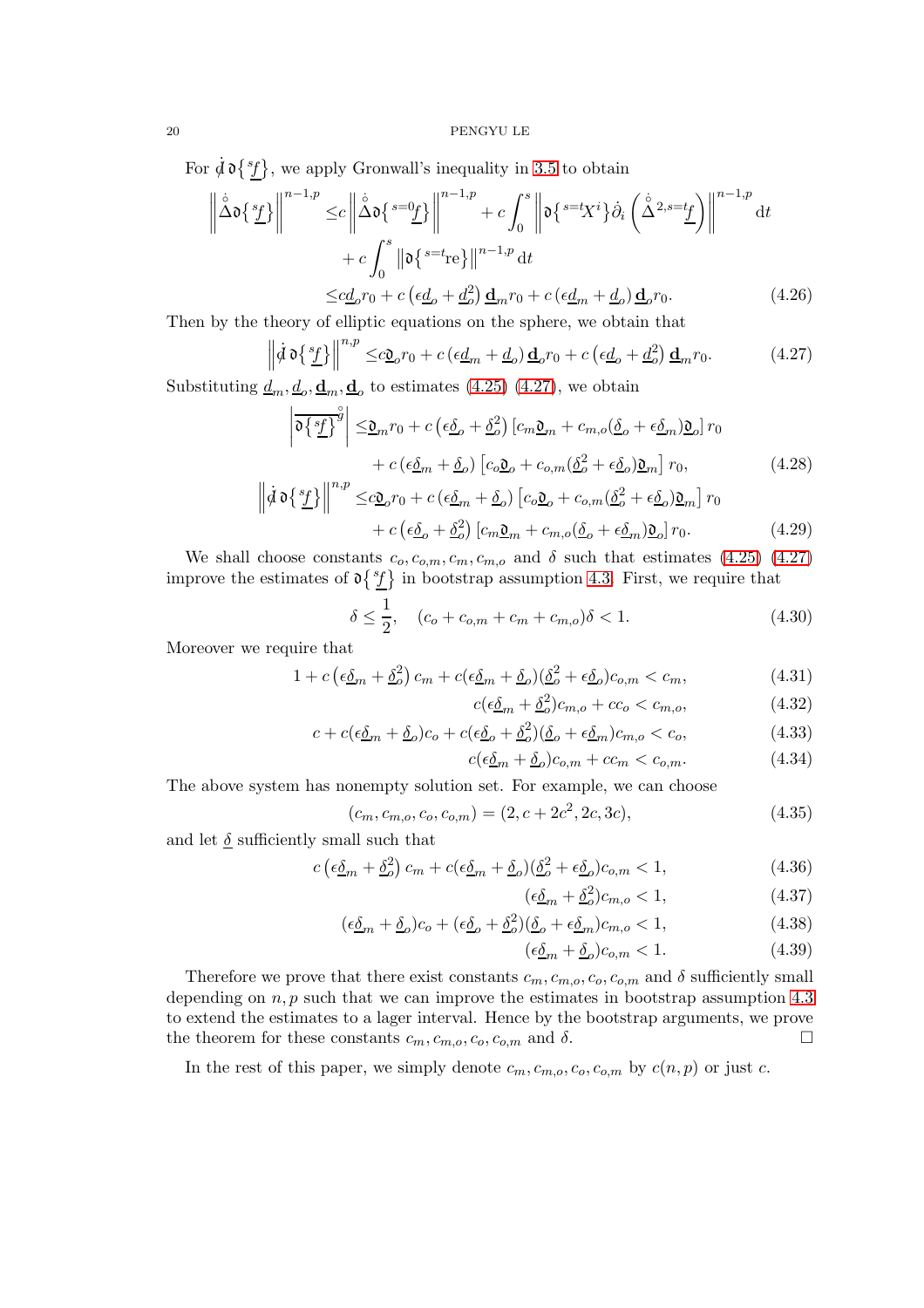For  $\dot{d} \, \mathfrak{d} \{ {}^s \! f \}$ , we apply Gronwall's inequality in [3.5](#page-14-0) to obtain

$$
\left\| \dot{\Delta} \mathbf{d} \left\{ \frac{s_f}{L} \right\} \right\|^{n-1,p} \leq c \left\| \dot{\Delta} \mathbf{d} \left\{ \frac{s = 0}{L} \right\} \right\|^{n-1,p} + c \int_0^s \left\| \mathbf{d} \left\{ \frac{s = t_X i}{\Delta} \right\} \dot{\partial}_i \left( \frac{\dot{\Delta}^{2,s=t_f}}{\Delta^{2,s=t_f}} \right) \right\|^{n-1,p} dt
$$

$$
+ c \int_0^s \left\| \mathbf{d} \left\{ \frac{s = t_{\text{re}}}{L} \right\} \right\|^{n-1,p} dt
$$

$$
\leq c \underline{d}_0 r_0 + c \left( \epsilon \underline{d}_0 + \underline{d}_0^2 \right) \underline{\mathbf{d}}_m r_0 + c \left( \epsilon \underline{d}_m + \underline{d}_0 \right) \underline{\mathbf{d}}_0 r_0. \tag{4.26}
$$

Then by the theory of elliptic equations on the sphere, we obtain that

$$
\left\| \dot{d} \, \mathfrak{d} \left\{ \frac{s_f}{L} \right\} \right\|^{n,p} \leq c \underline{\mathfrak{d}}_o r_0 + c \left( \epsilon \underline{d}_m + \underline{d}_o \right) \underline{\mathfrak{d}}_o r_0 + c \left( \epsilon \underline{d}_o + \underline{d}_o^2 \right) \underline{\mathfrak{d}}_m r_0. \tag{4.27}
$$

Substituting  $\underline{d}_m, \underline{d}_o, \underline{\mathbf{d}}_m, \underline{\mathbf{d}}_o$  to estimates [\(4.25\)](#page-18-0) [\(4.27\)](#page-19-0), we obtain

$$
\left| \overline{\mathfrak{d}\left\{ \frac{s_{f}}{2} \right\}^{g}} \right| \leq \underline{\mathfrak{d}}_{m} r_{0} + c \left( \epsilon \underline{\delta}_{o} + \underline{\delta}_{o}^{2} \right) \left[ c_{m} \underline{\mathfrak{d}}_{m} + c_{m,o} (\underline{\delta}_{o} + \epsilon \underline{\delta}_{m}) \underline{\mathfrak{d}}_{o} \right] r_{0}
$$

$$
+ c \left( \epsilon \underline{\delta}_{m} + \underline{\delta}_{o} \right) \left[ c_{o} \underline{\mathfrak{d}}_{o} + c_{o,m} (\underline{\delta}_{o}^{2} + \epsilon \underline{\delta}_{o}) \underline{\mathfrak{d}}_{m} \right] r_{0}, \qquad (4.28)
$$

$$
\left\| \dot{\mathcal{d}} \, \mathfrak{d} \left\{ \frac{sf}{L} \right\} \right\|^{n,p} \leq c \underline{\mathfrak{O}}_o r_0 + c \left( \epsilon \underline{\delta}_m + \underline{\delta}_o \right) \left[ c_o \underline{\mathfrak{O}}_o + c_{o,m} (\underline{\delta}_o^2 + \epsilon \underline{\delta}_o) \underline{\mathfrak{O}}_m \right] r_0
$$
  
+ 
$$
c \left( \epsilon \underline{\delta}_o + \underline{\delta}_o^2 \right) \left[ c_m \underline{\mathfrak{O}}_m + c_{m,o} (\underline{\delta}_o + \epsilon \underline{\delta}_m) \underline{\mathfrak{O}}_o \right] r_0.
$$
 (4.29)

We shall choose constants  $c_o, c_{o,m}, c_m, c_{m,o}$  and  $\delta$  such that estimates [\(4.25\)](#page-18-0) [\(4.27\)](#page-19-0) improve the estimates of  $\mathfrak{d}\lbrace^s f \rbrace$  in bootstrap assumption [4.3.](#page-16-4) First, we require that

$$
\delta \le \frac{1}{2}, \quad (c_o + c_{o,m} + c_m + c_{m,o})\delta < 1. \tag{4.30}
$$

Moreover we require that

$$
1 + c \left(\epsilon \underline{\delta}_m + \underline{\delta}_o^2\right) c_m + c \left(\epsilon \underline{\delta}_m + \underline{\delta}_o\right) \left(\underline{\delta}_o^2 + \epsilon \underline{\delta}_o\right) c_{o,m} < c_m,\tag{4.31}
$$

<span id="page-19-0"></span>
$$
c(\epsilon \underline{\delta}_m + \underline{\delta}^2_c)c_{m,o} + cc_o < c_{m,o},\tag{4.32}
$$

$$
c + c(\epsilon \underline{\delta}_m + \underline{\delta}_o)c_o + c(\epsilon \underline{\delta}_o + \underline{\delta}_o^2)(\underline{\delta}_o + \epsilon \underline{\delta}_m)c_{m,o} < c_o,
$$
\n(4.33)

$$
c(\epsilon \underline{\delta}_m + \underline{\delta}_o)c_{o,m} + cc_m < c_{o,m}.
$$
\n(4.34)

The above system has nonempty solution set. For example, we can choose

$$
(c_m, c_{m,o}, c_o, c_{o,m}) = (2, c + 2c^2, 2c, 3c), \tag{4.35}
$$

and let  $\delta$  sufficiently small such that

$$
c\left(\epsilon \underline{\delta}_m + \underline{\delta}_o^2\right)c_m + c(\epsilon \underline{\delta}_m + \underline{\delta}_o)(\underline{\delta}_o^2 + \epsilon \underline{\delta}_o)c_{o,m} < 1,\tag{4.36}
$$

$$
(\epsilon \underline{\delta}_m + \underline{\delta}^2) c_{m,o} < 1,\tag{4.37}
$$

$$
(\epsilon \underline{\delta}_m + \underline{\delta}_o)c_o + (\epsilon \underline{\delta}_o + \underline{\delta}_o^2)(\underline{\delta}_o + \epsilon \underline{\delta}_m)c_{m,o} < 1,\tag{4.38}
$$

$$
(\epsilon \underline{\delta}_m + \underline{\delta}_o)c_{o,m} < 1. \tag{4.39}
$$

Therefore we prove that there exist constants  $c_m, c_{m,o}, c_o, c_{o,m}$  and  $\delta$  sufficiently small depending on  $n, p$  such that we can improve the estimates in bootstrap assumption [4.3](#page-16-4) to extend the estimates to a lager interval. Hence by the bootstrap arguments, we prove the theorem for these constants  $c_m, c_{m,o}, c_o, c_{o,m}$  and  $\delta$ .

In the rest of this paper, we simply denote  $c_m, c_{m,o}, c_o, c_{o,m}$  by  $c(n, p)$  or just c.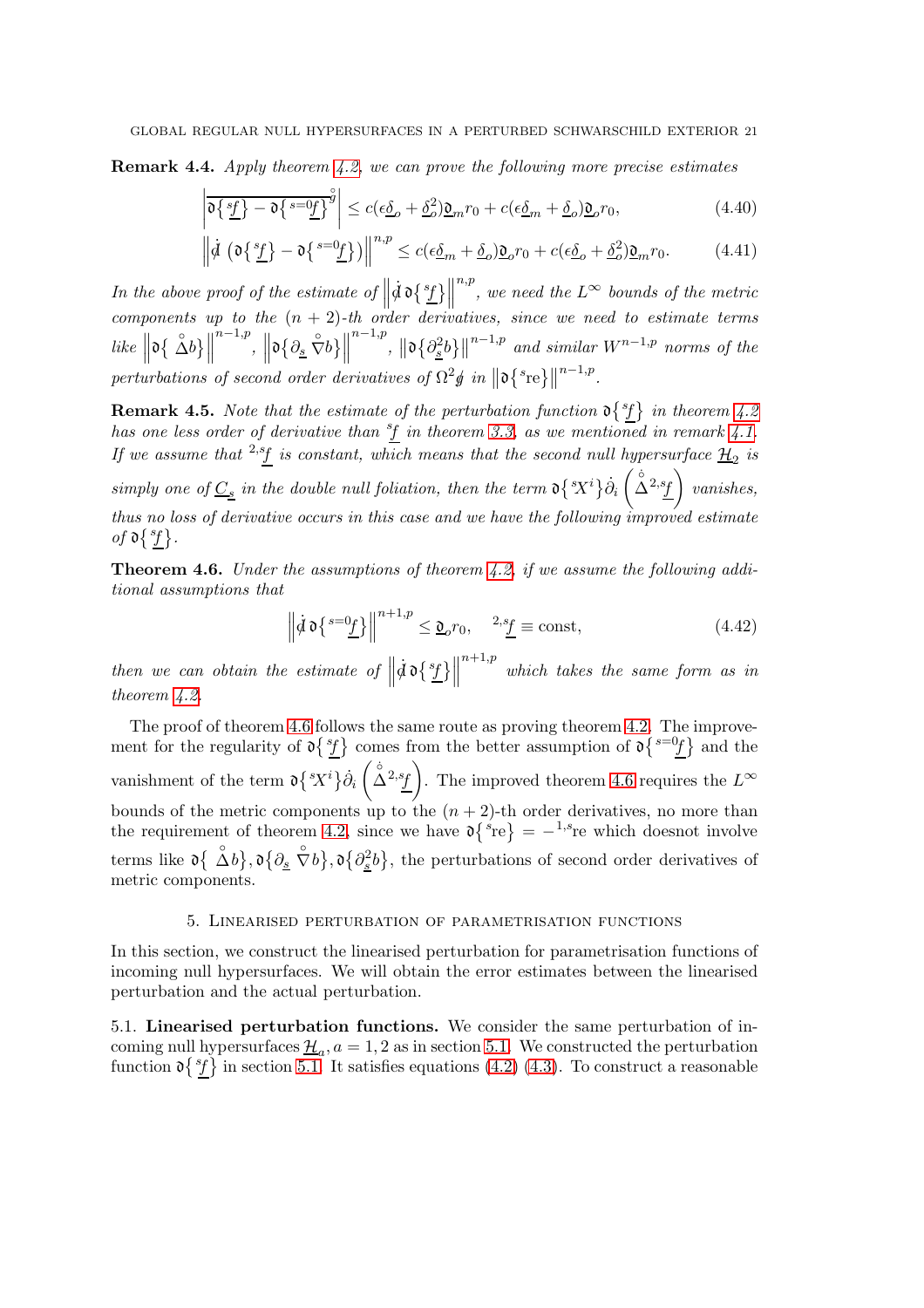Remark 4.4. Apply theorem [4.2,](#page-16-1) we can prove the following more precise estimates

$$
\left| \overline{\mathfrak{d}\left\{ \frac{sf}{\underline{f}}\right\} - \mathfrak{d}\left\{ \frac{s = 0f}{\underline{f}}\right\}^{\overset{\circ}{g}}} \right| \le c(\epsilon \underline{\delta}_o + \underline{\delta}_o^2) \underline{\mathfrak{d}}_m r_0 + c(\epsilon \underline{\delta}_m + \underline{\delta}_o) \underline{\mathfrak{d}}_o r_0, \tag{4.40}
$$

$$
\left\| \dot{\mathcal{d}} \left( \mathfrak{d} \left\{ \frac{s_f}{f} \right\} - \mathfrak{d} \left\{ \frac{s = 0_f}{f} \right\} \right) \right\|^{n,p} \le c(\epsilon \underline{\delta}_m + \underline{\delta}_o) \underline{\mathfrak{d}}_o r_0 + c(\epsilon \underline{\delta}_o + \underline{\delta}_o^2) \underline{\mathfrak{d}}_m r_0. \tag{4.41}
$$

In the above proof of the estimate of  $\parallel$  $\vec{a}$  d  $\left\{ \frac{s_f}{l} \right\}$  $\overset{n,p}{\vphantom{\phi}}$ , we need the  $L^\infty$  bounds of the metric components up to the  $(n + 2)$ -th order derivatives, since we need to estimate terms  $like \left\| \mathfrak{d}\left\{ \left. \stackrel{\circ}{\Delta}b \right\} \right\|$  $\mathbb{R}^{n-1,p},\,\,\left\Vert \mathfrak{d}\big\{ \partial_{\underline{s}}\;\overset{\circ}{\nabla}b\big\} \right\Vert$  $\|h^{n-1,p}\|_{\mathfrak{O}\frac{2}{\underline{s}}}\|_2^{\frac{n-1}{2}}\|h^{n-1,p}\|$  and similar  $W^{n-1,p}$  norms of the perturbations of second order derivatives of  $\Omega^2 \oint in \left\| \mathfrak{d} \right\|^s$ re $\left\{ \right\}$  $n-1,p$ .

**Remark 4.5.** Note that the estimate of the perturbation function  $\mathfrak{d} \{ {}^s f \}$  in theorem [4.2](#page-16-1) has one less order of derivative than  ${}^{s}f$  in theorem [3.3,](#page-9-1) as we mentioned in remark [4.1.](#page-16-5) If we assume that <sup>2,s</sup>f is constant, which means that the second null hypersurface  $\mathcal{H}_2$  is simply one of  $\underline{C_s}$  in the double null foliation, then the term  $\mathfrak{d} \{^s X^i\} \dot{\partial}_i$  $\left(\bigwedge^{\circ}2,s_f\right)$  vanishes, thus no loss of derivative occurs in this case and we have the following improved estimate of  $\mathfrak{d} \{ {}^s f$ .

<span id="page-20-2"></span>**Theorem 4.6.** Under the assumptions of theorem [4.2,](#page-16-1) if we assume the following additional assumptions that

$$
\left\| \dot{d} \,\mathfrak{d} \left\{ \frac{s = 0}{\underline{f}} \right\} \right\|^{n+1,p} \leq \underline{\mathfrak{d}}_o r_0, \quad \frac{2s_f}{\underline{f}} \equiv \text{const},\tag{4.42}
$$

then we can obtain the estimate of  $\parallel$  $\dot{d}$  d {  $\frac{s_f}{L}$  }  $^{n+1,p}$  which takes the same form as in theorem [4.2.](#page-16-1)

The proof of theorem [4.6](#page-20-2) follows the same route as proving theorem [4.2.](#page-16-1) The improvement for the regularity of  $\mathfrak{d} \{ {}^{s}f \}$  comes from the better assumption of  $\mathfrak{d} \{ {}^{s=0}f \}$  and the vanishment of the term  $\mathfrak{d} \{ {}^s\! X^i \} \dot{\partial}_i$  $\left(\hat{\Delta}^{2,s}f\right)$ . The improved theorem [4.6](#page-20-2) requires the  $L^{\infty}$ bounds of the metric components up to the  $(n + 2)$ -th order derivatives, no more than the requirement of theorem [4.2,](#page-16-1) since we have  $\mathfrak{d} \{ {}^s \mathbf{r} \mathbf{e} \} = - {}^{1,s} \mathbf{r} \mathbf{e}$  which doesnot involve terms like  $\mathfrak{d}\left\{\begin{array}{c}\stackrel{\circ}{\Delta}b\end{array},\mathfrak{d}\left\{\partial_{\underline{s}}\stackrel{\circ}{\nabla}b\right\},\mathfrak{d}\left\{\partial_{\underline{s}}^2b\right\}$ , the perturbations of second order derivatives of metric components.

### 5. Linearised perturbation of parametrisation functions

<span id="page-20-0"></span>In this section, we construct the linearised perturbation for parametrisation functions of incoming null hypersurfaces. We will obtain the error estimates between the linearised perturbation and the actual perturbation.

<span id="page-20-1"></span>5.1. Linearised perturbation functions. We consider the same perturbation of incoming null hypersurfaces  $\underline{\mathcal{H}}_a$ ,  $a = 1, 2$  as in section [5.1.](#page-20-1) We constructed the perturbation function  $\mathfrak{d}\lbrace f \rbrace$  in section [5.1.](#page-20-1) It satisfies equations [\(4.2\)](#page-15-2) [\(4.3\)](#page-15-3). To construct a reasonable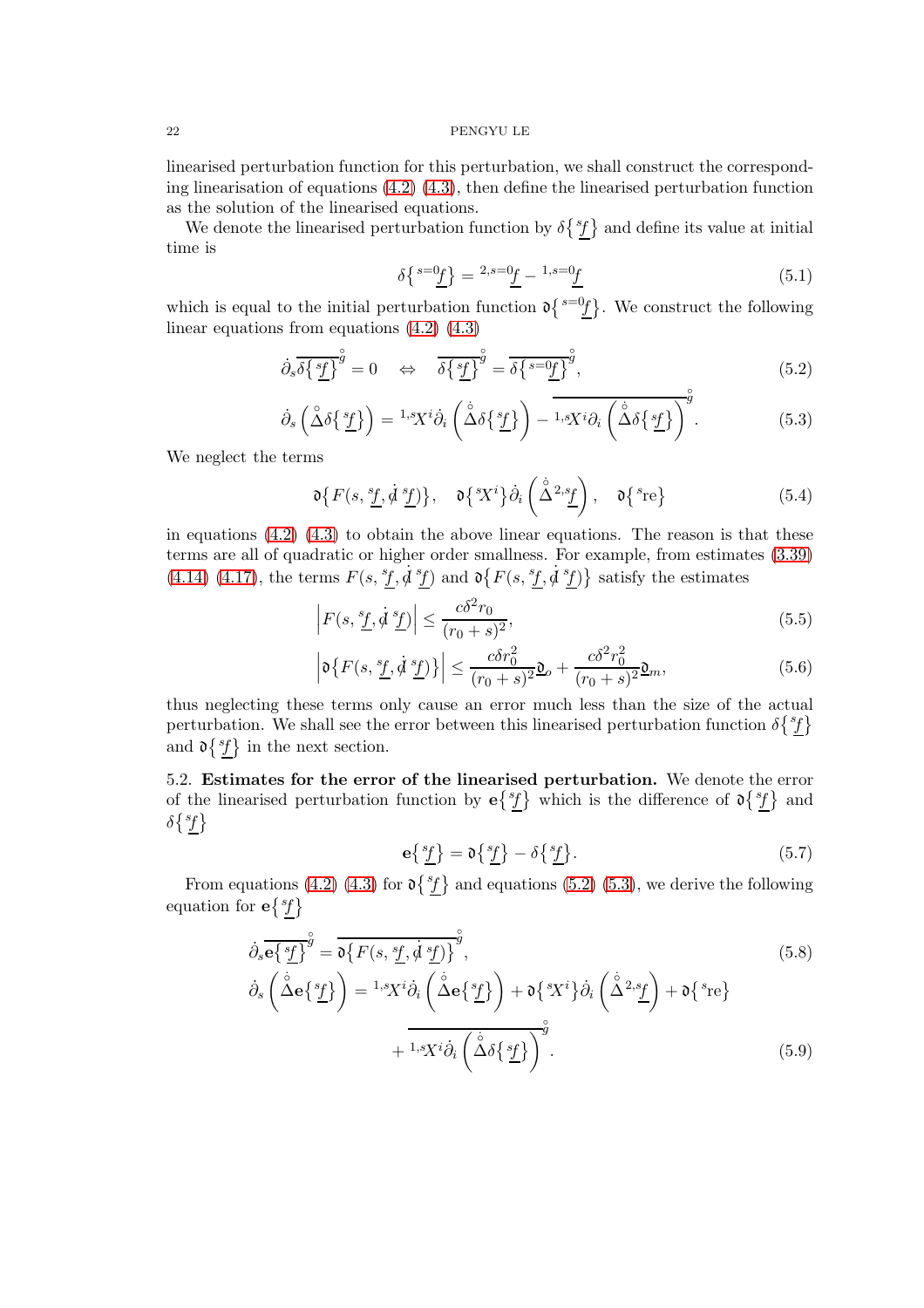linearised perturbation function for this perturbation, we shall construct the corresponding linearisation of equations  $(4.2)$   $(4.3)$ , then define the linearised perturbation function as the solution of the linearised equations.

We denote the linearised perturbation function by  $\delta\{\,^s\}$  and define its value at initial time is

<span id="page-21-2"></span><span id="page-21-1"></span>
$$
\delta \left\{ \frac{s=0_f}{\underline{f}} \right\} = \frac{2, s=0_f}{\underline{f}} - \frac{1, s=0_f}{\underline{f}} \tag{5.1}
$$

which is equal to the initial perturbation function  $\mathfrak{d}\left\{s=0f\right\}$ . We construct the following linear equations from equations  $(4.2)$   $(4.3)$ 

$$
\dot{\partial}_s \overline{\delta \{\underline{sf}}\}^{\overset{\circ}{g}} = 0 \quad \Leftrightarrow \quad \overline{\delta \{\underline{sf}}\}^{\overset{\circ}{g}} = \overline{\delta \{\underline{sf}}\}^{\overset{\circ}{g}}.
$$
\n(5.2)

$$
\dot{\partial}_s \left( \stackrel{\circ}{\Delta} \delta \{\stackrel{s_f}{\underline{f}} \} \right) = {}^{1,s}X^i \dot{\partial}_i \left( \stackrel{\circ}{\Delta} \delta \{\stackrel{s_f}{\underline{f}} \} \right) - \overline{1,sX^i \partial_i \left( \stackrel{\circ}{\Delta} \delta \{\stackrel{s_f}{\underline{f}} \} \right)^g}.
$$
(5.3)

We neglect the terms

$$
\mathfrak{d}\big\{F(s,\underline{^st},\dot{\mathcal{d}}\,\underline{^sf})\big\},\quad \mathfrak{d}\big\{^sX^i\big\}\dot{\partial}_i\left(\overset{\circ}{\Delta}^{2,s}\underline{f}\right),\quad \mathfrak{d}\big\{^s\!re\big\}\tag{5.4}
$$

in equations [\(4.2\)](#page-15-2) [\(4.3\)](#page-15-3) to obtain the above linear equations. The reason is that these terms are all of quadratic or higher order smallness. For example, from estimates [\(3.39\)](#page-13-1) [\(4.14\)](#page-17-2) [\(4.17\)](#page-17-0), the terms  $F(s, ^{s}f, \dot{d}^{s}f)$  and  $\mathfrak{d}\{F(s, ^{s}f, \dot{d}^{s}f)\}\)$  satisfy the estimates

$$
\left| F(s, \frac{s_f}{\cdot}, \dot{\mathcal{A}} \frac{s_f}{\cdot}) \right| \le \frac{c\delta^2 r_0}{(r_0 + s)^2},\tag{5.5}
$$

$$
\left|\mathfrak{d}\left\{F(s,\frac{s_f}{\cdot},\dot{\mathfrak{d}}\frac{s_f}{\cdot}\right)\right\}\right| \leq \frac{c\delta r_0^2}{(r_0+s)^2}\mathfrak{d}_o + \frac{c\delta^2 r_0^2}{(r_0+s)^2}\mathfrak{d}_m,\tag{5.6}
$$

thus neglecting these terms only cause an error much less than the size of the actual perturbation. We shall see the error between this linearised perturbation function  $\delta\{^s\}$ and  $\mathfrak{d} \{ {}^s \! f \}$  in the next section.

<span id="page-21-0"></span>5.2. Estimates for the error of the linearised perturbation. We denote the error of the linearised perturbation function by  $e{st}$  which is the difference of  $\mathfrak{d} {st}$  and  $\delta\{^s\}$ 

<span id="page-21-4"></span><span id="page-21-3"></span>
$$
\mathbf{e}\left\{\frac{s_f}{\underline{f}}\right\} = \mathbf{0}\left\{\frac{s_f}{\underline{f}}\right\} - \delta\left\{\frac{s_f}{\underline{f}}\right\}.\tag{5.7}
$$

From equations [\(4.2\)](#page-15-2) [\(4.3\)](#page-15-3) for  $\mathfrak{d} \{ {}^s f \}$  and equations [\(5.2\)](#page-21-1) [\(5.3\)](#page-21-2), we derive the following equation for  $e^{\{s_f\}}$ 

$$
\dot{\partial}_{s} \overline{e \{s f\}}^{\hat{g}} = \overline{\mathfrak{d} \{F(s, s f, \dot{\mathcal{d}} s f)\}}^{\hat{g}},
$$
\n
$$
\dot{\partial}_{s} \left(\dot{\Delta} e \{s f\}\right) = {}^{1,s} X^{i} \dot{\partial}_{i} \left(\dot{\Delta} e \{s f\}\right) + \mathfrak{d} \{s X^{i}\} \dot{\partial}_{i} \left(\dot{\Delta}^{2,s} f\right) + \mathfrak{d} \{s r e\}
$$
\n
$$
+ \overline{{}^{1,s} X^{i} \dot{\partial}_{i} \left(\dot{\Delta} \delta \{s f\}\right)}^{\hat{g}},
$$
\n(5.9)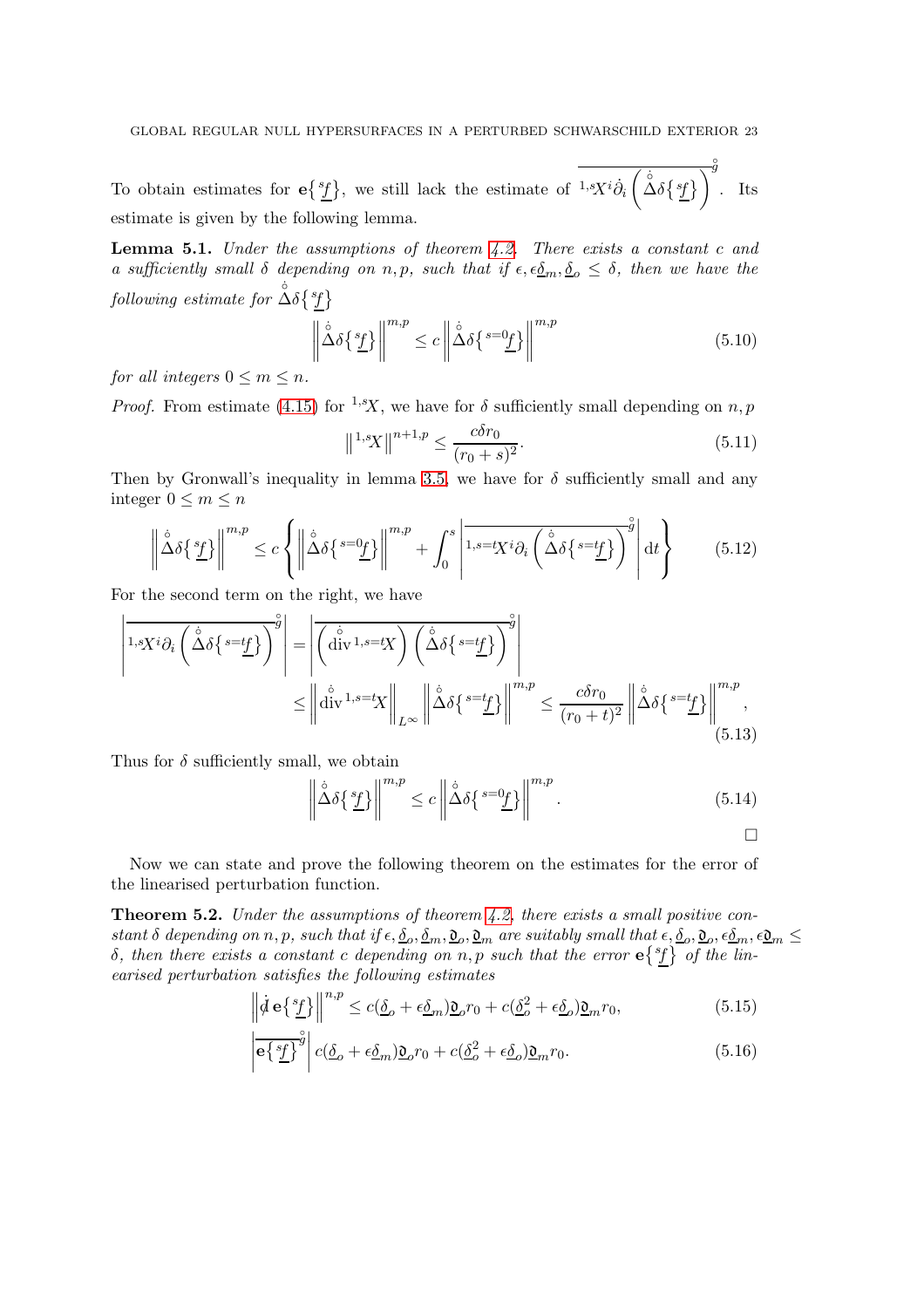To obtain estimates for  $e{st} \brace{s}$ , we still lack the estimate of  $1-sX^{i}\dot{\partial}_{i}$  $\left(\Delta \delta \{sf\} \right)$ ◦ g . Its estimate is given by the following lemma.

<span id="page-22-1"></span>**Lemma 5.1.** Under the assumptions of theorem  $4.2$ . There exists a constant c and a sufficiently small  $\delta$  depending on n, p, such that if  $\epsilon, \epsilon \underline{\delta}_m, \underline{\delta}_o \leq \delta$ , then we have the  $\textit{following estimate for $\overset{\circ}{\Delta}\delta\$^s_f$}\}$ 

$$
\left\| \mathring{\Delta} \delta \{^s \underline{f} \} \right\|^{m,p} \le c \left\| \mathring{\Delta} \delta \{^{s=0} \underline{f} \} \right\|^{m,p} \tag{5.10}
$$

for all integers  $0 \leq m \leq n$ .

*Proof.* From estimate [\(4.15\)](#page-17-4) for <sup>1,s</sup>X, we have for  $\delta$  sufficiently small depending on n, p

$$
\|^{1,s}X\|^{n+1,p} \le \frac{c\delta r_0}{(r_0+s)^2}.
$$
\n(5.11)

Then by Gronwall's inequality in lemma [3.5,](#page-14-0) we have for  $\delta$  sufficiently small and any integer  $0 \leq m \leq n$ 

$$
\left\| \mathring{\Delta} \delta \{ \frac{s_f}{L} \} \right\|^{m,p} \le c \left\{ \left\| \mathring{\Delta} \delta \{ \frac{s = 0_f}{L} \} \right\|^{m,p} + \int_0^s \left| \overline{1, s = tX^i \partial_i \left( \mathring{\Delta} \delta \{ \frac{s = tf_f}{L} \} \right)^{\circ g}} \right| dt \right\}
$$
(5.12)

For the second term on the right, we have

$$
\left| \overline{1,sX^{i}\partial_{i}\left(\mathring{\Delta}\delta\left\{s=t_{\underline{f}}\right\}\right)^{g}} \right| = \left| \overline{\left(\mathring{\operatorname{div}}^{1,s=t}X\right)\left(\mathring{\Delta}\delta\left\{s=t_{\underline{f}}\right\}\right)^{g}} \right|
$$
  

$$
\leq \left\| \mathring{\operatorname{div}}^{1,s=t}X \right\|_{L^{\infty}} \left\| \mathring{\Delta}\delta\left\{s=t_{\underline{f}}\right\} \right\|^{m,p} \leq \frac{c\delta r_{0}}{(r_{0}+t)^{2}} \left\| \mathring{\Delta}\delta\left\{s=t_{\underline{f}}\right\} \right\|^{m,p}, \tag{5.13}
$$

Thus for  $\delta$  sufficiently small, we obtain

$$
\left\| \mathring{\Delta} \delta \{ \frac{s_f}{L} \} \right\|^{m,p} \le c \left\| \mathring{\Delta} \delta \{ \frac{s = 0_f}{L} \} \right\|^{m,p} . \tag{5.14}
$$

Now we can state and prove the following theorem on the estimates for the error of the linearised perturbation function.

<span id="page-22-0"></span>**Theorem 5.2.** Under the assumptions of theorem [4.2,](#page-16-1) there exists a small positive constant  $\delta$  depending on n, p, such that if  $\epsilon, \underline{\delta}_o, \underline{\delta}_m, \underline{\mathfrak{d}}_o, \underline{\mathfrak{d}}_m$  are suitably small that  $\epsilon, \underline{\delta}_o, \underline{\mathfrak{d}}_o, \epsilon \underline{\delta}_m, \epsilon \underline{\mathfrak{d}}_m \leq$ δ, then there exists a constant c depending on n, p such that the error e{<sup>sf</sup>} of the linearised perturbation satisfies the following estimates

$$
\left\| \dot{\mathcal{d}} \mathbf{e} \{ \frac{s_f}{L} \} \right\|^{n,p} \le c(\underline{\delta}_o + \epsilon \underline{\delta}_m) \underline{\mathfrak{d}}_o r_0 + c(\underline{\delta}_o^2 + \epsilon \underline{\delta}_o) \underline{\mathfrak{d}}_m r_0, \tag{5.15}
$$

$$
\left| \overline{e\{\underline{sf}\}}^{\overset{\circ}{g}} \right| c(\underline{\delta}_o + \epsilon \underline{\delta}_m) \underline{\mathfrak{d}}_o r_0 + c(\underline{\delta}_o^2 + \epsilon \underline{\delta}_o) \underline{\mathfrak{d}}_m r_0. \tag{5.16}
$$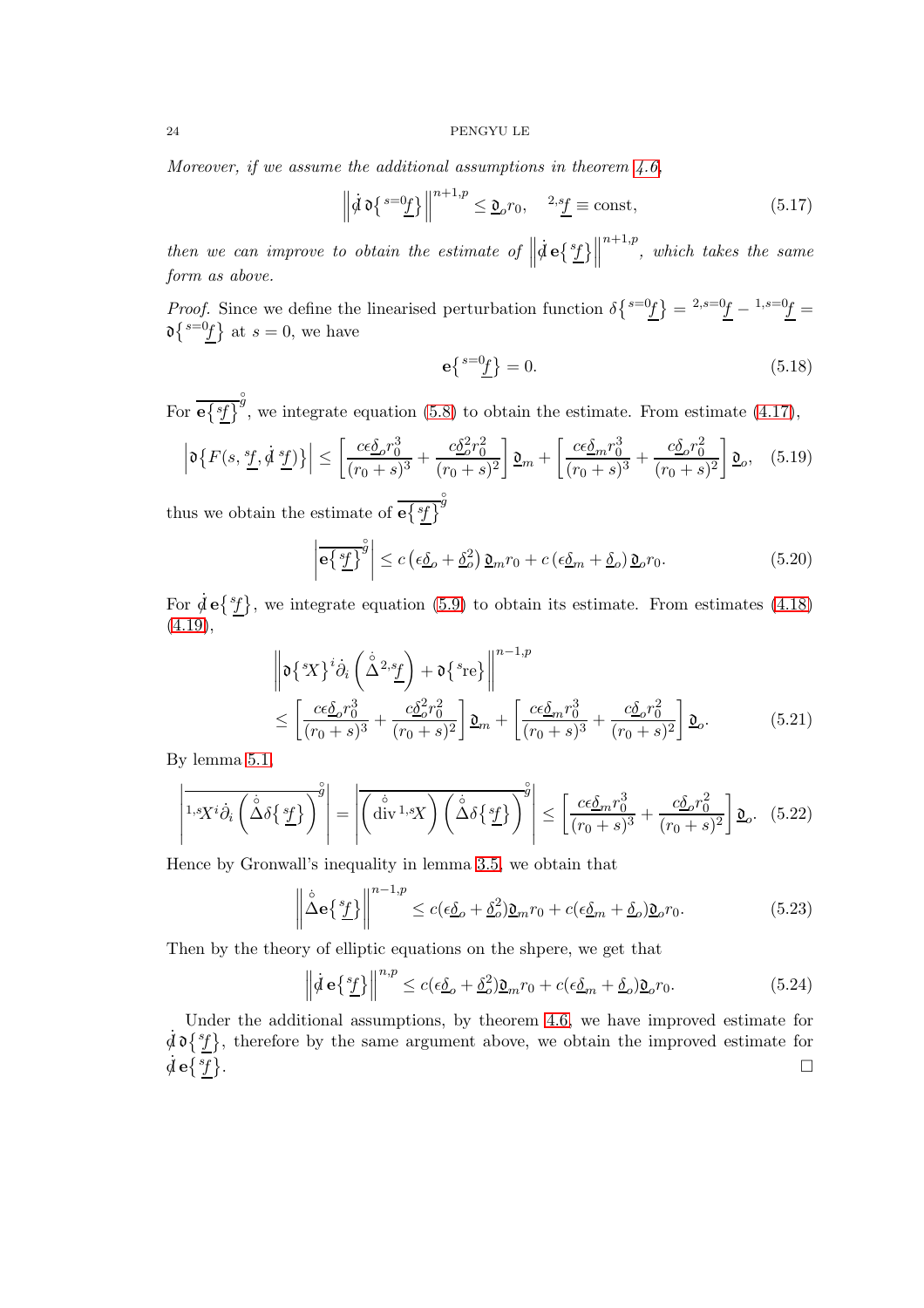Moreover, if we assume the additional assumptions in theorem  $4.6$ ,

$$
\left\| \dot{\mathcal{d}} \mathfrak{d} \left\{ \int_0^{s=0} f \right\} \right\|^{n+1,p} \leq \underline{\mathfrak{d}}_o r_0, \quad \frac{2s_f}{\underline{f}} \equiv \text{const}, \tag{5.17}
$$

then we can improve to obtain the estimate of  $\parallel$  $\dot{d}$  e $\left\{ \frac{s_{f}}{L}\right\}$  $^{n+1,p}$ , which takes the same form as above.

*Proof.* Since we define the linearised perturbation function  $\delta \left\{ s=0f \right\} = \frac{2}{s-0}f - \frac{1}{s-0}f =$  $\mathfrak{d}\left\{s=0\right\}$  at  $s=0$ , we have

$$
\mathbf{e}\left\{ \frac{s=0\underline{f}}{2} \right\} = 0. \tag{5.18}
$$

For  $e\{zf\}$  $\hat{\mathcal{G}}$ , we integrate equation [\(5.8\)](#page-21-3) to obtain the estimate. From estimate [\(4.17\)](#page-17-0),

$$
\left|\mathfrak{d}\left\{F(s,\frac{s_f}{\cdot},\dot{d}\frac{s_f}{\cdot})\right\}\right| \leq \left[\frac{c\epsilon\underline{\delta}_o r_0^3}{(r_0+s)^3} + \frac{c\underline{\delta}_o^2 r_0^2}{(r_0+s)^2}\right]\underline{\mathfrak{d}}_m + \left[\frac{c\epsilon\underline{\delta}_m r_0^3}{(r_0+s)^3} + \frac{c\underline{\delta}_o r_0^2}{(r_0+s)^2}\right]\underline{\mathfrak{d}}_o,\tag{5.19}
$$

thus we obtain the estimate of  $\overline{e{f}^{sf}}^y$ 

$$
\left| \overrightarrow{\mathbf{e}} \left\{ \frac{s f}{L} \right\}^{\circ} \right| \le c \left( \epsilon \underline{\delta}_o + \underline{\delta}_o^2 \right) \underline{\mathfrak{d}}_m r_0 + c \left( \epsilon \underline{\delta}_m + \underline{\delta}_o \right) \underline{\mathfrak{d}}_o r_0. \tag{5.20}
$$

For  $\dot{\mathcal{A}} \mathbf{e} \{ {}^{s}f\}$ , we integrate equation [\(5.9\)](#page-21-4) to obtain its estimate. From estimates [\(4.18\)](#page-17-5)  $(4.19),$  $(4.19),$ 

$$
\left\| \mathfrak{d} \left\{ \mathcal{L} \right\}^i \dot{\partial}_i \left( \dot{\Delta}^{2, s} \underline{f} \right) + \mathfrak{d} \left\{ \mathcal{L}^{\mathfrak{d}} \right\} \right\|^{n-1, p} \n\leq \left[ \frac{c \epsilon \underline{\delta}_o r_0^3}{(r_0 + s)^3} + \frac{c \underline{\delta}_o^2 r_0^2}{(r_0 + s)^2} \right] \underline{\mathfrak{d}}_m + \left[ \frac{c \epsilon \underline{\delta}_m r_0^3}{(r_0 + s)^3} + \frac{c \underline{\delta}_o r_0^2}{(r_0 + s)^2} \right] \underline{\mathfrak{d}}_o. \tag{5.21}
$$

By lemma [5.1,](#page-22-1)

$$
\left| \overline{1}_{s} \overline{X^{i}} \partial_{i} \left( \overline{\Delta} \delta \{ \underline{sf} \} \right) \right|^{g} = \left| \overline{\left( \overline{\operatorname{div}^{1}}_{s} \overline{X} \right) \left( \overline{\Delta} \delta \{ \underline{sf} \} \} \right)^{g} \right| \leq \left[ \overline{\operatorname{ce\delta}_{m} r_{0}^{3}} + \overline{\operatorname{co\delta}_{o} r_{0}^{2}} \right] \underline{\mathfrak{d}}_{o}. \quad (5.22)
$$

Hence by Gronwall's inequality in lemma [3.5,](#page-14-0) we obtain that

$$
\left\| \mathring{\Delta} \mathbf{e} \{ \frac{s_f}{L} \} \right\|^{n-1,p} \le c(\epsilon \underline{\delta}_o + \underline{\delta}_o^2) \underline{\mathfrak{d}}_m r_0 + c(\epsilon \underline{\delta}_m + \underline{\delta}_o) \underline{\mathfrak{d}}_o r_0. \tag{5.23}
$$

Then by the theory of elliptic equations on the shpere, we get that

$$
\left\| \dot{\mathcal{d}} \mathbf{e} \{ \frac{s_f}{L} \} \right\|^{n,p} \le c(\epsilon \underline{\delta}_o + \underline{\delta}_o^2) \underline{\mathfrak{d}}_m r_0 + c(\epsilon \underline{\delta}_m + \underline{\delta}_o) \underline{\mathfrak{d}}_o r_0. \tag{5.24}
$$

Under the additional assumptions, by theorem [4.6,](#page-20-2) we have improved estimate for  $\dot{\mathcal{A}} \mathfrak{d} \{ {}^{s}f\}$ , therefore by the same argument above, we obtain the improved estimate for  $\dot{d}$  e $\{{}^{sf}\}$ .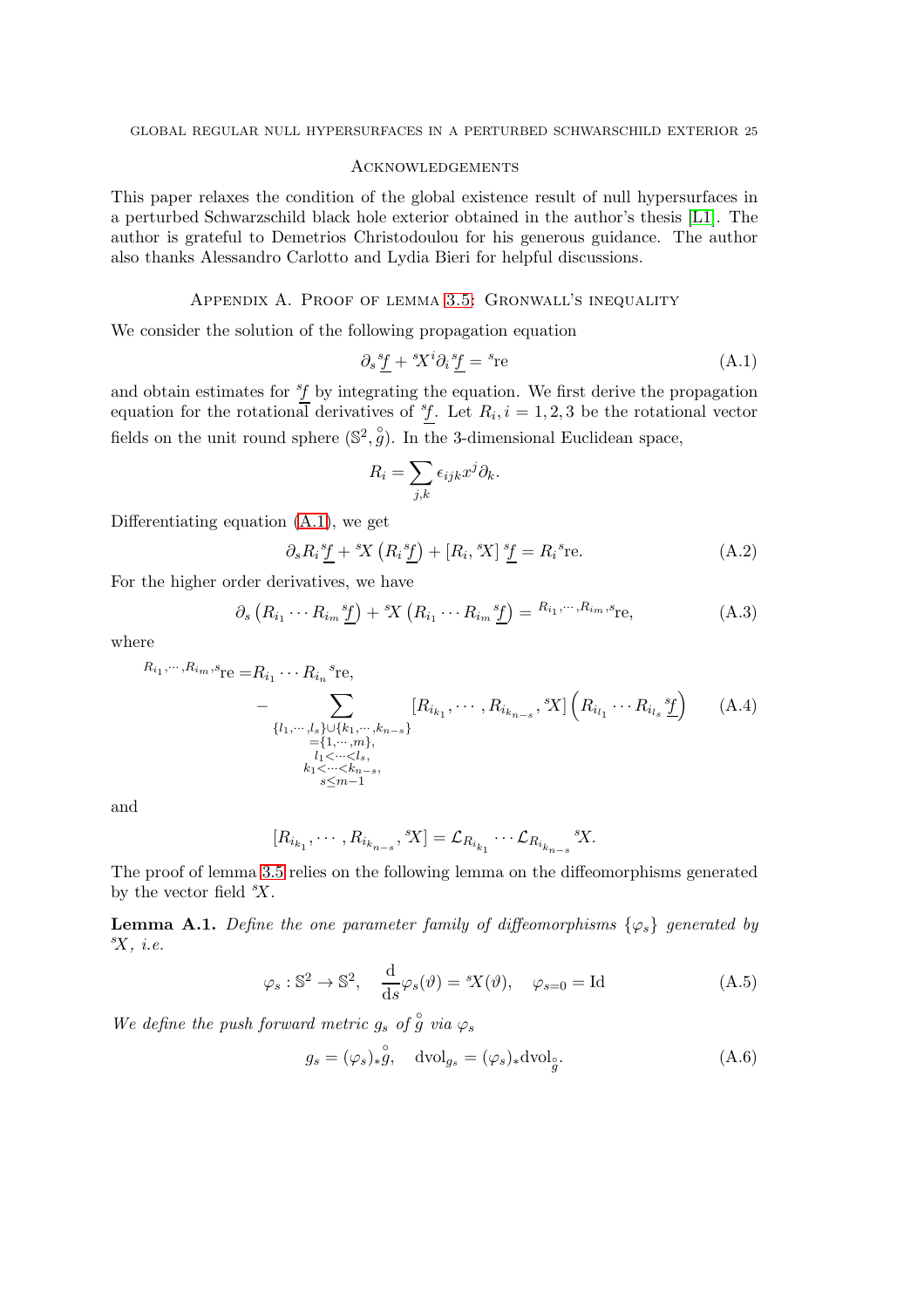## <span id="page-24-0"></span>**ACKNOWLEDGEMENTS**

This paper relaxes the condition of the global existence result of null hypersurfaces in a perturbed Schwarzschild black hole exterior obtained in the author's thesis [\[L1\]](#page-26-11). The author is grateful to Demetrios Christodoulou for his generous guidance. The author also thanks Alessandro Carlotto and Lydia Bieri for helpful discussions.

## Appendix A. Proof of lemma [3.5:](#page-14-0) Gronwall's inequality

<span id="page-24-1"></span>We consider the solution of the following propagation equation

<span id="page-24-2"></span>
$$
\partial_s \underline{f} + {}^s \! X^i \partial_i \underline{f} = {}^s \! \text{re}
$$
\n
$$
(A.1)
$$

and obtain estimates for  ${}^{s}\!f$  by integrating the equation. We first derive the propagation equation for the rotational derivatives of  $f$ . Let  $R_i$ ,  $i = 1, 2, 3$  be the rotational vector fields on the unit round sphere  $(\mathbb{S}^2, \overset{\circ}{g})$ . In the 3-dimensional Euclidean space,

<span id="page-24-4"></span>
$$
R_i = \sum_{j,k} \epsilon_{ijk} x^j \partial_k.
$$

Differentiating equation [\(A.1\)](#page-24-2), we get

$$
\partial_s R_i \underline{f} + {}^s \! X \left( R_i \underline{f} \right) + [R_i, {}^s \! X] \underline{f} = R_i {}^s \! \text{re.} \tag{A.2}
$$

For the higher order derivatives, we have

$$
\partial_s \left( R_{i_1} \cdots R_{i_m} \underline{\underline{s}} \underline{\underline{f}} \right) + \underline{\underline{s}} \underline{X} \left( R_{i_1} \cdots R_{i_m} \underline{\underline{s}} \underline{\underline{f}} \right) = R_{i_1, \cdots, R_{i_m}, s} \underline{\underline{r}} \underline{\underline{e}}, \tag{A.3}
$$

where

$$
R_{i_1}, \dots, R_{i_m}, s_{\text{Te}} = R_{i_1} \dots R_{i_n} s_{\text{Te}},
$$
  
\n
$$
- \sum_{\substack{\{l_1, \dots, l_s\} \cup \{k_1, \dots, k_{n-s}\} \\ l_1 \dots, m_l, \\ l_1 < \dots < l_s, \\ k_1 < \dots < l_s, \\ s \leq m-1}} [R_{i_{k_1}}, \dots, R_{i_{k_{n-s}}}, s] \left(R_{i_{l_1}} \dots R_{i_{l_s}} \underline{s} f\right) \tag{A.4}
$$

and

$$
[R_{i_{k_1}},\cdots,R_{i_{k_{n-s}}},^sX] = \mathcal{L}_{R_{i_{k_1}}}\cdots\mathcal{L}_{R_{i_{k_{n-s}}}}^sX.
$$

The proof of lemma [3.5](#page-14-0) relies on the following lemma on the diffeomorphisms generated by the vector field  $X$ .

<span id="page-24-3"></span>**Lemma A.1.** Define the one parameter family of diffeomorphisms  $\{\varphi_s\}$  generated by  $X$ , *i.e.* 

$$
\varphi_s : \mathbb{S}^2 \to \mathbb{S}^2
$$
,  $\frac{d}{ds} \varphi_s(\vartheta) = {}^s \! X(\vartheta)$ ,  $\varphi_{s=0} = \text{Id}$  (A.5)

We define the push forward metric  $g_s$  of  $\stackrel{\circ}{g}$  via  $\varphi_s$ 

$$
g_s = (\varphi_s)_* \overset{\circ}{g}, \quad \text{dvol}_{g_s} = (\varphi_s)_* \text{dvol}_{\overset{\circ}{g}}.
$$
 (A.6)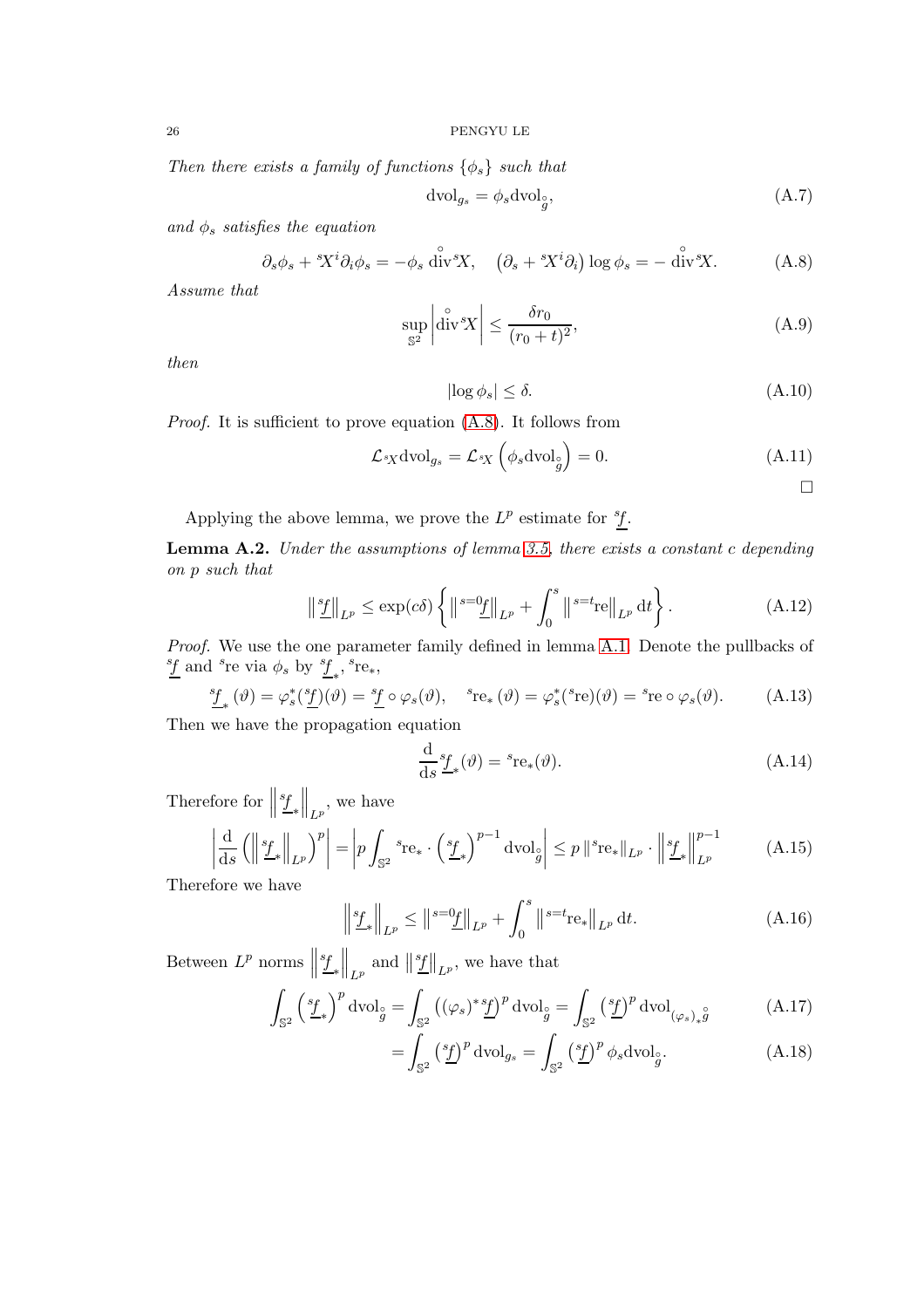Then there exists a family of functions  $\{\phi_s\}$  such that

<span id="page-25-0"></span>
$$
dvol_{g_s} = \phi_s dvol_g^{\circ},\tag{A.7}
$$

and  $\phi_s$  satisfies the equation

$$
\partial_s \phi_s + {}^s\!X^i \partial_i \phi_s = -\phi_s \stackrel{\circ}{\text{div}} {}^s\!X, \quad \left(\partial_s + {}^s\!X^i \partial_i\right) \log \phi_s = -\stackrel{\circ}{\text{div}} {}^s\!X. \tag{A.8}
$$

Assume that

$$
\sup_{\mathbb{S}^2} \left| \overset{\circ}{\text{div}}^s X \right| \le \frac{\delta r_0}{(r_0 + t)^2},\tag{A.9}
$$

then

$$
|\log \phi_s| \le \delta. \tag{A.10}
$$

Proof. It is sufficient to prove equation [\(A.8\)](#page-25-0). It follows from

$$
\mathcal{L}_{sX} \text{dvol}_{g_s} = \mathcal{L}_{sX} \left( \phi_s \text{dvol}_g \right) = 0. \tag{A.11}
$$

Applying the above lemma, we prove the  $L^p$  estimate for  ${}^s f$ .

<span id="page-25-1"></span>Lemma A.2. Under the assumptions of lemma [3.5,](#page-14-0) there exists a constant c depending on p such that

$$
\left\| \frac{s_f}{L} \right\|_{L^p} \le \exp(c\delta) \left\{ \left\| \frac{s = 0_f}{L^p} \right\|_{L^p} + \int_0^s \left\| \frac{s = t_{\text{ref}}}{L^p} \right\|_{L^p} dt \right\}.
$$
 (A.12)

Proof. We use the one parameter family defined in lemma [A.1.](#page-24-3) Denote the pullbacks of  $\frac{sf}{\mathcal{I}}$  and  $^s$ re via  $\phi_s$  by  $^s\underline{f}_*,$   $^s$ re<sub>\*</sub>,

$$
\underline{f}_{*}(\vartheta) = \varphi_{s}^{*}(\underline{f})(\vartheta) = \underline{f} \circ \varphi_{s}(\vartheta), \quad {}^{s}{}_{\mathbf{r}e_{*}}(\vartheta) = \varphi_{s}^{*}({}^{s}{}_{\mathbf{r}e})(\vartheta) = {}^{s}{}_{\mathbf{r}e} \circ \varphi_{s}(\vartheta). \tag{A.13}
$$

Then we have the propagation equation

$$
\frac{\mathrm{d}}{\mathrm{d}s}^{s} f_{*}(\vartheta) = {}^{s} \mathrm{re}_{*}(\vartheta). \tag{A.14}
$$

Therefore for  $\parallel$ s f ∗  $\Big\|_{L^p}$ , we have

$$
\left| \frac{\mathrm{d}}{\mathrm{d}s} \left( \left\| \frac{s_{f}}{L^{p}} \right\|_{L^{p}} \right)^{p} \right| = \left| p \int_{\mathbb{S}^{2}} s_{\mathrm{re}_{*}} \cdot \left( \frac{s_{f}}{L^{*}} \right)^{p-1} \mathrm{dvol}_{g} \right| \leq p \left\| s_{\mathrm{re}_{*}} \right\|_{L^{p}} \cdot \left\| \frac{s_{f}}{L^{*}} \right\|_{L^{p}}^{p-1} \tag{A.15}
$$

Therefore we have

$$
\left\| \frac{s_f}{L^p} \right\|_{L^p} \le \left\| \frac{s = 0}{L} \right\|_{L^p} + \int_0^s \left\| \frac{s = t_{\text{re}}}{L^p} \right\|_{L^p} \text{d}t. \tag{A.16}
$$

Between  $L^p$  norms  $\parallel$ s f ∗  $\left\| \frac{sf}{L^p} \right\|_{L^p}$ , we have that

$$
\int_{\mathbb{S}^2} \left(\frac{s_f}{\mu}\right)^p \mathrm{dvol}_g = \int_{\mathbb{S}^2} \left((\varphi_s)^* \underline{f}\right)^p \mathrm{dvol}_g = \int_{\mathbb{S}^2} \left(\frac{s_f}{\mu}\right)^p \mathrm{dvol}_{(\varphi_s)_* \overset{\circ}{g}} \tag{A.17}
$$

$$
= \int_{\mathbb{S}^2} \left(\frac{s_f}{\mu}\right)^p \mathrm{dvol}_{g_s} = \int_{\mathbb{S}^2} \left(\frac{s_f}{\mu}\right)^p \phi_s \mathrm{dvol}_{\hat{g}}.\tag{A.18}
$$